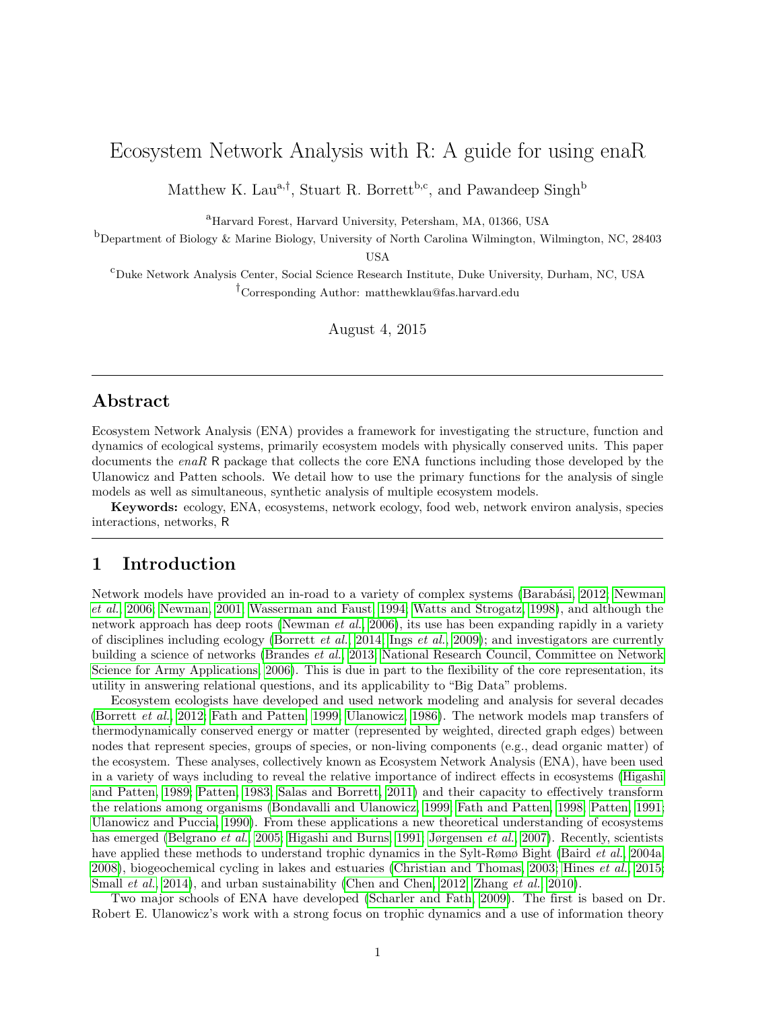# Ecosystem Network Analysis with R: A guide for using enaR

Matthew K. Lau<sup>a,†</sup>, Stuart R. Borrett<sup>b,c</sup>, and Pawandeep Singh<sup>b</sup>

<sup>a</sup>Harvard Forest, Harvard University, Petersham, MA, 01366, USA

 $b$ Department of Biology & Marine Biology, University of North Carolina Wilmington, Wilmington, NC, 28403

USA

<sup>c</sup>Duke Network Analysis Center, Social Science Research Institute, Duke University, Durham, NC, USA †Corresponding Author: matthewklau@fas.harvard.edu

August 4, 2015

## Abstract

Ecosystem Network Analysis (ENA) provides a framework for investigating the structure, function and dynamics of ecological systems, primarily ecosystem models with physically conserved units. This paper documents the  $enaR$  R package that collects the core ENA functions including those developed by the Ulanowicz and Patten schools. We detail how to use the primary functions for the analysis of single models as well as simultaneous, synthetic analysis of multiple ecosystem models.

Keywords: ecology, ENA, ecosystems, network ecology, food web, network environ analysis, species interactions, networks, R

## 1 Introduction

Network models have provided an in-road to a variety of complex systems (Barabási, 2012; [Newman](#page-42-0) [et al.](#page-42-0), [2006;](#page-42-0) [Newman, 2001;](#page-42-1) [Wasserman and Faust, 1994;](#page-44-0) [Watts and Strogatz, 1998\)](#page-44-1), and although the network approach has deep roots [\(Newman](#page-42-0) et al., [2006\)](#page-42-0), its use has been expanding rapidly in a variety of disciplines including ecology [\(Borrett](#page-39-0) *[et al.](#page-41-0)*, [2014;](#page-39-0) Ings *et al.*, [2009\)](#page-41-0); and investigators are currently building a science of networks [\(Brandes](#page-39-1) et al., [2013;](#page-39-1) [National Research Council, Committee on Network](#page-42-2) [Science for Army Applications, 2006\)](#page-42-2). This is due in part to the flexibility of the core representation, its utility in answering relational questions, and its applicability to "Big Data" problems.

Ecosystem ecologists have developed and used network modeling and analysis for several decades [\(Borrett](#page-38-1) et al., [2012;](#page-38-1) [Fath and Patten, 1999;](#page-40-0) [Ulanowicz, 1986\)](#page-43-0). The network models map transfers of thermodynamically conserved energy or matter (represented by weighted, directed graph edges) between nodes that represent species, groups of species, or non-living components (e.g., dead organic matter) of the ecosystem. These analyses, collectively known as Ecosystem Network Analysis (ENA), have been used in a variety of ways including to reveal the relative importance of indirect effects in ecosystems [\(Higashi](#page-41-1) [and Patten, 1989;](#page-41-1) [Patten, 1983;](#page-42-3) [Salas and Borrett, 2011\)](#page-42-4) and their capacity to effectively transform the relations among organisms [\(Bondavalli and Ulanowicz, 1999;](#page-38-2) [Fath and Patten, 1998;](#page-40-1) [Patten, 1991;](#page-42-5) [Ulanowicz and Puccia, 1990\)](#page-44-2). From these applications a new theoretical understanding of ecosystems has emerged [\(Belgrano](#page-38-3) *et al.*, [2005;](#page-38-3) [Higashi and Burns, 1991;](#page-41-2) [Jørgensen](#page-41-3) *et al.*, [2007\)](#page-41-3). Recently, scientists have applied these methods to understand trophic dynamics in the Sylt-Rømø Bight [\(Baird](#page-38-4) et al., [2004a,](#page-38-4) [2008\)](#page-38-5), biogeochemical cycling in lakes and estuaries [\(Christian and Thomas, 2003;](#page-40-2) [Hines](#page-41-4) et al., [2015;](#page-41-4) [Small](#page-43-1) et al., [2014\)](#page-43-1), and urban sustainability [\(Chen and Chen, 2012;](#page-39-2) [Zhang](#page-44-3) et al., [2010\)](#page-44-3).

Two major schools of ENA have developed [\(Scharler and Fath, 2009\)](#page-42-6). The first is based on Dr. Robert E. Ulanowicz's work with a strong focus on trophic dynamics and a use of information theory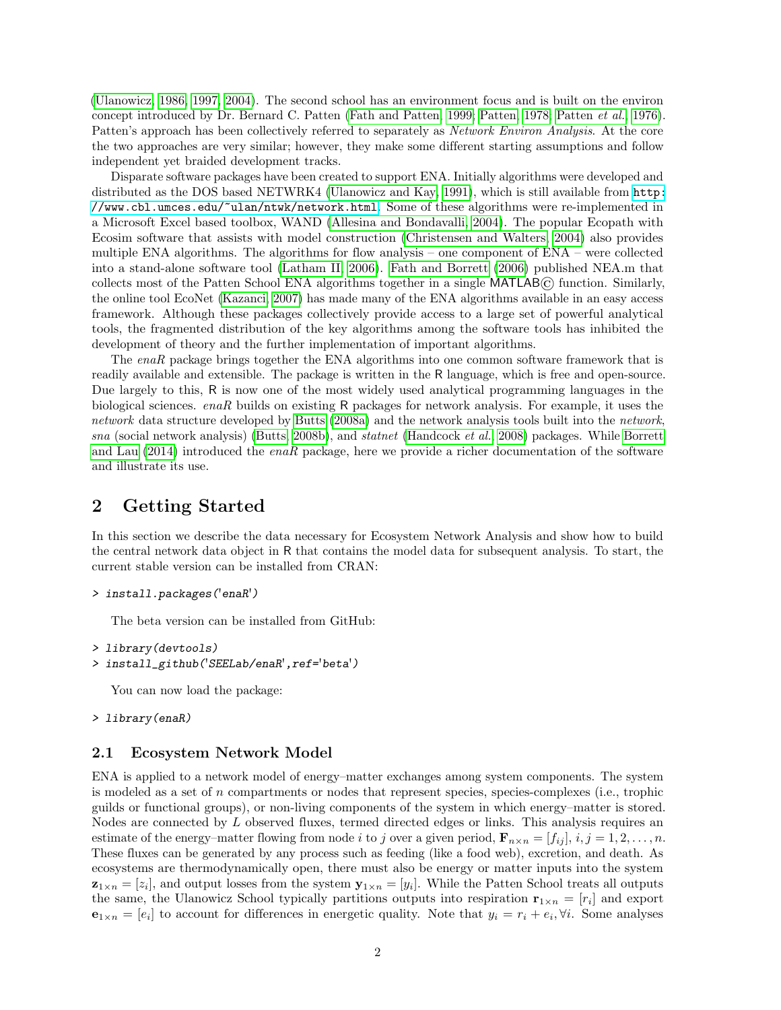[\(Ulanowicz, 1986,](#page-43-0) [1997,](#page-43-2) [2004\)](#page-43-3). The second school has an environment focus and is built on the environ concept introduced by Dr. Bernard C. Patten [\(Fath and Patten, 1999;](#page-40-0) [Patten, 1978;](#page-42-7) [Patten](#page-42-8) et al., [1976\)](#page-42-8). Patten's approach has been collectively referred to separately as Network Environ Analysis. At the core the two approaches are very similar; however, they make some different starting assumptions and follow independent yet braided development tracks.

Disparate software packages have been created to support ENA. Initially algorithms were developed and distributed as the DOS based NETWRK4 [\(Ulanowicz and Kay, 1991\)](#page-43-4), which is still available from [http:](http://www.cbl.umces.edu/~ulan/ntwk/network.html) [//www.cbl.umces.edu/~ulan/ntwk/network.html](http://www.cbl.umces.edu/~ulan/ntwk/network.html). Some of these algorithms were re-implemented in a Microsoft Excel based toolbox, WAND [\(Allesina and Bondavalli, 2004\)](#page-38-6). The popular Ecopath with Ecosim software that assists with model construction [\(Christensen and Walters, 2004\)](#page-39-3) also provides multiple ENA algorithms. The algorithms for flow analysis – one component of ENA – were collected into a stand-alone software tool [\(Latham II, 2006\)](#page-41-5). [Fath and Borrett](#page-40-3) [\(2006\)](#page-40-3) published NEA.m that collects most of the Patten School ENA algorithms together in a single MATLAB© function. Similarly, the online tool EcoNet [\(Kazanci, 2007\)](#page-41-6) has made many of the ENA algorithms available in an easy access framework. Although these packages collectively provide access to a large set of powerful analytical tools, the fragmented distribution of the key algorithms among the software tools has inhibited the development of theory and the further implementation of important algorithms.

The enaR package brings together the ENA algorithms into one common software framework that is readily available and extensible. The package is written in the R language, which is free and open-source. Due largely to this, R is now one of the most widely used analytical programming languages in the biological sciences. enaR builds on existing R packages for network analysis. For example, it uses the network data structure developed by [Butts](#page-39-4) [\(2008a\)](#page-39-4) and the network analysis tools built into the network, sna (social network analysis) [\(Butts, 2008b\)](#page-39-5), and statnet [\(Handcock](#page-40-4) et al., [2008\)](#page-40-4) packages. While [Borrett](#page-39-6) [and Lau](#page-39-6) [\(2014\)](#page-39-6) introduced the enaR package, here we provide a richer documentation of the software and illustrate its use.

## 2 Getting Started

In this section we describe the data necessary for Ecosystem Network Analysis and show how to build the central network data object in R that contains the model data for subsequent analysis. To start, the current stable version can be installed from CRAN:

```
> install.packages('enaR')
```
The beta version can be installed from GitHub:

```
> library(devtools)
```

```
> install_github('SEELab/enaR',ref='beta')
```
You can now load the package:

```
> library(enaR)
```
#### 2.1 Ecosystem Network Model

ENA is applied to a network model of energy–matter exchanges among system components. The system is modeled as a set of n compartments or nodes that represent species, species-complexes (i.e., trophic guilds or functional groups), or non-living components of the system in which energy–matter is stored. Nodes are connected by L observed fluxes, termed directed edges or links. This analysis requires an estimate of the energy–matter flowing from node i to j over a given period,  $\mathbf{F}_{n\times n} = [f_{ij}], i, j = 1, 2, \ldots, n$ . These fluxes can be generated by any process such as feeding (like a food web), excretion, and death. As ecosystems are thermodynamically open, there must also be energy or matter inputs into the system  $\mathbf{z}_{1\times n}=[z_i],$  and output losses from the system  $\mathbf{y}_{1\times n}=[y_i].$  While the Patten School treats all outputs the same, the Ulanowicz School typically partitions outputs into respiration  $\mathbf{r}_{1 \times n} = [r_i]$  and export  $\mathbf{e}_{1\times n} = [e_i]$  to account for differences in energetic quality. Note that  $y_i = r_i + e_i, \forall i$ . Some analyses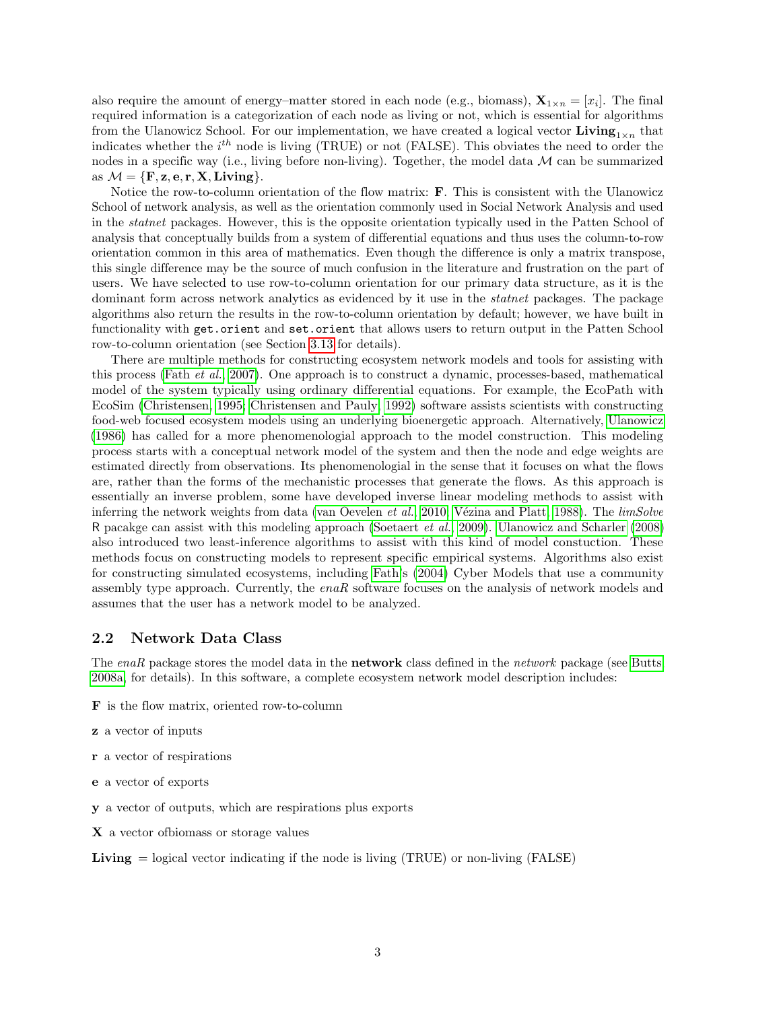also require the amount of energy–matter stored in each node (e.g., biomass),  $\mathbf{X}_{1 \times n} = [x_i]$ . The final required information is a categorization of each node as living or not, which is essential for algorithms from the Ulanowicz School. For our implementation, we have created a logical vector Living<sub>1×n</sub> that indicates whether the  $i^{th}$  node is living (TRUE) or not (FALSE). This obviates the need to order the nodes in a specific way (i.e., living before non-living). Together, the model data  $M$  can be summarized as  $\mathcal{M} = \{F, z, e, r, X, Living\}.$ 

Notice the row-to-column orientation of the flow matrix: F. This is consistent with the Ulanowicz School of network analysis, as well as the orientation commonly used in Social Network Analysis and used in the statnet packages. However, this is the opposite orientation typically used in the Patten School of analysis that conceptually builds from a system of differential equations and thus uses the column-to-row orientation common in this area of mathematics. Even though the difference is only a matrix transpose, this single difference may be the source of much confusion in the literature and frustration on the part of users. We have selected to use row-to-column orientation for our primary data structure, as it is the dominant form across network analytics as evidenced by it use in the *statnet* packages. The package algorithms also return the results in the row-to-column orientation by default; however, we have built in functionality with get.orient and set.orient that allows users to return output in the Patten School row-to-column orientation (see Section [3.13](#page-27-0) for details).

There are multiple methods for constructing ecosystem network models and tools for assisting with this process (Fath [et al.](#page-40-5), [2007\)](#page-40-5). One approach is to construct a dynamic, processes-based, mathematical model of the system typically using ordinary differential equations. For example, the EcoPath with EcoSim [\(Christensen, 1995;](#page-39-7) [Christensen and Pauly, 1992\)](#page-39-8) software assists scientists with constructing food-web focused ecosystem models using an underlying bioenergetic approach. Alternatively, [Ulanowicz](#page-43-0) [\(1986\)](#page-43-0) has called for a more phenomenologial approach to the model construction. This modeling process starts with a conceptual network model of the system and then the node and edge weights are estimated directly from observations. Its phenomenologial in the sense that it focuses on what the flows are, rather than the forms of the mechanistic processes that generate the flows. As this approach is essentially an inverse problem, some have developed inverse linear modeling methods to assist with inferring the network weights from data [\(van Oevelen](#page-44-4) et al., [2010;](#page-44-4) Vézina and Platt, 1988). The limSolve R pacakge can assist with this modeling approach [\(Soetaert](#page-43-5) et al., [2009\)](#page-43-5). [Ulanowicz and Scharler](#page-44-6) [\(2008\)](#page-44-6) also introduced two least-inference algorithms to assist with this kind of model constuction. These methods focus on constructing models to represent specific empirical systems. Algorithms also exist for constructing simulated ecosystems, including [Fath'](#page-40-6)s [\(2004\)](#page-40-6) Cyber Models that use a community assembly type approach. Currently, the enaR software focuses on the analysis of network models and assumes that the user has a network model to be analyzed.

#### 2.2 Network Data Class

The enaR package stores the model data in the **network** class defined in the network package (see [Butts,](#page-39-4) [2008a,](#page-39-4) for details). In this software, a complete ecosystem network model description includes:

- F is the flow matrix, oriented row-to-column
- z a vector of inputs
- r a vector of respirations
- e a vector of exports
- y a vector of outputs, which are respirations plus exports
- X a vector ofbiomass or storage values

**Living**  $=$  logical vector indicating if the node is living (TRUE) or non-living (FALSE)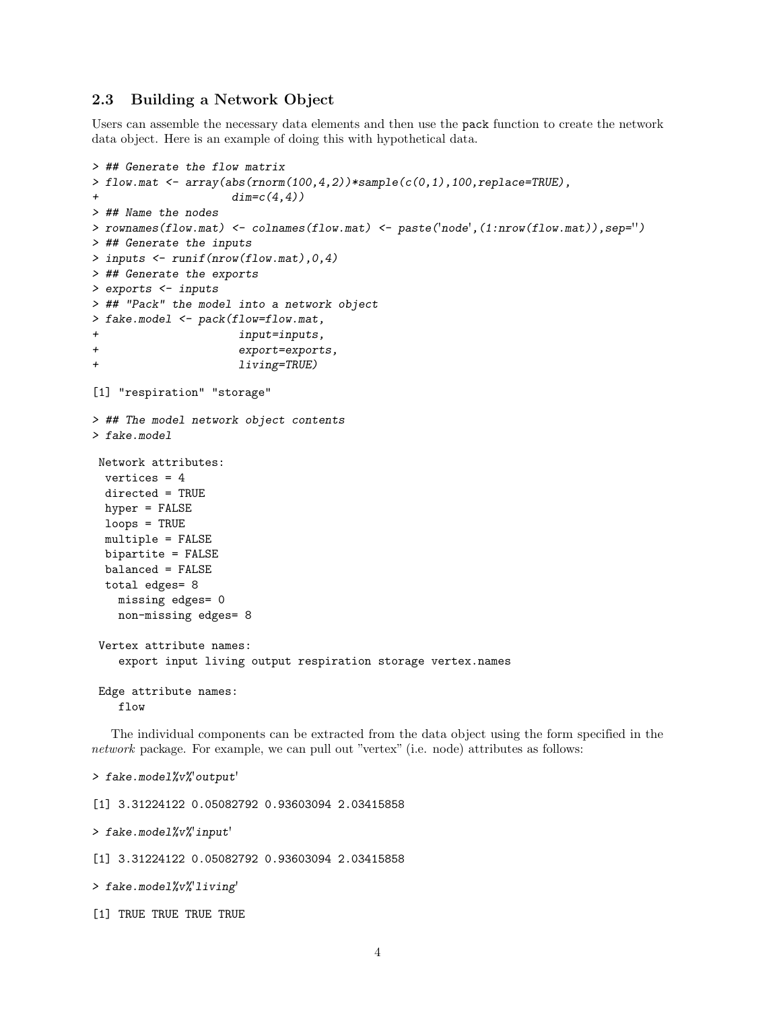### 2.3 Building a Network Object

Users can assemble the necessary data elements and then use the pack function to create the network data object. Here is an example of doing this with hypothetical data.

```
> ## Generate the flow matrix
> flow.mat \leq array(abs(rnorm(100,4,2))*sample(c(0,1),100,replace=TRUE),
+ dim=c(4,4))
> ## Name the nodes
> rownames(flow.mat) <- colnames(flow.mat) <- paste('node',(1:nrow(flow.mat)),sep='')
> ## Generate the inputs
> inputs <- runif(nrow(flow.mat),0,4)
> ## Generate the exports
> exports <- inputs
> ## "Pack" the model into a network object
> fake.model <- pack(flow=flow.mat,
+ input=inputs,
+ export=exports,
+ living=TRUE)
[1] "respiration" "storage"
> ## The model network object contents
> fake.model
Network attributes:
 vertices = 4
 directed = TRUE
 hyper = FALSE
 loops = TRUE
 multiple = FALSE
 bipartite = FALSE
 balanced = FALSE
 total edges= 8
   missing edges= 0
   non-missing edges= 8
Vertex attribute names:
   export input living output respiration storage vertex.names
Edge attribute names:
   flow
  The individual components can be extracted from the data object using the form specified in the
```
network package. For example, we can pull out "vertex" (i.e. node) attributes as follows:

```
> fake.model%v%'output'
```
[1] 3.31224122 0.05082792 0.93603094 2.03415858

> fake.model%v%'input'

[1] 3.31224122 0.05082792 0.93603094 2.03415858

> fake.model%v%'living'

[1] TRUE TRUE TRUE TRUE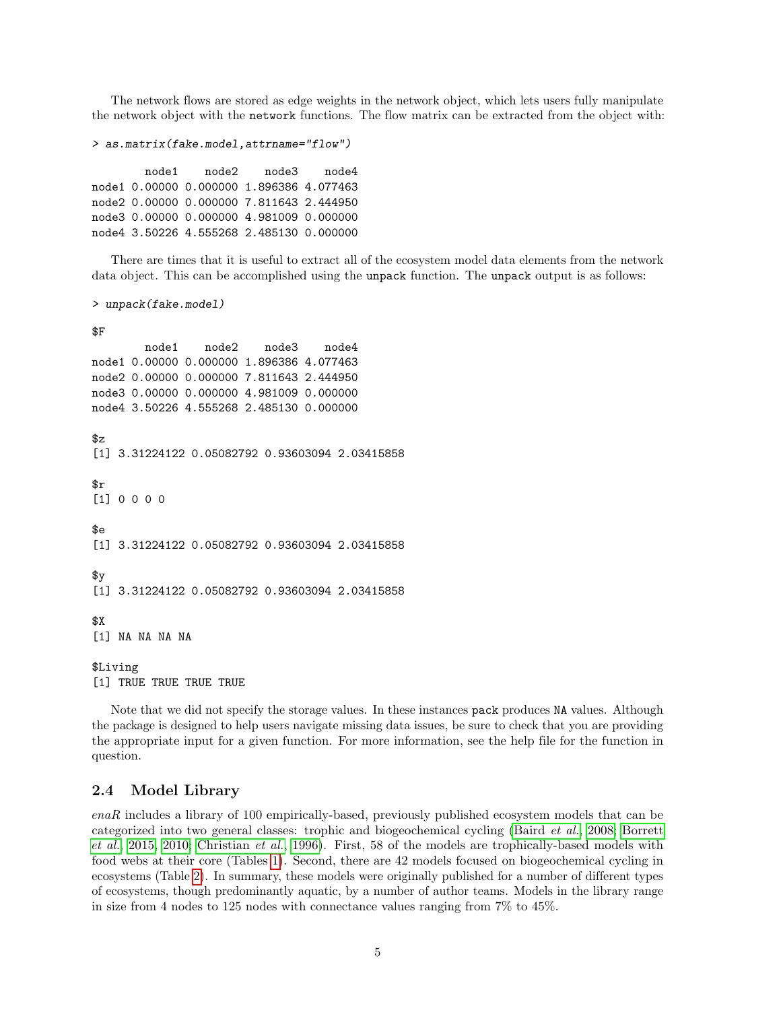The network flows are stored as edge weights in the network object, which lets users fully manipulate the network object with the network functions. The flow matrix can be extracted from the object with:

```
> as.matrix(fake.model,attrname="flow")
```
node1 node2 node3 node4 node1 0.00000 0.000000 1.896386 4.077463 node2 0.00000 0.000000 7.811643 2.444950 node3 0.00000 0.000000 4.981009 0.000000 node4 3.50226 4.555268 2.485130 0.000000

There are times that it is useful to extract all of the ecosystem model data elements from the network data object. This can be accomplished using the unpack function. The unpack output is as follows:

> unpack(fake.model)

```
$F
       node1 node2 node3 node4
node1 0.00000 0.000000 1.896386 4.077463
node2 0.00000 0.000000 7.811643 2.444950
node3 0.00000 0.000000 4.981009 0.000000
node4 3.50226 4.555268 2.485130 0.000000
$z[1] 3.31224122 0.05082792 0.93603094 2.03415858
$r
[1] 0 0 0 0
Re[1] 3.31224122 0.05082792 0.93603094 2.03415858
\gamma[1] 3.31224122 0.05082792 0.93603094 2.03415858
$X[1] NA NA NA NA
$Living
[1] TRUE TRUE TRUE TRUE
```
Note that we did not specify the storage values. In these instances pack produces NA values. Although the package is designed to help users navigate missing data issues, be sure to check that you are providing the appropriate input for a given function. For more information, see the help file for the function in question.

#### 2.4 Model Library

enaR includes a library of 100 empirically-based, previously published ecosystem models that can be categorized into two general classes: trophic and biogeochemical cycling [\(Baird](#page-38-5) et al., [2008;](#page-38-5) [Borrett](#page-39-9) [et al.](#page-39-9), [2015,](#page-39-9) [2010;](#page-39-10) [Christian](#page-40-7) et al., [1996\)](#page-40-7). First, 58 of the models are trophically-based models with food webs at their core (Tables [1\)](#page-7-0). Second, there are 42 models focused on biogeochemical cycling in ecosystems (Table [2\)](#page-8-0). In summary, these models were originally published for a number of different types of ecosystems, though predominantly aquatic, by a number of author teams. Models in the library range in size from 4 nodes to 125 nodes with connectance values ranging from 7% to 45%.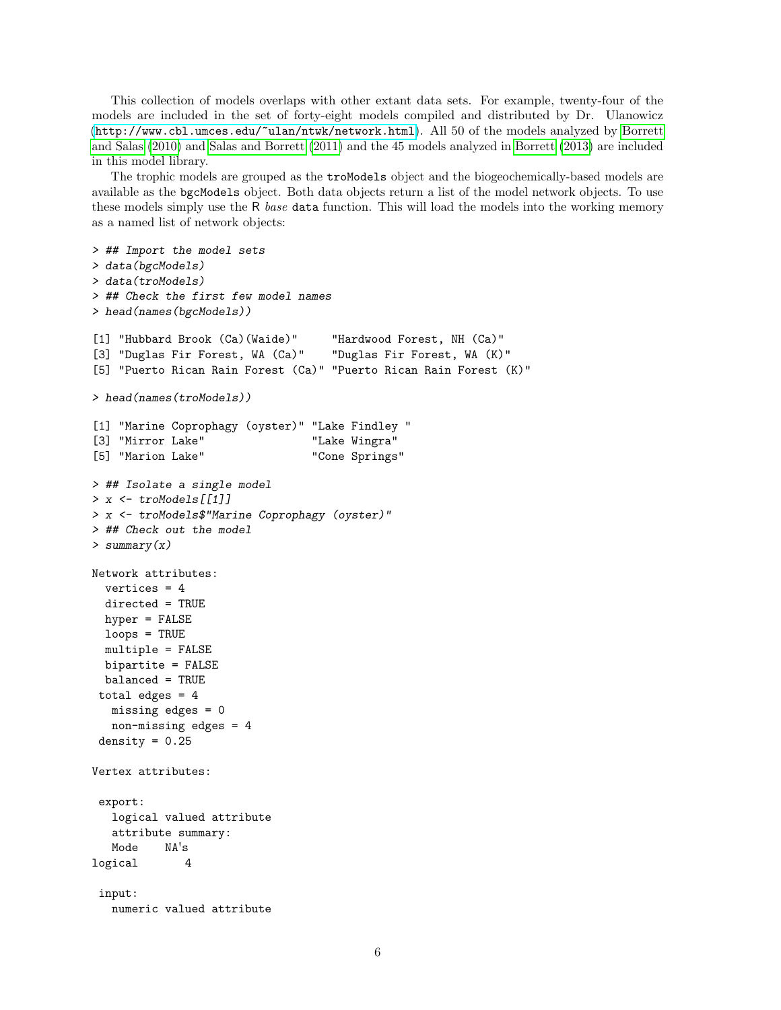This collection of models overlaps with other extant data sets. For example, twenty-four of the models are included in the set of forty-eight models compiled and distributed by Dr. Ulanowicz (<http://www.cbl.umces.edu/~ulan/ntwk/network.html>). All 50 of the models analyzed by [Borrett](#page-39-11) [and Salas](#page-39-11) [\(2010\)](#page-39-11) and [Salas and Borrett](#page-42-4) [\(2011\)](#page-42-4) and the 45 models analyzed in [Borrett](#page-38-7) [\(2013\)](#page-38-7) are included in this model library.

The trophic models are grouped as the troModels object and the biogeochemically-based models are available as the bgcModels object. Both data objects return a list of the model network objects. To use these models simply use the R base data function. This will load the models into the working memory as a named list of network objects:

```
> ## Import the model sets
> data(bgcModels)
> data(troModels)
> ## Check the first few model names
> head(names(bgcModels))
[1] "Hubbard Brook (Ca)(Waide)" "Hardwood Forest, NH (Ca)"
[3] "Duglas Fir Forest, WA (Ca)" "Duglas Fir Forest, WA (K)"
[5] "Puerto Rican Rain Forest (Ca)" "Puerto Rican Rain Forest (K)"
> head(names(troModels))
[1] "Marine Coprophagy (oyster)" "Lake Findley "
[3] "Mirror Lake" "Lake Wingra"
[5] "Marion Lake" "Cone Springs"
> ## Isolate a single model
> x <- troModels[[1]]
> x <- troModels$"Marine Coprophagy (oyster)"
> ## Check out the model
> summary(x)
Network attributes:
 vertices = 4directed = TRUE
 hyper = FALSE
 loops = TRUE
 multiple = FALSE
 bipartite = FALSE
 balanced = TRUE
total edges = 4missing edges = 0
  non-missing edges = 4
density = 0.25Vertex attributes:
export:
  logical valued attribute
  attribute summary:
  Mode NA's
logical 4
 input:
  numeric valued attribute
```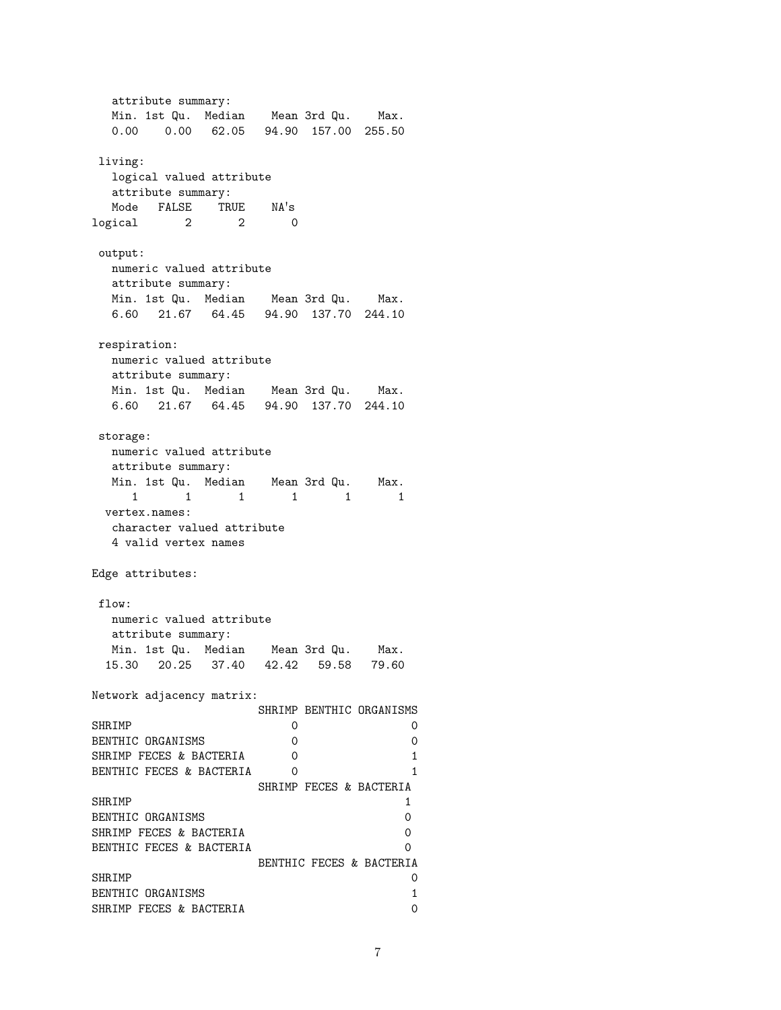attribute summary: Min. 1st Qu. Median Mean 3rd Qu. Max. 0.00 0.00 62.05 94.90 157.00 255.50 living: logical valued attribute attribute summary: Mode FALSE TRUE NA's logical 2 2 0 output: numeric valued attribute attribute summary: Min. 1st Qu. Median Mean 3rd Qu. Max. 6.60 21.67 64.45 94.90 137.70 244.10 respiration: numeric valued attribute attribute summary: Min. 1st Qu. Median Mean 3rd Qu. Max. 6.60 21.67 64.45 94.90 137.70 244.10 storage: numeric valued attribute attribute summary: Min. 1st Qu. Median Mean 3rd Qu. Max. 1 1 1 1 1 1 vertex.names: character valued attribute 4 valid vertex names Edge attributes: flow: numeric valued attribute attribute summary: Min. 1st Qu. Median Mean 3rd Qu. Max. 15.30 20.25 37.40 42.42 59.58 79.60 Network adjacency matrix: SHRIMP BENTHIC ORGANISMS SHRIMP 0 0 0 0 BENTHIC ORGANISMS 0 0 SHRIMP FECES & BACTERIA 0 1 BENTHIC FECES & BACTERIA 0 1 SHRIMP FECES & BACTERIA SHRIMP 1<br>
BENTHIC OBGANISMS 0 BENTHIC ORGANISMS SHRIMP FECES & BACTERIA 0 BENTHIC FECES & BACTERIA 0 BENTHIC FECES & BACTERIA SHRIMP 0 BENTHIC ORGANISMS 1 SHRIMP FECES & BACTERIA 0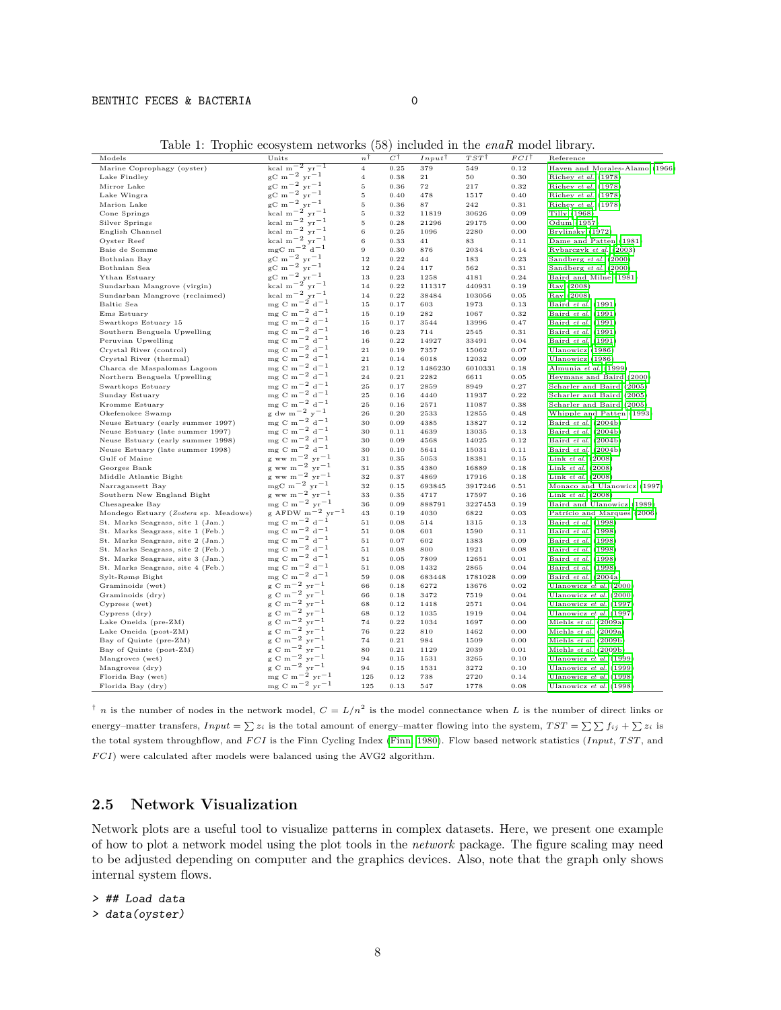#### BENTHIC FECES & BACTERIA 0

<span id="page-7-0"></span>Table 1: Trophic ecosystem networks (58) included in the enaR model library.

| Models                                | Units                                                                               | n <sup>T</sup> | $C^{\, \intercal}$ | Input              | $TST$ T | $FCI^{\dagger}$ | Reference                      |
|---------------------------------------|-------------------------------------------------------------------------------------|----------------|--------------------|--------------------|---------|-----------------|--------------------------------|
| Marine Coprophagy (oyster)            | $\begin{array}{c} \rm kcal\ m^{-2}\ yr^{-1} \\ \rm gC\ m^{-2}\ yr^{-1} \end{array}$ | $\overline{4}$ | 0.25               | 379                | 549     | 0.12            | Haven and Morales-Alamo (1966) |
| Lake Findley                          |                                                                                     | 4              | 0.38               | 21                 | 50      | 0.30            | Richey et al. (1978)           |
| Mirror Lake                           | $_{\rm gC~m}^{\rm gC~m-2}$ yr <sup>-1</sup>                                         | 5              | 0.36               | $\scriptstyle{72}$ | 217     | 0.32            | Richey et al. (1978)           |
| Lake Wingra                           | $_{\rm gC~m}$ – 2 $_{\rm yr}$ – 1                                                   | 5              | 0.40               | 478                | 1517    | 0.40            | Richey et al. (1978)           |
| Marion Lake                           | $_{\rm gC~m}$ - 2 $_{\rm yr}$ - 1                                                   | 5              | 0.36               | 87                 | 242     | 0.31            | Richey et al. (1978)           |
| Cone Springs                          | kcal m $^{-2}$ yr $^{-1}$                                                           | 5              | 0.32               | 11819              | 30626   | 0.09            | Tilly (1968)                   |
| Silver Springs                        | kcal m <sup><math>-2</math></sup> yr $-1$                                           | 5              | 0.28               | 21296              | 29175   | 0.00            | Odum (1957)                    |
| English Channel                       | kcal m <sup><math>-2</math></sup> yr $-1$                                           | 6              | 0.25               | 1096               | 2280    | 0.00            | Brylinsky (1972)               |
| Oyster Reef                           | kcal m <sup><math>-2</math></sup> yr $^{-1}$                                        | 6              | 0.33               | 41                 | 83      | 0.11            | Dame and Patten (1981)         |
| Baie de Somme                         | $mgC$ m <sup>-2</sup> d <sup>-1</sup>                                               | 9              | 0.30               | 876                | 2034    | 0.14            | Rybarczyk et al. (2003)        |
| Bothnian Bay                          | $\rm gC~m^{-2}~yr^{-1}$                                                             | 12             | 0.22               | 44                 | 183     | 0.23            | Sandberg et al. (2000)         |
| Bothnian Sea                          | $\rm _{gC}$ m <sup>-2</sup> yr <sup>-1</sup>                                        | 12             | 0.24               | 117                | 562     | 0.31            | Sandberg et al. (2000)         |
| Ythan Estuary                         | $\mathrm{gC~m}^{-2}$ yr <sup>-1</sup>                                               | 13             | 0.23               | 1258               | 4181    | 0.24            | Baird and Milne (1981)         |
| Sundarban Mangrove (virgin)           | kcal m <sup><math>-2</math></sup> yr $-1$                                           | 14             | 0.22               | 111317             | 440931  | 0.19            | Ray (2008)                     |
| Sundarban Mangrove (reclaimed)        | kcal m <sup><math>-2</math></sup> yr $-1$                                           | 14             | 0.22               | 38484              | 103056  | 0.05            | Ray (2008)                     |
| Baltic Sea                            | $mg \text{ C m}^{-2} d^{-1}$                                                        | 15             | 0.17               | 603                | 1973    | 0.13            | Baird et al. (1991)            |
| Ems Estuary                           | $mg \text{ C m}^{-2} d^{-1}$                                                        | 15             | 0.19               | 282                | 1067    | 0.32            | Baird et al. (1991)            |
|                                       | mg C m <sup><math>-2</math></sup> d <sup><math>-1</math></sup>                      |                |                    |                    |         |                 |                                |
| Swartkops Estuary 15                  | $mg \text{ C m}^{-2} d^{-1}$                                                        | 15             | 0.17               | 3544               | 13996   | 0.47            | Baird et al. (1991)            |
| Southern Benguela Upwelling           |                                                                                     | 16             | 0.23               | 714                | 2545    | 0.31            | Baird et al. (1991)            |
| Peruvian Upwelling                    | $mg \text{ C m}^{-2} d^{-1}$                                                        | 16             | 0.22               | 14927              | 33491   | 0.04            | Baird et al. (1991)            |
| Crystal River (control)               | mg C m <sup><math>-2</math></sup> d <sup><math>-1</math></sup>                      | 21             | 0.19               | 7357               | 15062   | 0.07            | Ulanowicz (1986)               |
| Crystal River (thermal)               | ${\rm m}\,{\rm g}$ C ${\rm m}^{\rm -2}$ ${\rm d}^{\rm -1}$                          | 21             | 0.14               | 6018               | 12032   | 0.09            | Ulanowicz (1986)               |
| Charca de Maspalomas Lagoon           | $mg \text{ C m}^{-2} d^{-1}$                                                        | $^{21}$        | 0.12               | 1486230            | 6010331 | 0.18            | Almunia et al. (1999)          |
| Northern Benguela Upwelling           | $mg \text{ C m}^{-2} d^{-1}$                                                        | 24             | 0.21               | 2282               | 6611    | 0.05            | Heymans and Baird (2000)       |
| Swartkops Estuary                     | mg C m <sup><math>-2</math></sup> d <sup><math>-1</math></sup>                      | 25             | 0.17               | 2859               | 8949    | 0.27            | Scharler and Baird (2005)      |
| Sunday Estuary                        | $mg$ C m <sup>-2</sup> d <sup>-1</sup>                                              | 25             | 0.16               | 4440               | 11937   | 0.22            | Scharler and Baird (2005)      |
| Kromme Estuary                        | $mg \text{ C m}^{-2} d^{-1}$                                                        | 25             | 0.16               | 2571               | 11087   | 0.38            | Scharler and Baird (2005)      |
| Okefenokee Swamp                      | $g$ dw m <sup>-2</sup> y <sup>-1</sup>                                              | 26             | 0.20               | 2533               | 12855   | 0.48            | Whipple and Patten (1993)      |
| Neuse Estuary (early summer 1997)     | $mg \text{ C m}^{-2} d^{-1}$                                                        | 30             | 0.09               | 4385               | 13827   | 0.12            | Baird et al. (2004b)           |
| Neuse Estuary (late summer 1997)      | mg C m <sup>-2</sup> d <sup>-1</sup>                                                | 30             | 0.11               | 4639               | 13035   | 0.13            | Baird et al. (2004b)           |
| Neuse Estuary (early summer 1998)     | $mg \text{ C m}^{-2} d^{-1}$                                                        | 30             | 0.09               | 4568               | 14025   | 0.12            | Baird et al. (2004b)           |
| Neuse Estuary (late summer 1998)      | $mg \text{ C m}^{-2} d^{-1}$                                                        | 30             | 0.10               | 5641               | 15031   | 0.11            | Baird et al. (2004b)           |
| Gulf of Maine                         | g ww m <sup>-2</sup> yr <sup>-1</sup>                                               | 31             | 0.35               | 5053               | 18381   | 0.15            | Link et al. (2008)             |
| Georges Bank                          | g ww m <sup>-2</sup> yr <sup>-1</sup>                                               | 31             | 0.35               | 4380               | 16889   | 0.18            | Link $et$ al. $(2008)$         |
| Middle Atlantic Bight                 | g ww m <sup>-2</sup> yr <sup>-1</sup>                                               | 32             | 0.37               | 4869               | 17916   | 0.18            | Link $et$ al. $(2008)$         |
| Narragansett Bay                      | $mgC$ m <sup>-2</sup> yr <sup>-1</sup>                                              | 32             | 0.15               | 693845             | 3917246 | 0.51            | Monaco and Ulanowicz (1997)    |
| Southern New England Bight            | g ww m <sup>-2</sup> yr <sup>-1</sup>                                               | 33             | 0.35               | 4717               | 17597   | 0.16            | Link $et$ al. $(2008)$         |
| Chesapeake Bay                        | mg C m <sup>-2</sup> yr <sup>-1</sup>                                               | 36             | 0.09               | 888791             | 3227453 | 0.19            | Baird and Ulanowicz (1989)     |
| Mondego Estuary (Zostera sp. Meadows) | g AFDW $m^{-2}$ yr <sup>-1</sup>                                                    | 43             | 0.19               | 4030               | 6822    | 0.03            | Patrício and Marques (2006)    |
| St. Marks Seagrass, site 1 (Jan.)     | $mg \text{ C m}^{-2} d^{-1}$                                                        | 51             | 0.08               | 514                | 1315    | 0.13            | Baird et al. (1998)            |
| St. Marks Seagrass, site 1 (Feb.)     | ${\rm m g~C~m^{-2}~d^{-1}}$                                                         | 51             | 0.08               | 601                | 1590    | 0.11            | Baird et al. (1998)            |
| St. Marks Seagrass, site 2 (Jan.)     | mg C m <sup>-2</sup> d <sup>-1</sup>                                                | 51             | 0.07               | 602                | 1383    | 0.09            | Baird et al. (1998)            |
| St. Marks Seagrass, site 2 (Feb.)     | $mg \text{ C m}^{-2} d^{-1}$                                                        | 51             | 0.08               | 800                | 1921    | 0.08            | Baird et al. (1998)            |
| St. Marks Seagrass, site 3 (Jan.)     | mg C m <sup>-2</sup> d <sup>-1</sup>                                                | 51             | 0.05               | 7809               | 12651   | 0.01            | Baird et al. (1998)            |
| St. Marks Seagrass, site 4 (Feb.)     | $mg \text{ C m}^{-2} d^{-1}$                                                        | 51             | 0.08               | 1432               | 2865    | 0.04            | Baird et al. (1998)            |
| Sylt-Rømø Bight                       | mg C m <sup>-2</sup> d <sup>-1</sup>                                                | 59             | 0.08               | 683448             | 1781028 | 0.09            | Baird et al. (2004a)           |
| Graminoids (wet)                      | g C m <sup>-2</sup> yr <sup>-1</sup>                                                | 66             | 0.18               | 6272               | 13676   | 0.02            | Ulanowicz et al. $(2000)$      |
| Graminoids (dry)                      | $g \text{ C m}^{-2} \text{ yr}^{-1}$                                                | 66             | 0.18               | 3472               | 7519    | 0.04            | Ulanowicz et al. $(2000)$      |
| Cypress (wet)                         | $g \text{ C m}^{-2} \text{ yr}^{-1}$                                                | 68             | 0.12               | 1418               | 2571    | 0.04            | Ulanowicz et al. (1997)        |
| Cypress (dry)                         | $g \text{ C m}^{-2} \text{ yr}^{-1}$                                                | 68             | 0.12               | 1035               | 1919    | 0.04            | Ulanowicz et al. (1997)        |
| Lake Oneida (pre-ZM)                  | $g \text{ C m}^{-2} \text{ yr}^{-1}$                                                | 74             | 0.22               | 1034               | 1697    | 0.00            | Miehls et al. (2009a)          |
| Lake Oneida (post-ZM)                 | $g \text{ C m}^{-2} \text{ yr}^{-1}$                                                | 76             | 0.22               | 810                | 1462    | 0.00            | Miehls et al. (2009a)          |
|                                       | g C m <sup>-2</sup> yr <sup>-1</sup>                                                |                |                    |                    |         |                 |                                |
| Bay of Quinte (pre-ZM)                | $g \text{ C m}^{-2} \text{ yr}^{-1}$                                                | 74             | 0.21               | 984                | 1509    | 0.00            | Miehls et al. (2009b)          |
| Bay of Quinte (post-ZM)               | $g \text{ C m}^{-2} \text{ yr}^{-1}$                                                | 80             | 0.21               | 1129               | 2039    | 0.01            | Miehls et al. (2009b)          |
| Mangroves (wet)                       | $_{\rm g}$ C m <sup>-2</sup> yr <sup>-1</sup>                                       | 94             | 0.15               | 1531               | 3265    | 0.10            | Ulanowicz et al. (1999)        |
| Mangroves (dry)                       | mg C m <sup><math>-\frac{5}{2}</math></sup> yr $^{-1}$                              | 94             | 0.15               | 1531               | 3272    | 0.10            | Ulanowicz et al. (1999)        |
| Florida Bay (wet)                     |                                                                                     | 125            | 0.12               | 738                | 2720    | 0.14            | Ulanowicz et al. (1998)        |
| Florida Bay (dry)                     | mg C m <sup>-2</sup> yr <sup>-1</sup>                                               | 125            | 0.13               | 547                | 1778    | 0.08            | Ulanowicz et al. (1998)        |

<sup>†</sup> n is the number of nodes in the network model,  $C = L/n^2$  is the model connectance when L is the number of direct links or energy–matter transfers,  $Input = \sum z_i$  is the total amount of energy–matter flowing into the system,  $TST = \sum \sum f_{ij} + \sum z_i$  is the total system throughflow, and  $FCI$  is the Finn Cycling Index [\(Finn, 1980\)](#page-40-9). Flow based network statistics (Input, TST, and  $FCI)$  were calculated after models were balanced using the AVG2 algorithm.

#### 2.5 Network Visualization

Network plots are a useful tool to visualize patterns in complex datasets. Here, we present one example of how to plot a network model using the plot tools in the network package. The figure scaling may need to be adjusted depending on computer and the graphics devices. Also, note that the graph only shows internal system flows.

> ## Load data > data(oyster)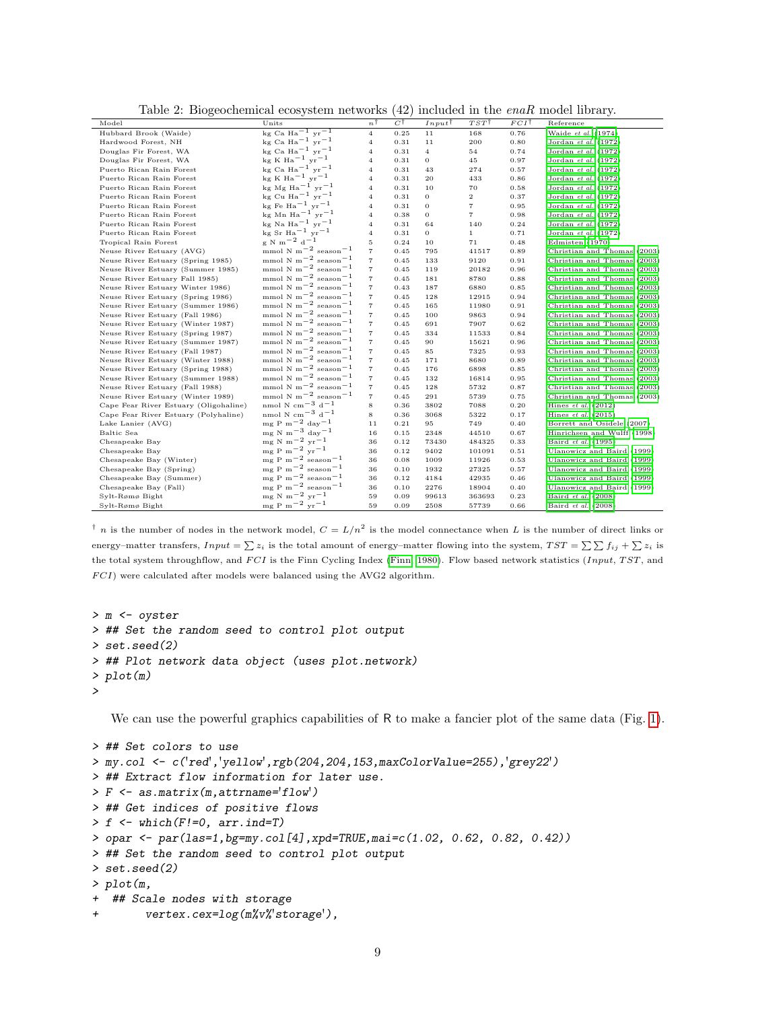| Model                                 | Units                                                                 | $n^{\dagger}$  | $C^{\dagger}$ | $Input^{\dagger}$ | $TST^{\dagger}$   | $FCI^{\dagger}$ | Reference                   |
|---------------------------------------|-----------------------------------------------------------------------|----------------|---------------|-------------------|-------------------|-----------------|-----------------------------|
| Hubbard Brook (Waide)                 | kg Ca Ha <sup>-1</sup> yr <sup>-1</sup>                               | $\overline{4}$ | 0.25          | 11                | 168               | 0.76            | Waide et al. (1974)         |
| Hardwood Forest, NH                   | kg Ca Ha <sup><math>-1</math></sup> yr $^{-1}$                        | 4              | 0.31          | 11                | 200               | 0.80            | Jordan et al. (1972)        |
| Douglas Fir Forest, WA                | kg Ca Ha <sup>-1</sup> $yr^{-1}$                                      | 4              | 0.31          | $\overline{4}$    | 54                | 0.74            | Jordan et al. (1972)        |
| Douglas Fir Forest, WA                | $kg K Ha^{-1} yr^{-1}$                                                | 4              | 0.31          | 0                 | 45                | 0.97            | Jordan et al. (1972)        |
| Puerto Rican Rain Forest              | kg Ca Ha <sup>-1</sup> $yr^{-1}$                                      | $\overline{4}$ | 0.31          | 43                | 274               | 0.57            | Jordan et al. (1972)        |
| Puerto Rican Rain Forest              | $kg K Ha^{-1} yr^{-1}$                                                | 4              | 0.31          | 20                | 433               | 0.86            | Jordan et al. (1972)        |
| Puerto Rican Rain Forest              | kg Mg Ha <sup>-1</sup> yr <sup>-1</sup>                               | 4              | 0.31          | 10                | 70                | 0.58            | Jordan et al. (1972)        |
| Puerto Rican Rain Forest              | $kg$ Cu Ha <sup>-1</sup> yr <sup>-1</sup>                             | 4              | 0.31          | $\sigma$          | $\overline{2}$    | 0.37            | Jordan et al. (1972)        |
| Puerto Rican Rain Forest              | kg Fe Ha <sup><math>-1</math></sup> yr $^{-1}$                        | $\overline{4}$ | 0.31          | $\sigma$          | $\scriptstyle{7}$ | 0.95            | Jordan et al. (1972)        |
| Puerto Rican Rain Forest              | kg Mn Ha <sup><math>-1</math></sup> yr $-1$                           | 4              | 0.38          | 0                 | $\overline{7}$    | 0.98            | Jordan et al. (1972)        |
| Puerto Rican Rain Forest              | kg Na $Ha^{-1}$ yr <sup>-1</sup>                                      | $\overline{4}$ | 0.31          | 64                | 140               | 0.24            | Jordan et al. (1972)        |
| Puerto Rican Rain Forest              | $kg$ Sr Ha <sup>-1</sup> yr <sup>-1</sup>                             | 4              | 0.31          | $\sigma$          | $\mathbf{1}$      | 0.71            | Jordan et al. (1972)        |
| Tropical Rain Forest                  | $\rm \varepsilon~N~m^{-2}~d^{-1}$                                     | 5              | 0.24          | 10                | 71                | 0.48            | Edmisten (1970)             |
| Neuse River Estuary (AVG)             | mmol N m <sup><math>-2</math></sup> season <sup><math>-1</math></sup> | 7              | 0.45          | 795               | 41517             | 0.89            | Christian and Thomas (2003) |
| Neuse River Estuary (Spring 1985)     | mmol N m <sup><math>-2</math></sup> season $^{-1}$                    | 7              | 0.45          | 133               | 9120              | 0.91            | Christian and Thomas (2003) |
| Neuse River Estuary (Summer 1985)     | mmol N m <sup><math>-2</math></sup> season $^{-1}$                    | $\overline{7}$ | 0.45          | 119               | 20182             | 0.96            | Christian and Thomas (2003) |
| Neuse River Estuary Fall 1985)        | mmol N m <sup><math>-2</math></sup> season <sup><math>-1</math></sup> | $\overline{7}$ | 0.45          | 181               | 8780              | 0.88            | Christian and Thomas (2003) |
| Neuse River Estuary Winter 1986)      | mmol N m <sup><math>-2</math></sup> season $^{-1}$                    | $\overline{7}$ | 0.43          | 187               | 6880              | 0.85            | Christian and Thomas (2003) |
| Neuse River Estuary (Spring 1986)     | mmol N m <sup><math>-2</math></sup> season $^{-1}$                    | 7              | 0.45          | 128               | 12915             | 0.94            | Christian and Thomas (2003) |
| Neuse River Estuary (Summer 1986)     | mmol N m <sup><math>-2</math></sup> season $^{-1}$                    | $\overline{7}$ | 0.45          | 165               | 11980             | 0.91            | Christian and Thomas (2003) |
| Neuse River Estuary (Fall 1986)       | mmol N m <sup><math>-2</math></sup> season $^{-1}$                    | $\overline{7}$ | 0.45          | 100               | 9863              | 0.94            | Christian and Thomas (2003) |
| Neuse River Estuary (Winter 1987)     | mmol N m <sup><math>-2</math></sup> season $^{-1}$                    | $\overline{7}$ | 0.45          | 691               | 7907              | 0.62            | Christian and Thomas (2003) |
| Neuse River Estuary (Spring 1987)     | mmol N m <sup><math>-2</math></sup> season $^{-1}$                    | 7              | 0.45          | 334               | 11533             | 0.84            | Christian and Thomas (2003) |
| Neuse River Estuary (Summer 1987)     | mmol N m <sup><math>-2</math></sup> season $^{-1}$                    | $\overline{7}$ | 0.45          | 90                | 15621             | 0.96            | Christian and Thomas (2003) |
| Neuse River Estuary (Fall 1987)       | mmol N m <sup><math>-2</math></sup> season <sup><math>-1</math></sup> | $\overline{7}$ | 0.45          | 85                | 7325              | 0.93            | Christian and Thomas (2003) |
| Neuse River Estuary (Winter 1988)     | mmol N m <sup><math>-2</math></sup> season <sup><math>-1</math></sup> | 7              | 0.45          | 171               | 8680              | 0.89            | Christian and Thomas (2003) |
| Neuse River Estuary (Spring 1988)     | mmol N m <sup><math>-2</math></sup> season $^{-1}$                    | $\overline{7}$ | 0.45          | 176               | 6898              | 0.85            | Christian and Thomas (2003) |
| Neuse River Estuary (Summer 1988)     | mmol N m <sup><math>-2</math></sup> season $^{-1}$                    | $\overline{7}$ | 0.45          | 132               | 16814             | 0.95            | Christian and Thomas (2003) |
| Neuse River Estuary (Fall 1988)       | mmol N m <sup><math>-2</math></sup> season <sup><math>-1</math></sup> | $\overline{7}$ | 0.45          | 128               | 5732              | 0.87            | Christian and Thomas (2003) |
| Neuse River Estuary (Winter 1989)     | mmol N m <sup><math>-2</math></sup> season $^{-1}$                    | $\overline{7}$ | 0.45          | 291               | 5739              | 0.75            | Christian and Thomas (2003) |
| Cape Fear River Estuary (Oligohaline) | nmol N cm <sup><math>-3</math></sup> d <sup>-1</sup>                  | 8              | 0.36          | 3802              | 7088              | 0.20            | Hines $et$ al. $(2012)$     |
| Cape Fear River Estuary (Polyhaline)  | nmol N cm <sup><math>-3</math></sup> d <sup><math>-1</math></sup>     | 8              | 0.36          | 3068              | 5322              | 0.17            | Hines $et$ al. $(2015)$     |
| Lake Lanier (AVG)                     | $mg P m^{-2} day^{-1}$                                                | 11             | 0.21          | 95                | 749               | 0.40            | Borrett and Osidele (2007)  |
| Baltic Sea                            | mg N m <sup><math>-3</math></sup> day <sup><math>-1</math></sup>      | 16             | 0.15          | 2348              | 44510             | 0.67            | Hinrichsen and Wulff (1998) |
| Chesapeake Bay                        | $me \text{ N m}^{-2} \text{ yr}^{-1}$                                 | 36             | 0.12          | 73430             | 484325            | 0.33            | Baird et al. (1995)         |
| Chesapeake Bay                        | $mg P m^{-2} yr^{-1}$                                                 | 36             | 0.12          | 9402              | 101091            | 0.51            | Ulanowicz and Baird (1999)  |
| Chesapeake Bay (Winter)               | $mg P m^{-2}$ season <sup>-1</sup>                                    | 36             | 0.08          | 1009              | 11926             | 0.53            | Ulanowicz and Baird (1999)  |
| Chesapeake Bay (Spring)               | $mg P m^{-2}$ season <sup>-1</sup>                                    | 36             | 0.10          | 1932              | 27325             | 0.57            | Ulanowicz and Baird (1999)  |
| Chesapeake Bay (Summer)               | $mg P m^{-2}$ season <sup>-1</sup>                                    | 36             | 0.12          | 4184              | 42935             | 0.46            | Ulanowicz and Baird (1999)  |
| Chesapeake Bay (Fall)                 | $meP$ m <sup>-2</sup> season <sup>-1</sup>                            | 36             | 0.10          | 2276              | 18904             | 0.40            | Ulanowicz and Baird (1999)  |
| Sylt-Rømø Bight                       | $mg \text{ N m}^{-2} \text{ yr}^{-1}$                                 | 59             | 0.09          | 99613             | 363693            | 0.23            | Baird et al. (2008)         |
| Sylt-Rømø Bight                       | $meP m-2 yr-1$                                                        | 59             | 0.09          | 2508              | 57739             | 0.66            | Baird et al. (2008)         |

<span id="page-8-0"></span>Table 2: Biogeochemical ecosystem networks (42) included in the enaR model library.

<sup>†</sup> n is the number of nodes in the network model,  $C = L/n^2$  is the model connectance when L is the number of direct links or energy–matter transfers,  $Input = \sum z_i$  is the total amount of energy–matter flowing into the system,  $TST = \sum \sum f_{ij} + \sum z_i$  is the total system throughflow, and  $FCI$  is the Finn Cycling Index [\(Finn, 1980\)](#page-40-9). Flow based network statistics (Input, TST, and  $FCI$ ) were calculated after models were balanced using the AVG2 algorithm.

```
> m <- oyster
> ## Set the random seed to control plot output
> set.seed(2)
> ## Plot network data object (uses plot.network)
> plot(m)
>
```
We can use the powerful graphics capabilities of R to make a fancier plot of the same data (Fig. [1\)](#page-9-0).

```
> ## Set colors to use
> my.col <- c('red','yellow',rgb(204,204,153,maxColorValue=255),'grey22')
> ## Extract flow information for later use.
> F <- as.matrix(m,attrname='flow')
> ## Get indices of positive flows
> f \leftarrow \text{which}(F!=0, \text{ arr.ind=T})> opar <- par(las=1,bg=my.col[4],xpd=TRUE,mai=c(1.02, 0.62, 0.82, 0.42))
> ## Set the random seed to control plot output
> set.seed(2)
> plot(m,
+ ## Scale nodes with storage
+ vertex.cex=log(m%v%'storage'),
```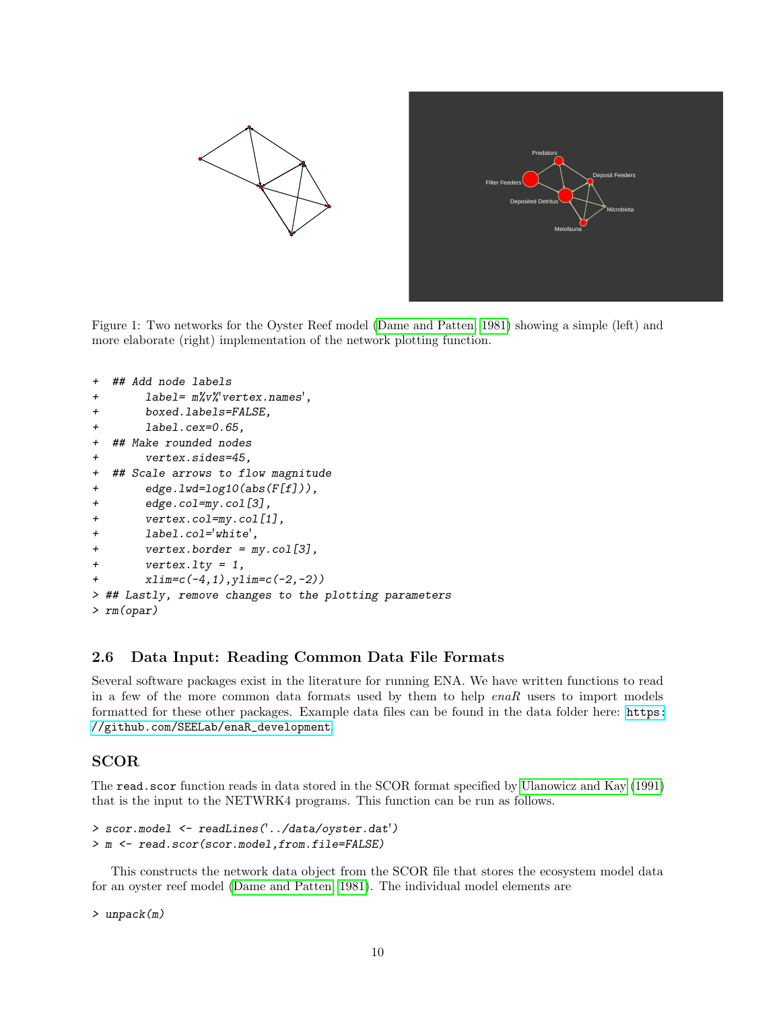

<span id="page-9-0"></span>Figure 1: Two networks for the Oyster Reef model [\(Dame and Patten, 1981\)](#page-40-8) showing a simple (left) and more elaborate (right) implementation of the network plotting function.

```
+ ## Add node labels
+ label= m%v%'vertex.names',
+ boxed.labels=FALSE,
+ label.cex=0.65,
+ ## Make rounded nodes
+ vertex.sides=45,
+ ## Scale arrows to flow magnitude
+ edge.lwd=log10(abs(F[f])),
+ edge.col=my.col[3],
+ vertex.col=my.col[1],
+ label.col='white',
+ vertex.border = my.col[3],
+ vertex.lty = 1,
+ xlim=c(-4,1),ylim=c(-2,-2))
> ## Lastly, remove changes to the plotting parameters
> rm(opar)
```
### 2.6 Data Input: Reading Common Data File Formats

Several software packages exist in the literature for running ENA. We have written functions to read in a few of the more common data formats used by them to help  $enaR$  users to import models formatted for these other packages. Example data files can be found in the data folder here: [https:](https://github.com/SEELab/enaR_development) [//github.com/SEELab/enaR\\_development](https://github.com/SEELab/enaR_development).

### SCOR

The read.scor function reads in data stored in the SCOR format specified by [Ulanowicz and Kay](#page-43-4) [\(1991\)](#page-43-4) that is the input to the NETWRK4 programs. This function can be run as follows.

```
> scor.model <- readLines('../data/oyster.dat')
> m <- read.scor(scor.model,from.file=FALSE)
```
This constructs the network data object from the SCOR file that stores the ecosystem model data for an oyster reef model [\(Dame and Patten, 1981\)](#page-40-8). The individual model elements are

> unpack(m)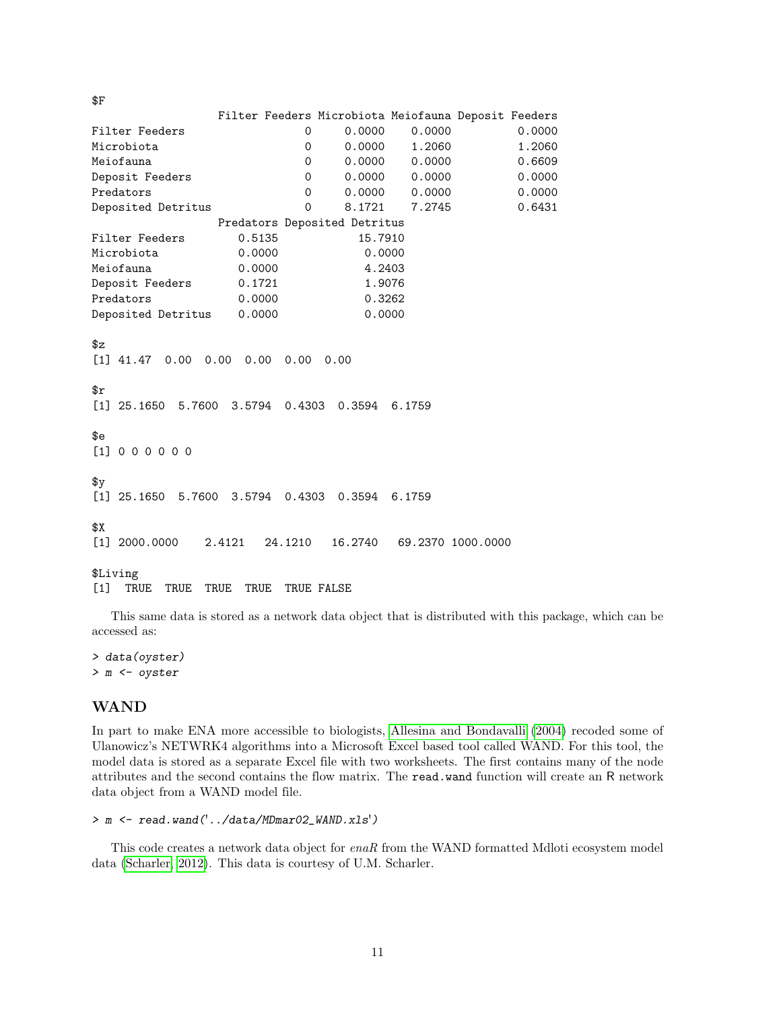Filter Feeders Microbiota Meiofauna Deposit Feeders Filter Feeders **0** 0.0000 0.0000 0.0000 0.0000 Microbiota 0 0.0000 1.2060 1.2060 Meiofauna 0 0.0000 0.0000 0.6609 Deposit Feeders 0 0.0000 0.0000 0.0000 Predators 0 0.0000 0.0000 0.0000 Deposited Detritus 0 8.1721 7.2745 0.6431 Predators Deposited Detritus Filter Feeders 0.5135 15.7910 Microbiota 0.0000 0.0000 Meiofauna 0.0000 4.2403 Deposit Feeders 0.1721 1.9076 Predators 0.0000 0.3262 Deposited Detritus 0.0000 0.0000  $x^2$ [1] 41.47 0.00 0.00 0.00 0.00 0.00 \$r [1] 25.1650 5.7600 3.5794 0.4303 0.3594 6.1759 \$e [1] 0 0 0 0 0 0  $\gamma$ [1] 25.1650 5.7600 3.5794 0.4303 0.3594 6.1759 \$X [1] 2000.0000 2.4121 24.1210 16.2740 69.2370 1000.0000 \$Living [1] TRUE TRUE TRUE TRUE TRUE FALSE

This same data is stored as a network data object that is distributed with this package, which can be accessed as:

> data(oyster) > m <- oyster

### WAND

\$F

In part to make ENA more accessible to biologists, [Allesina and Bondavalli](#page-38-6) [\(2004\)](#page-38-6) recoded some of Ulanowicz's NETWRK4 algorithms into a Microsoft Excel based tool called WAND. For this tool, the model data is stored as a separate Excel file with two worksheets. The first contains many of the node attributes and the second contains the flow matrix. The read.wand function will create an R network data object from a WAND model file.

```
> m <- read.wand('../data/MDmar02_WAND.xls')
```
This code creates a network data object for enaR from the WAND formatted Mdloti ecosystem model data [\(Scharler, 2012\)](#page-42-16). This data is courtesy of U.M. Scharler.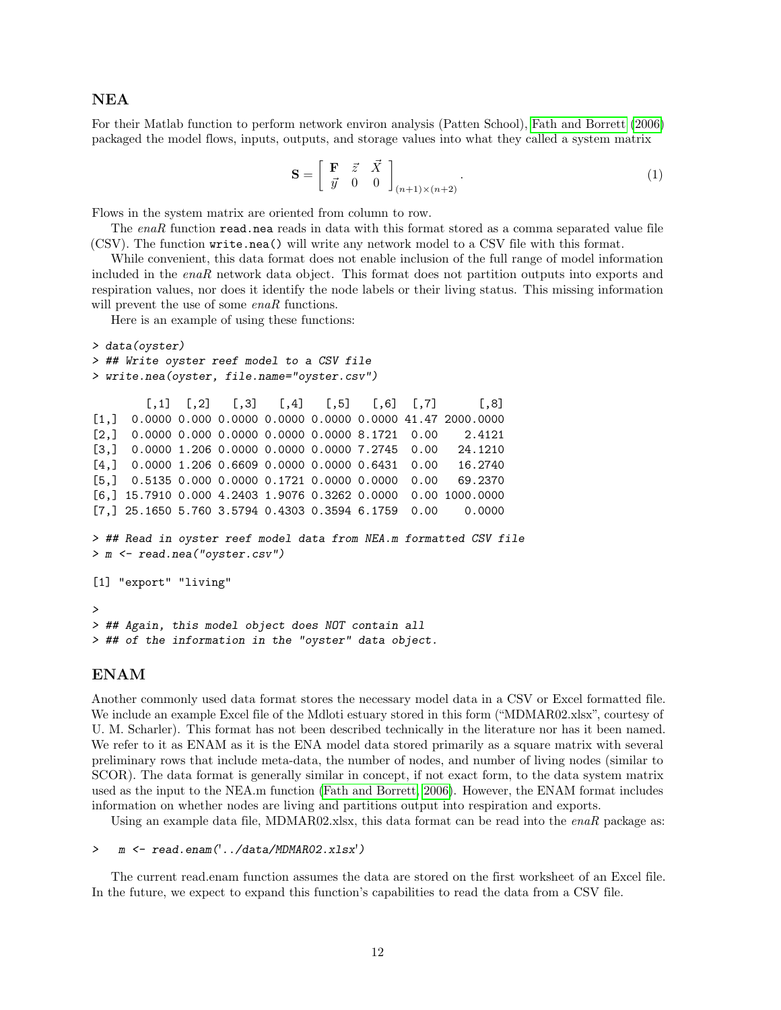#### NEA

For their Matlab function to perform network environ analysis (Patten School), [Fath and Borrett](#page-40-3) [\(2006\)](#page-40-3) packaged the model flows, inputs, outputs, and storage values into what they called a system matrix

$$
\mathbf{S} = \left[ \begin{array}{ccc} \mathbf{F} & \vec{z} & \vec{X} \\ \vec{y} & 0 & 0 \end{array} \right]_{(n+1)\times(n+2)} . \tag{1}
$$

Flows in the system matrix are oriented from column to row.

The enaR function read.nea reads in data with this format stored as a comma separated value file (CSV). The function write.nea() will write any network model to a CSV file with this format.

While convenient, this data format does not enable inclusion of the full range of model information included in the enaR network data object. This format does not partition outputs into exports and respiration values, nor does it identify the node labels or their living status. This missing information will prevent the use of some enaR functions.

Here is an example of using these functions:

```
> data(oyster)
> ## Write oyster reef model to a CSV file
> write.nea(oyster, file.name="oyster.csv")
        [0,1] [0,2] [0,3] [0,4] [0,5] [0,6] [0,7] [0,8][1,] 0.0000 0.000 0.0000 0.0000 0.0000 0.0000 41.47 2000.0000
[2,] 0.0000 0.000 0.0000 0.0000 0.0000 8.1721 0.00 2.4121
[3,] 0.0000 1.206 0.0000 0.0000 0.0000 7.2745 0.00 24.1210
[4,] 0.0000 1.206 0.6609 0.0000 0.0000 0.6431 0.00 16.2740
[5,] 0.5135 0.000 0.0000 0.1721 0.0000 0.0000 0.00 69.2370
[6,] 15.7910 0.000 4.2403 1.9076 0.3262 0.0000 0.00 1000.0000
[7,] 25.1650 5.760 3.5794 0.4303 0.3594 6.1759 0.00 0.0000
> ## Read in oyster reef model data from NEA.m formatted CSV file
> m <- read.nea("oyster.csv")
[1] "export" "living"
>
> ## Again, this model object does NOT contain all
> ## of the information in the "oyster" data object.
```
### ENAM

Another commonly used data format stores the necessary model data in a CSV or Excel formatted file. We include an example Excel file of the Mdloti estuary stored in this form ("MDMAR02.xlsx", courtesy of U. M. Scharler). This format has not been described technically in the literature nor has it been named. We refer to it as ENAM as it is the ENA model data stored primarily as a square matrix with several preliminary rows that include meta-data, the number of nodes, and number of living nodes (similar to SCOR). The data format is generally similar in concept, if not exact form, to the data system matrix used as the input to the NEA.m function [\(Fath and Borrett, 2006\)](#page-40-3). However, the ENAM format includes information on whether nodes are living and partitions output into respiration and exports.

Using an example data file, MDMAR02.xlsx, this data format can be read into the  $enaR$  package as:

```
> m <- read.enam('../data/MDMAR02.xlsx')
```
The current read.enam function assumes the data are stored on the first worksheet of an Excel file. In the future, we expect to expand this function's capabilities to read the data from a CSV file.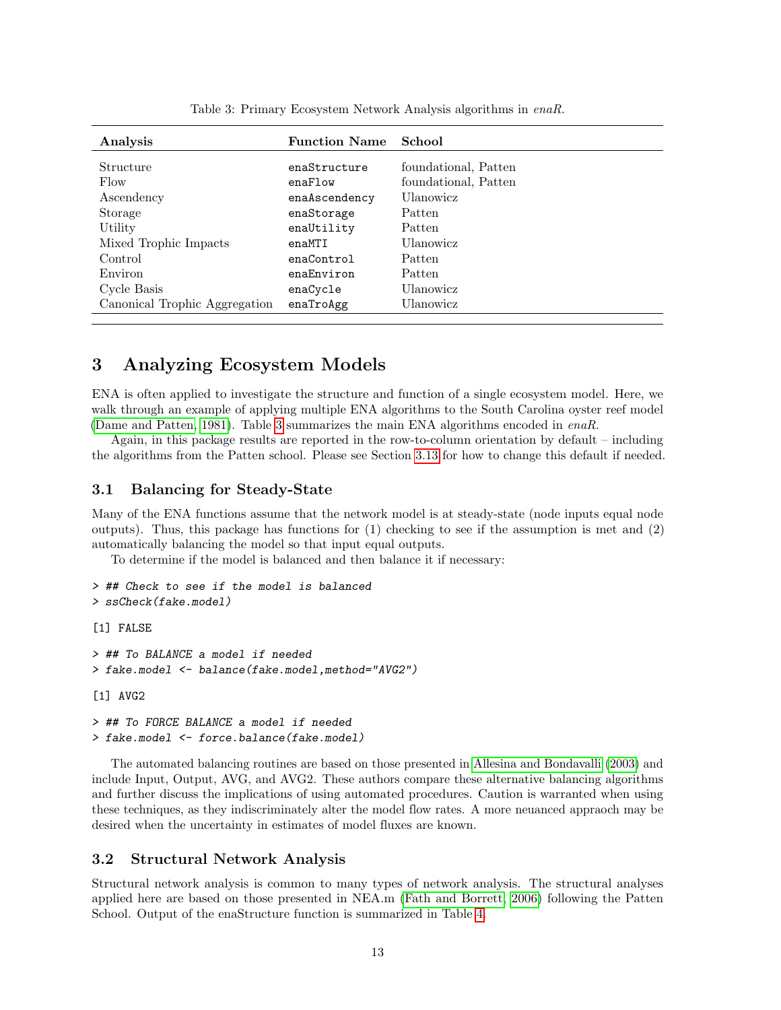| Analysis                      | <b>Function Name</b> | School               |
|-------------------------------|----------------------|----------------------|
| Structure                     | enaStructure         | foundational, Patten |
| Flow                          | enaFlow              | foundational, Patten |
| Ascendency                    | enaAscendency        | Ulanowicz            |
| Storage                       | enaStorage           | Patten               |
| Utility                       | enaUtility           | Patten               |
| Mixed Trophic Impacts         | enaMTI               | Ulanowicz            |
| Control                       | enaControl           | Patten               |
| Environ                       | enaEnviron           | Patten               |
| Cycle Basis                   | enaCycle             | Ulanowicz            |
| Canonical Trophic Aggregation | enaTroAgg            | Ulanowicz            |

<span id="page-12-0"></span>Table 3: Primary Ecosystem Network Analysis algorithms in enaR.

## 3 Analyzing Ecosystem Models

ENA is often applied to investigate the structure and function of a single ecosystem model. Here, we walk through an example of applying multiple ENA algorithms to the South Carolina oyster reef model [\(Dame and Patten, 1981\)](#page-40-8). Table [3](#page-12-0) summarizes the main ENA algorithms encoded in enaR.

Again, in this package results are reported in the row-to-column orientation by default – including the algorithms from the Patten school. Please see Section [3.13](#page-27-0) for how to change this default if needed.

#### 3.1 Balancing for Steady-State

Many of the ENA functions assume that the network model is at steady-state (node inputs equal node outputs). Thus, this package has functions for (1) checking to see if the assumption is met and (2) automatically balancing the model so that input equal outputs.

To determine if the model is balanced and then balance it if necessary:

```
> ## Check to see if the model is balanced
> ssCheck(fake.model)
[1] FALSE
> ## To BALANCE a model if needed
> fake.model <- balance(fake.model,method="AVG2")
[1] AVG2
```

```
> ## To FORCE BALANCE a model if needed
> fake.model <- force.balance(fake.model)
```
The automated balancing routines are based on those presented in [Allesina and Bondavalli](#page-38-15) [\(2003\)](#page-38-15) and include Input, Output, AVG, and AVG2. These authors compare these alternative balancing algorithms and further discuss the implications of using automated procedures. Caution is warranted when using these techniques, as they indiscriminately alter the model flow rates. A more neuanced appraoch may be desired when the uncertainty in estimates of model fluxes are known.

#### 3.2 Structural Network Analysis

Structural network analysis is common to many types of network analysis. The structural analyses applied here are based on those presented in NEA.m [\(Fath and Borrett, 2006\)](#page-40-3) following the Patten School. Output of the enaStructure function is summarized in Table [4.](#page-13-0)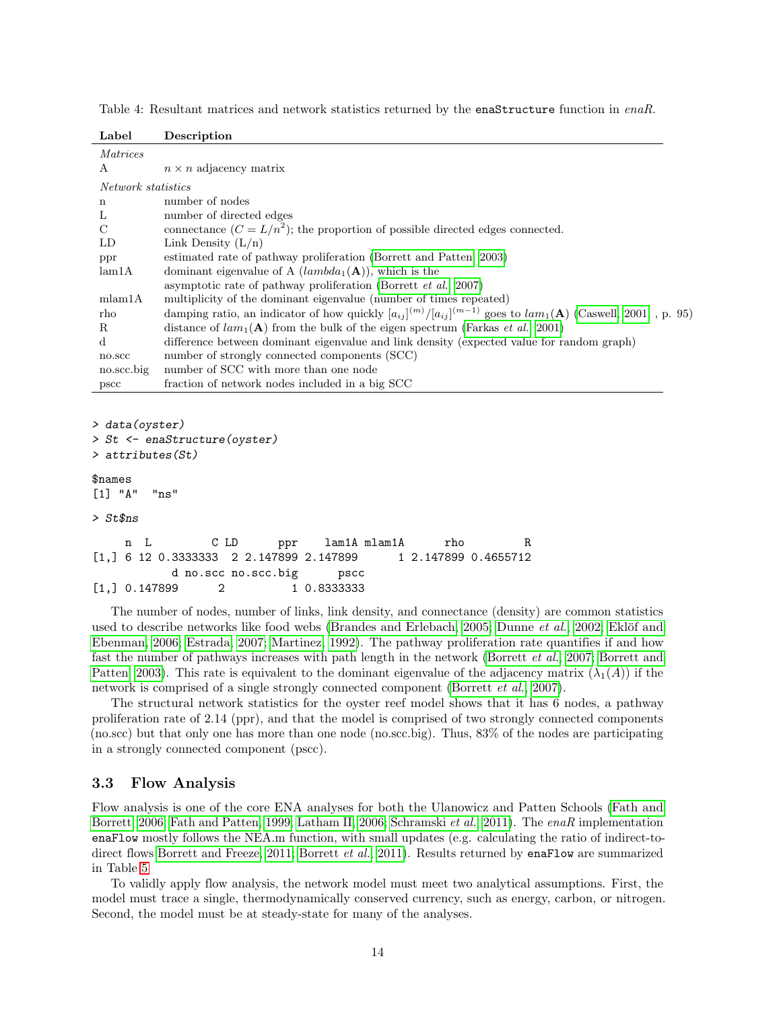| Label              | Description                                                                                                                       |
|--------------------|-----------------------------------------------------------------------------------------------------------------------------------|
| <i>Matrices</i>    |                                                                                                                                   |
| А                  | $n \times n$ adjacency matrix                                                                                                     |
| Network statistics |                                                                                                                                   |
| n                  | number of nodes                                                                                                                   |
| L                  | number of directed edges                                                                                                          |
| $\mathcal{C}$      | connectance $(C = L/n^2)$ ; the proportion of possible directed edges connected.                                                  |
| LD                 | Link Density $(L/n)$                                                                                                              |
| ppr                | estimated rate of pathway proliferation (Borrett and Patten, 2003)                                                                |
| lam1A              | dominant eigenvalue of A $(lambda_1(A))$ , which is the                                                                           |
|                    | asymptotic rate of pathway proliferation (Borrett et al., 2007)                                                                   |
| mlam1A             | multiplicity of the dominant eigenvalue (number of times repeated)                                                                |
| rho                | damping ratio, an indicator of how quickly $[a_{ij}]^{(m)}/[a_{ij}]^{(m-1)}$ goes to $lam_1(\mathbf{A})$ (Caswell, 2001, , p. 95) |
| R                  | distance of $lam_1(A)$ from the bulk of the eigen spectrum (Farkas <i>et al.</i> , 2001)                                          |
| d                  | difference between dominant eigenvalue and link density (expected value for random graph)                                         |
| no.scc             | number of strongly connected components (SCC)                                                                                     |
| no.scc.big         | number of SCC with more than one node                                                                                             |
| pscc               | fraction of network nodes included in a big SCC                                                                                   |

<span id="page-13-0"></span>Table 4: Resultant matrices and network statistics returned by the enaStructure function in enaR.

> data(oyster)

```
> St <- enaStructure(oyster)
```

```
> attributes(St)
```
#### \$names

```
[1] "A" "ns"
```
#### > St\$ns

```
n L C LD ppr lam1A mlam1A rho R
[1,] 6 12 0.3333333 2 2.147899 2.147899 1 2.147899 0.4655712
        d no.scc no.scc.big pscc
[1,] 0.147899 2 1 0.8333333
```
The number of nodes, number of links, link density, and connectance (density) are common statistics used to describe networks like food webs [\(Brandes and Erlebach, 2005;](#page-39-17) [Dunne](#page-40-12) *et al.*, [2002;](#page-40-12) Eklöf and [Ebenman, 2006;](#page-40-13) [Estrada, 2007;](#page-40-14) [Martinez, 1992\)](#page-41-16). The pathway proliferation rate quantifies if and how fast the number of pathways increases with path length in the network [\(Borrett](#page-39-15) et al., [2007;](#page-39-15) [Borrett and](#page-39-14) [Patten, 2003\)](#page-39-14). This rate is equivalent to the dominant eigenvalue of the adjacency matrix  $(\lambda_1(A))$  if the network is comprised of a single strongly connected component [\(Borrett](#page-39-15) et al., [2007\)](#page-39-15).

The structural network statistics for the oyster reef model shows that it has 6 nodes, a pathway proliferation rate of 2.14 (ppr), and that the model is comprised of two strongly connected components (no.scc) but that only one has more than one node (no.scc.big). Thus, 83% of the nodes are participating in a strongly connected component (pscc).

### 3.3 Flow Analysis

Flow analysis is one of the core ENA analyses for both the Ulanowicz and Patten Schools [\(Fath and](#page-40-3) [Borrett, 2006;](#page-40-3) [Fath and Patten, 1999;](#page-40-0) [Latham II, 2006;](#page-41-5) [Schramski](#page-43-12) et al., [2011\)](#page-43-12). The enaR implementation enaFlow mostly follows the NEA.m function, with small updates (e.g. calculating the ratio of indirect-to-direct flows [Borrett and Freeze, 2011;](#page-39-18) [Borrett](#page-39-19) et al., [2011\)](#page-39-19). Results returned by enaFlow are summarized in Table [5](#page-14-0)

To validly apply flow analysis, the network model must meet two analytical assumptions. First, the model must trace a single, thermodynamically conserved currency, such as energy, carbon, or nitrogen. Second, the model must be at steady-state for many of the analyses.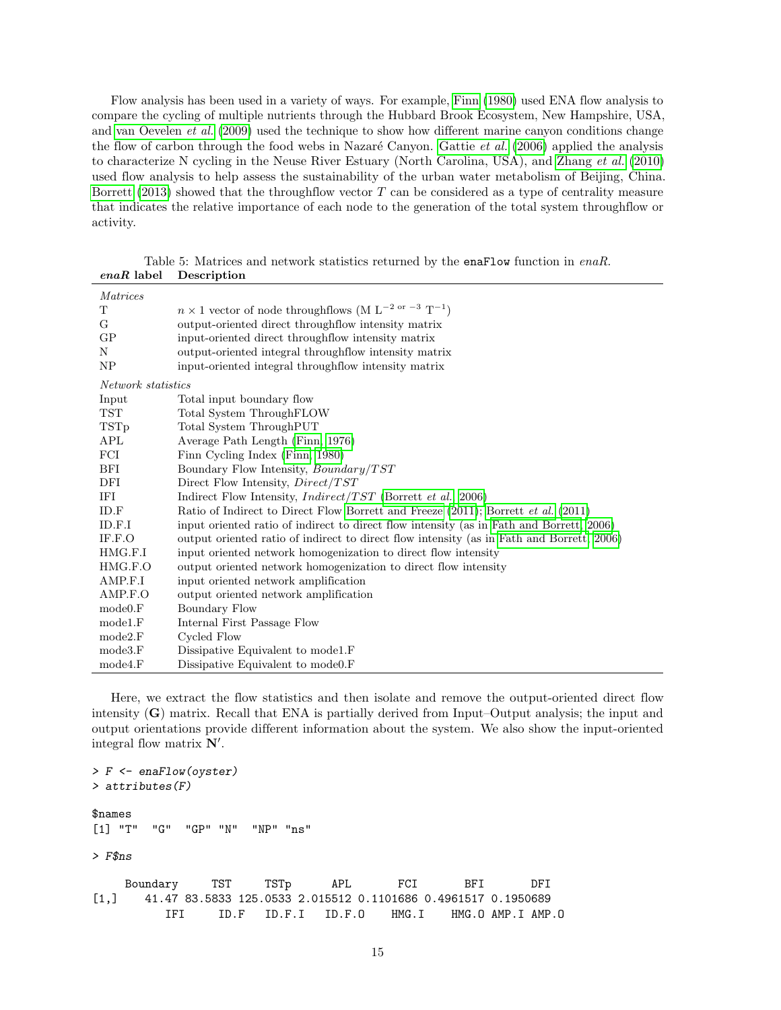Flow analysis has been used in a variety of ways. For example, [Finn](#page-40-9) [\(1980\)](#page-40-9) used ENA flow analysis to compare the cycling of multiple nutrients through the Hubbard Brook Ecosystem, New Hampshire, USA, and [van Oevelen](#page-44-9) et al. [\(2009\)](#page-44-9) used the technique to show how different marine canyon conditions change the flow of carbon through the food webs in Nazaré Canyon. [Gattie](#page-40-15) *et al.* [\(2006\)](#page-40-15) applied the analysis to characterize N cycling in the Neuse River Estuary (North Carolina, USA), and [Zhang](#page-44-3) et al. [\(2010\)](#page-44-3) used flow analysis to help assess the sustainability of the urban water metabolism of Beijing, China. [Borrett](#page-38-7) [\(2013\)](#page-38-7) showed that the throughflow vector T can be considered as a type of centrality measure that indicates the relative importance of each node to the generation of the total system throughflow or activity.

| $enaR$ label       | Description                                                                               |
|--------------------|-------------------------------------------------------------------------------------------|
| Matrices           |                                                                                           |
| T                  | $n \times 1$ vector of node throughflows (M L <sup>-2 or -3</sup> T <sup>-1</sup> )       |
| G                  | output-oriented direct throughflow intensity matrix                                       |
| GP                 | input-oriented direct throughflow intensity matrix                                        |
| N                  | output-oriented integral throughflow intensity matrix                                     |
| NP                 | input-oriented integral throughflow intensity matrix                                      |
| Network statistics |                                                                                           |
| Input              | Total input boundary flow                                                                 |
| <b>TST</b>         | Total System ThroughFLOW                                                                  |
| TSTp               | Total System ThroughPUT                                                                   |
| APL                | Average Path Length (Finn, 1976)                                                          |
| FCI                | Finn Cycling Index (Finn, 1980)                                                           |
| BFI                | Boundary Flow Intensity, <i>Boundary</i> /TST                                             |
| DFI                | Direct Flow Intensity, Direct/TST                                                         |
| IFI                | Indirect Flow Intensity, $Indirect/TST$ (Borrett et al., 2006)                            |
| ID.F               | Ratio of Indirect to Direct Flow Borrett and Freeze (2011); Borrett et al. (2011)         |
| ID.F.I             | input oriented ratio of indirect to direct flow intensity (as in Fath and Borrett, 2006)  |
| IF.F.O             | output oriented ratio of indirect to direct flow intensity (as in Fath and Borrett, 2006) |
| HMG.F.I            | input oriented network homogenization to direct flow intensity                            |
| HMG.F.O            | output oriented network homogenization to direct flow intensity                           |
| AMP.F.I            | input oriented network amplification                                                      |
| AMP.F.O            | output oriented network amplification                                                     |
| mode0.F            | Boundary Flow                                                                             |
| model.F            | Internal First Passage Flow                                                               |
| mode2.F            | Cycled Flow                                                                               |
| mode3.F            | Dissipative Equivalent to model.F                                                         |
| mode4.F            | Dissipative Equivalent to mode 0. F                                                       |

<span id="page-14-0"></span>Table 5: Matrices and network statistics returned by the enaFlow function in enaR.

Here, we extract the flow statistics and then isolate and remove the output-oriented direct flow intensity (G) matrix. Recall that ENA is partially derived from Input–Output analysis; the input and output orientations provide different information about the system. We also show the input-oriented integral flow matrix  $N'$ .

```
> F <- enaFlow(oyster)
> attributes(F)
$names
[1] "T" "G" "GP" "N" "NP" "ns"
> F$ns
    Boundary TST TSTp APL FCI BFI DFI
[1,] 41.47 83.5833 125.0533 2.015512 0.1101686 0.4961517 0.1950689
         IFI ID.F ID.F.I ID.F.O HMG.I HMG.O AMP.I AMP.O
```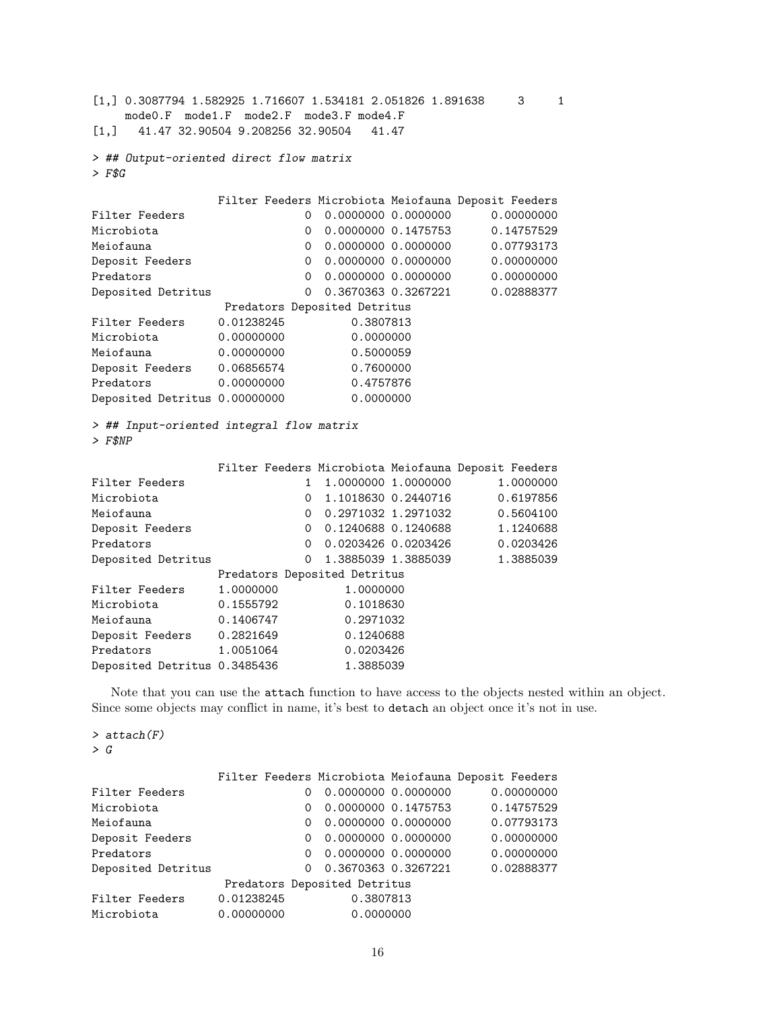$[1,] 0.3087794 1.582925 1.716607 1.534181 2.051826 1.891638 3 1$ mode0.F mode1.F mode2.F mode3.F mode4.F [1,] 41.47 32.90504 9.208256 32.90504 41.47

```
> ## Output-oriented direct flow matrix
> F$G
```

|                               |            |                         |                              |                     | Filter Feeders Microbiota Meiofauna Deposit Feeders |  |  |
|-------------------------------|------------|-------------------------|------------------------------|---------------------|-----------------------------------------------------|--|--|
| Filter Feeders                |            | 0                       |                              | 0.0000000 0.0000000 | 0.00000000                                          |  |  |
| Microbiota                    |            | 0                       |                              | 0.0000000 0.1475753 | 0.14757529                                          |  |  |
| Meiofauna                     |            | 0                       |                              |                     | 0.07793173                                          |  |  |
| Deposit Feeders               |            | $\Omega$                |                              | 0.0000000 0.0000000 | 0.00000000                                          |  |  |
| Predators                     |            | 0                       |                              | 0.0000000 0.0000000 | 0.00000000                                          |  |  |
| Deposited Detritus            |            | $\Omega$                |                              | 0.3670363 0.3267221 | 0.02888377                                          |  |  |
|                               |            |                         | Predators Deposited Detritus |                     |                                                     |  |  |
| Filter Feeders                | 0.01238245 |                         | 0.3807813                    |                     |                                                     |  |  |
| Microbiota                    | 0.00000000 |                         | 0.0000000                    |                     |                                                     |  |  |
| Meiofauna                     |            | 0.00000000<br>0.5000059 |                              |                     |                                                     |  |  |
| Deposit Feeders               |            | 0.06856574<br>0.7600000 |                              |                     |                                                     |  |  |
| Predators                     | 0.00000000 | 0.4757876               |                              |                     |                                                     |  |  |
| Deposited Detritus 0.00000000 |            |                         | 0.0000000                    |                     |                                                     |  |  |

> ## Input-oriented integral flow matrix  $>$  F\$NP

|                              |           |                        |                              |                      | Filter Feeders Microbiota Meiofauna Deposit Feeders |  |  |
|------------------------------|-----------|------------------------|------------------------------|----------------------|-----------------------------------------------------|--|--|
| Filter Feeders               |           |                        |                              | 1,0000000 1,0000000  | 1.0000000                                           |  |  |
| Microbiota                   |           | 0                      |                              | 1.1018630 0.2440716  | 0.6197856                                           |  |  |
| Meiofauna                    |           | $\Omega$               | 0.2971032 1.2971032          |                      | 0.5604100                                           |  |  |
| Deposit Feeders              |           | $\Omega$               | 0.1240688 0.1240688          |                      | 1.1240688                                           |  |  |
| Predators                    |           | $\Omega$               |                              | 0.0203426  0.0203426 | 0.0203426                                           |  |  |
| Deposited Detritus           |           | $\Omega$               |                              | 1.3885039 1.3885039  | 1.3885039                                           |  |  |
|                              |           |                        | Predators Deposited Detritus |                      |                                                     |  |  |
| Filter Feeders               | 1,0000000 |                        | 1.0000000                    |                      |                                                     |  |  |
| Microbiota                   | 0.1555792 |                        | 0.1018630                    |                      |                                                     |  |  |
| Meiofauna                    |           | 0.1406747<br>0.2971032 |                              |                      |                                                     |  |  |
| Deposit Feeders              | 0.2821649 |                        | 0.1240688                    |                      |                                                     |  |  |
| Predators                    | 1.0051064 |                        | 0.0203426                    |                      |                                                     |  |  |
| Deposited Detritus 0.3485436 |           |                        | 1.3885039                    |                      |                                                     |  |  |

Note that you can use the attach function to have access to the objects nested within an object. Since some objects may conflict in name, it's best to detach an object once it's not in use.

> attach(F) > G

|                    |            |                         |                              |  | Filter Feeders Microbiota Meiofauna Deposit Feeders |  |  |
|--------------------|------------|-------------------------|------------------------------|--|-----------------------------------------------------|--|--|
| Filter Feeders     |            | 0                       |                              |  | 0.00000000                                          |  |  |
| Microbiota         |            | $\Omega$                | 0.0000000   0.1475753        |  | 0.14757529                                          |  |  |
| Meiofauna          |            |                         |                              |  | 0.07793173                                          |  |  |
| Deposit Feeders    |            |                         |                              |  | 0.00000000                                          |  |  |
| Predators          |            |                         |                              |  | 0.00000000                                          |  |  |
| Deposited Detritus |            |                         | 0 0.3670363 0.3267221        |  | 0.02888377                                          |  |  |
|                    |            |                         | Predators Deposited Detritus |  |                                                     |  |  |
| Filter Feeders     |            | 0.01238245<br>0.3807813 |                              |  |                                                     |  |  |
| Microbiota         | 0.00000000 |                         | 0.0000000                    |  |                                                     |  |  |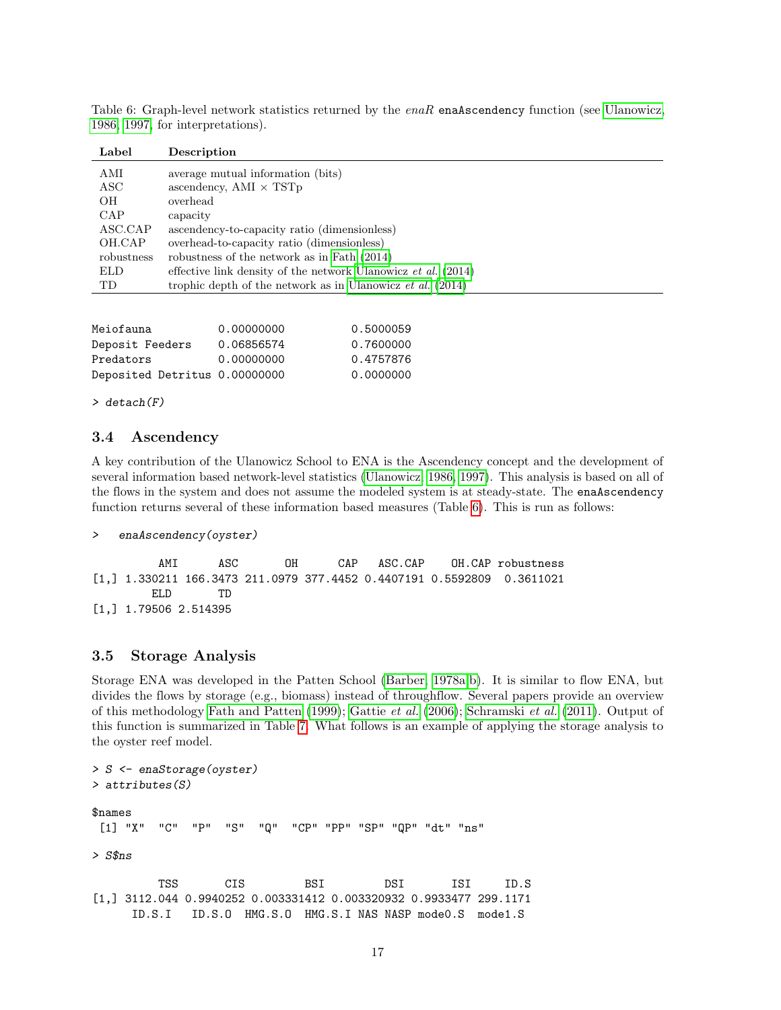<span id="page-16-0"></span>

|  |                                   |  |  | Table 6: Graph-level network statistics returned by the $enaR$ ena $A$ scendency function (see Ulanowicz, |  |  |
|--|-----------------------------------|--|--|-----------------------------------------------------------------------------------------------------------|--|--|
|  | 1986, 1997, for interpretations). |  |  |                                                                                                           |  |  |

| Label      | Description                                                         |
|------------|---------------------------------------------------------------------|
| AMI        | average mutual information (bits)                                   |
| ASC        | ascendency, AMI $\times$ TST <sub>p</sub>                           |
| OН         | overhead                                                            |
| <b>CAP</b> | capacity                                                            |
| ASC.CAP    | ascendency-to-capacity ratio (dimensionless)                        |
| OH.CAP     | overhead-to-capacity ratio (dimensionless)                          |
| robustness | robustness of the network as in Fath (2014)                         |
| <b>ELD</b> | effective link density of the network Ulanowicz et al. $(2014)$     |
| TD         | trophic depth of the network as in Ulanowicz <i>et al.</i> $(2014)$ |

| Meiofauna                     | 0.00000000 | 0.5000059 |
|-------------------------------|------------|-----------|
| Deposit Feeders               | 0.06856574 | 0.7600000 |
| Predators                     | 0.00000000 | 0.4757876 |
| Deposited Detritus 0.00000000 |            | 0.0000000 |

#### > detach(F)

#### 3.4 Ascendency

A key contribution of the Ulanowicz School to ENA is the Ascendency concept and the development of several information based network-level statistics [\(Ulanowicz, 1986,](#page-43-0) [1997\)](#page-43-2). This analysis is based on all of the flows in the system and does not assume the modeled system is at steady-state. The enaAscendency function returns several of these information based measures (Table [6\)](#page-16-0). This is run as follows:

#### > enaAscendency(oyster)

AMI ASC OH CAP ASC.CAP OH.CAP robustness [1,] 1.330211 166.3473 211.0979 377.4452 0.4407191 0.5592809 0.3611021 ELD TD [1,] 1.79506 2.514395

#### 3.5 Storage Analysis

Storage ENA was developed in the Patten School [\(Barber, 1978a,](#page-38-16)[b\)](#page-38-17). It is similar to flow ENA, but divides the flows by storage (e.g., biomass) instead of throughflow. Several papers provide an overview of this methodology [Fath and Patten](#page-40-0) [\(1999\)](#page-40-0); [Gattie](#page-40-15) et al. [\(2006\)](#page-40-15); [Schramski](#page-43-12) et al. [\(2011\)](#page-43-12). Output of this function is summarized in Table [7.](#page-17-0) What follows is an example of applying the storage analysis to the oyster reef model.

```
> S <- enaStorage(oyster)
> attributes(S)
$names
 [1] "X" "C" "P" "S" "Q" "CP" "PP" "SP" "QP" "dt" "ns"
> S$ns
         TSS CIS BSI DSI ISI ID.S
[1,] 3112.044 0.9940252 0.003331412 0.003320932 0.9933477 299.1171
     ID.S.I ID.S.O HMG.S.O HMG.S.I NAS NASP mode0.S mode1.S
```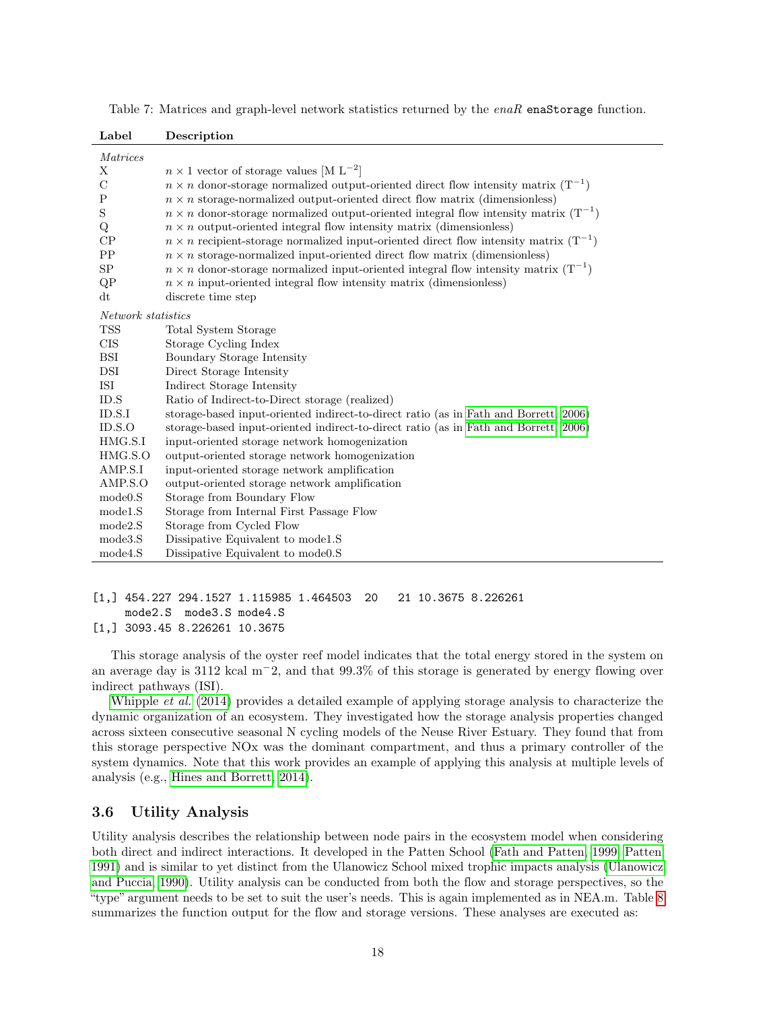| Label                | Description                                                                                      |
|----------------------|--------------------------------------------------------------------------------------------------|
| <i>Matrices</i>      |                                                                                                  |
| X                    | $n \times 1$ vector of storage values [M L <sup>-2</sup> ]                                       |
| $\mathcal{C}$        | $n \times n$ donor-storage normalized output-oriented direct flow intensity matrix $(T^{-1})$    |
| P                    | $n \times n$ storage-normalized output-oriented direct flow matrix (dimensionless)               |
| $\mathbf S$          | $n \times n$ donor-storage normalized output-oriented integral flow intensity matrix $(T^{-1})$  |
| Q                    | $n \times n$ output-oriented integral flow intensity matrix (dimensionless)                      |
| CP                   | $n \times n$ recipient-storage normalized input-oriented direct flow intensity matrix $(T^{-1})$ |
| PP                   | $n \times n$ storage-normalized input-oriented direct flow matrix (dimensionless)                |
| SP                   | $n \times n$ donor-storage normalized input-oriented integral flow intensity matrix $(T^{-1})$   |
| QP                   | $n \times n$ input-oriented integral flow intensity matrix (dimensionless)                       |
| dt                   | discrete time step                                                                               |
| Network statistics   |                                                                                                  |
| <b>TSS</b>           | Total System Storage                                                                             |
| CIS                  | Storage Cycling Index                                                                            |
| <b>BSI</b>           | Boundary Storage Intensity                                                                       |
| DSI                  | Direct Storage Intensity                                                                         |
| $\operatorname{ISI}$ | Indirect Storage Intensity                                                                       |
| ID.S                 | Ratio of Indirect-to-Direct storage (realized)                                                   |
| ID.S.I               | storage-based input-oriented indirect-to-direct ratio (as in Fath and Borrett, 2006)             |
| ID.S.O               | storage-based input-oriented indirect-to-direct ratio (as in Fath and Borrett, 2006)             |
| HMG.S.I              | input-oriented storage network homogenization                                                    |
| HMG.S.O<br>AMP.S.I   | output-oriented storage network homogenization                                                   |
| AMP.S.O              | input-oriented storage network amplification<br>output-oriented storage network amplification    |
| mode0.S              | Storage from Boundary Flow                                                                       |
| mode1.S              | Storage from Internal First Passage Flow                                                         |
| mode2.S              | Storage from Cycled Flow                                                                         |
| mode3.S              | Dissipative Equivalent to model.S                                                                |
| mode4.S              | Dissipative Equivalent to mode0.S                                                                |
|                      |                                                                                                  |

<span id="page-17-0"></span>Table 7: Matrices and graph-level network statistics returned by the enaR enaStorage function.

```
[1,] 454.227 294.1527 1.115985 1.464503 20 21 10.3675 8.226261
    mode2.S mode3.S mode4.S
```

```
[1,] 3093.45 8.226261 10.3675
```
This storage analysis of the oyster reef model indicates that the total energy stored in the system on an average day is 3112 kcal m<sup>−</sup>2, and that 99.3% of this storage is generated by energy flowing over indirect pathways (ISI).

[Whipple](#page-44-10) et al. [\(2014\)](#page-44-10) provides a detailed example of applying storage analysis to characterize the dynamic organization of an ecosystem. They investigated how the storage analysis properties changed across sixteen consecutive seasonal N cycling models of the Neuse River Estuary. They found that from this storage perspective NOx was the dominant compartment, and thus a primary controller of the system dynamics. Note that this work provides an example of applying this analysis at multiple levels of analysis (e.g., [Hines and Borrett, 2014\)](#page-41-17).

### 3.6 Utility Analysis

Utility analysis describes the relationship between node pairs in the ecosystem model when considering both direct and indirect interactions. It developed in the Patten School [\(Fath and Patten, 1999;](#page-40-0) [Patten,](#page-42-5) [1991\)](#page-42-5) and is similar to yet distinct from the Ulanowicz School mixed trophic impacts analysis [\(Ulanowicz](#page-44-2) [and Puccia, 1990\)](#page-44-2). Utility analysis can be conducted from both the flow and storage perspectives, so the "type" argument needs to be set to suit the user's needs. This is again implemented as in NEA.m. Table [8](#page-18-0) summarizes the function output for the flow and storage versions. These analyses are executed as: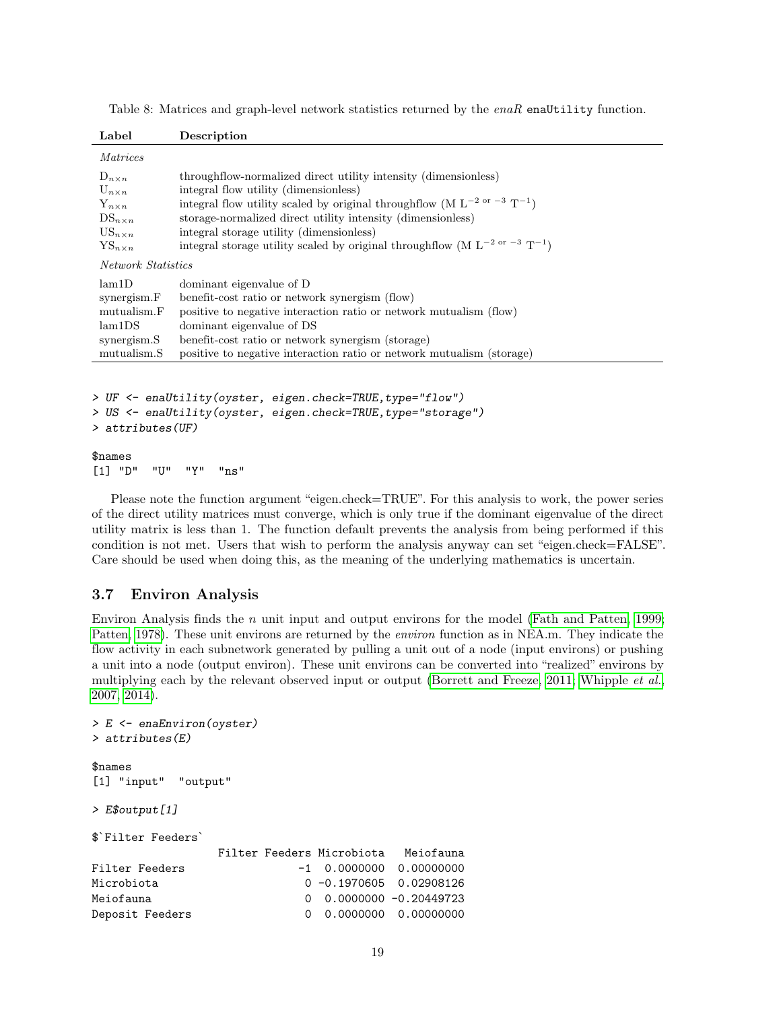| Label                                                                                                                   | Description                                                                                                                                                                                                                                                                                                                                                                                                |
|-------------------------------------------------------------------------------------------------------------------------|------------------------------------------------------------------------------------------------------------------------------------------------------------------------------------------------------------------------------------------------------------------------------------------------------------------------------------------------------------------------------------------------------------|
| <i>Matrices</i>                                                                                                         |                                                                                                                                                                                                                                                                                                                                                                                                            |
| $D_{n \times n}$<br>$U_{n \times n}$<br>$Y_{n \times n}$<br>$DS_{n \times n}$<br>$US_{n \times n}$<br>$YS_{n \times n}$ | throughflow-normalized direct utility intensity (dimensionless)<br>integral flow utility (dimensionless)<br>integral flow utility scaled by original through<br>flow (M $\rm L^{-2~or~-3}~T^{-1})$<br>storage-normalized direct utility intensity (dimensionless)<br>integral storage utility (dimensionless)<br>integral storage utility scaled by original through<br>flow (M $\rm L^{-2~or~-3}~T^{-1})$ |
| <b>Network Statistics</b>                                                                                               |                                                                                                                                                                                                                                                                                                                                                                                                            |
| lam1D<br>synergism.F<br>mutualism.F<br>lam1DS<br>synergism.S<br>mutualism.S                                             | dominant eigenvalue of D<br>benefit-cost ratio or network synergism (flow)<br>positive to negative interaction ratio or network mutualism (flow)<br>dominant eigenvalue of DS<br>benefit-cost ratio or network synergism (storage)<br>positive to negative interaction ratio or network mutualism (storage)                                                                                                |

<span id="page-18-0"></span>Table 8: Matrices and graph-level network statistics returned by the enaR enaUtility function.

```
> UF <- enaUtility(oyster, eigen.check=TRUE,type="flow")
> US <- enaUtility(oyster, eigen.check=TRUE,type="storage")
> attributes(UF)
```

```
$names
[1] "D" "U" "Y" "ns"
```
Please note the function argument "eigen.check=TRUE". For this analysis to work, the power series of the direct utility matrices must converge, which is only true if the dominant eigenvalue of the direct utility matrix is less than 1. The function default prevents the analysis from being performed if this condition is not met. Users that wish to perform the analysis anyway can set "eigen.check=FALSE". Care should be used when doing this, as the meaning of the underlying mathematics is uncertain.

### 3.7 Environ Analysis

Environ Analysis finds the *n* unit input and output environs for the model [\(Fath and Patten, 1999;](#page-40-0) [Patten, 1978\)](#page-42-7). These unit environs are returned by the environ function as in NEA.m. They indicate the flow activity in each subnetwork generated by pulling a unit out of a node (input environs) or pushing a unit into a node (output environ). These unit environs can be converted into "realized" environs by multiplying each by the relevant observed input or output [\(Borrett and Freeze, 2011;](#page-39-18) [Whipple](#page-44-11) *et al.*, [2007,](#page-44-11) [2014\)](#page-44-10).

```
> E <- enaEnviron(oyster)
> attributes(E)
$names
[1] "input" "output"
> E$output[1]
$`Filter Feeders`
              Filter Feeders Microbiota Meiofauna
Filter Feeders -1 0.0000000 0.00000000
Microbiota 0 -0.1970605 0.02908126
Meiofauna 0 0.0000000 -0.20449723
Deposit Feeders 0 0.0000000 0.00000000
```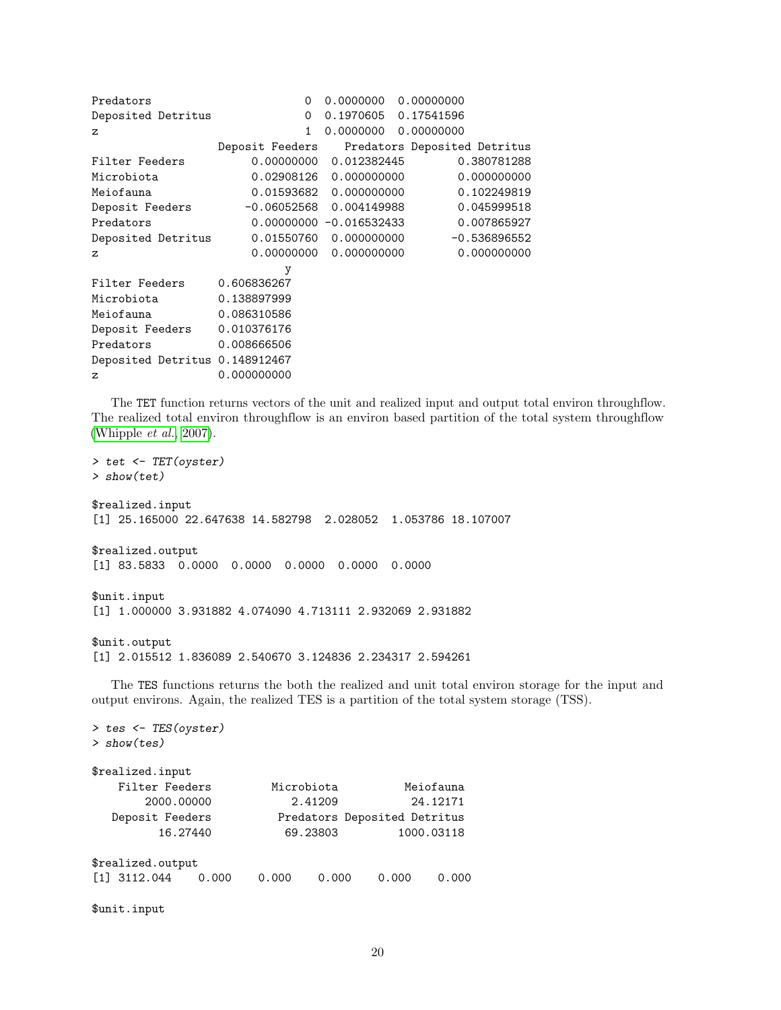| Predators                      | $\Omega$        | 0.0000000                  | 0.00000000                   |
|--------------------------------|-----------------|----------------------------|------------------------------|
| Deposited Detritus             | $\Omega$        | 0.1970605 0.17541596       |                              |
| $\mathbf{z}$                   | 1               | 0.0000000                  | 0.00000000                   |
|                                | Deposit Feeders |                            | Predators Deposited Detritus |
| Filter Feeders                 | 0.00000000      | 0.012382445                | 0.380781288                  |
| Microbiota                     | 0.02908126      | 0.000000000                | 0.000000000                  |
| Meiofauna                      | 0.01593682      | 0.000000000                | 0.102249819                  |
| Deposit Feeders                | $-0.06052568$   | 0.004149988                | 0.045999518                  |
| Predators                      |                 | $0.00000000 - 0.016532433$ | 0.007865927                  |
| Deposited Detritus             | 0.01550760      | 0.000000000                | $-0.536896552$               |
| $\mathbf{z}$                   | 0.00000000      | 0.000000000                | 0.000000000                  |
|                                | у               |                            |                              |
| Filter Feeders                 | 0.606836267     |                            |                              |
| Microbiota                     | 0.138897999     |                            |                              |
| Meiofauna                      | 0.086310586     |                            |                              |
| Deposit Feeders                | 0.010376176     |                            |                              |
| Predators                      | 0.008666506     |                            |                              |
| Deposited Detritus 0.148912467 |                 |                            |                              |
| $\mathbf{z}$                   | 0.000000000     |                            |                              |

The TET function returns vectors of the unit and realized input and output total environ throughflow. The realized total environ throughflow is an environ based partition of the total system throughflow [\(Whipple](#page-44-11) et al., [2007\)](#page-44-11).

> tet <- TET(oyster) > show(tet) \$realized.input [1] 25.165000 22.647638 14.582798 2.028052 1.053786 18.107007 \$realized.output [1] 83.5833 0.0000 0.0000 0.0000 0.0000 0.0000 \$unit.input [1] 1.000000 3.931882 4.074090 4.713111 2.932069 2.931882 \$unit.output [1] 2.015512 1.836089 2.540670 3.124836 2.234317 2.594261

The TES functions returns the both the realized and unit total environ storage for the input and output environs. Again, the realized TES is a partition of the total system storage (TSS).

> tes <- TES(oyster) > show(tes) \$realized.input Filter Feeders Microbiota Meiofauna 2000.00000 2.41209 24.12171 Deposit Feeders Predators Deposited Detritus 16.27440 69.23803 1000.03118 \$realized.output [1] 3112.044 0.000 0.000 0.000 0.000 0.000

\$unit.input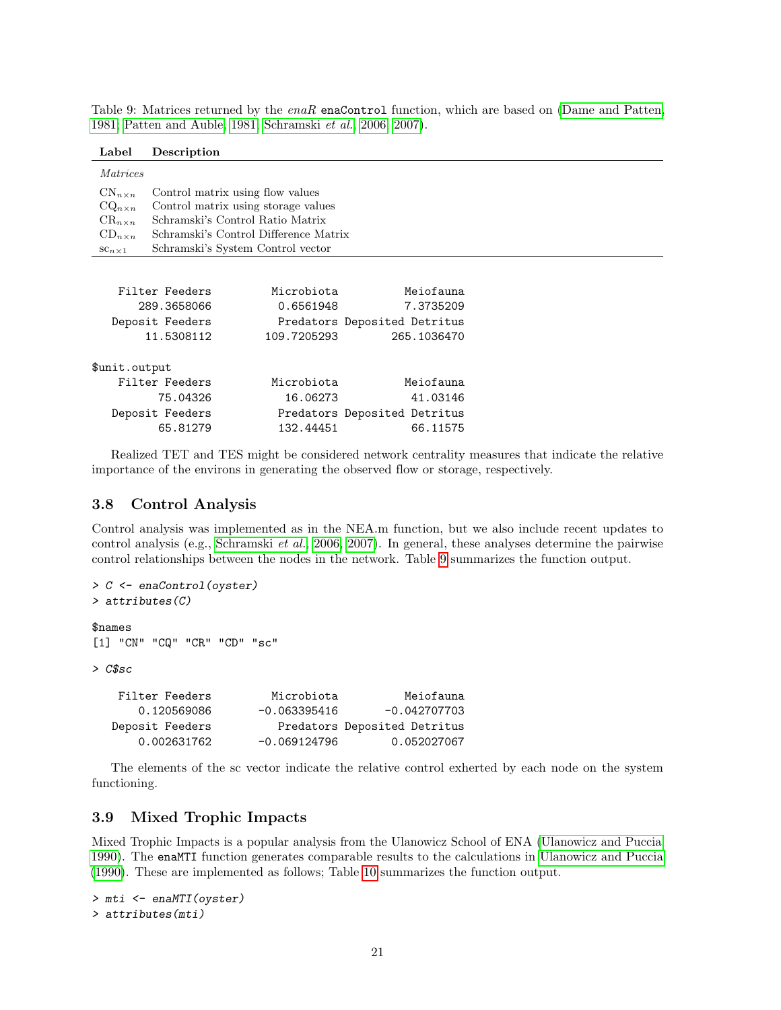<span id="page-20-0"></span>Table 9: Matrices returned by the enaR enaControl function, which are based on [\(Dame and Patten,](#page-40-8) [1981;](#page-40-8) [Patten and Auble, 1981;](#page-42-17) [Schramski](#page-43-14) et al., [2006,](#page-43-14) [2007\)](#page-43-15).

| Label | Description |
|-------|-------------|
|-------|-------------|

| <i>Matrices</i>   |                                       |                                       |                              |  |  |
|-------------------|---------------------------------------|---------------------------------------|------------------------------|--|--|
| $CN_{n\times n}$  | Control matrix using flow values      |                                       |                              |  |  |
| $CQ_{n\times n}$  |                                       | Control matrix using storage values   |                              |  |  |
| $CR_{n \times n}$ |                                       | Schramski's Control Ratio Matrix      |                              |  |  |
| $CD_{n \times n}$ |                                       | Schramski's Control Difference Matrix |                              |  |  |
| $sc_{n \times 1}$ |                                       | Schramski's System Control vector     |                              |  |  |
|                   |                                       |                                       |                              |  |  |
|                   | Filter Feeders                        | Microbiota                            | Meiofauna                    |  |  |
|                   | 289.3658066<br>7.3735209<br>0.6561948 |                                       |                              |  |  |
|                   | Deposit Feeders                       |                                       | Predators Deposited Detritus |  |  |
|                   | 11.5308112                            | 109.7205293                           | 265.1036470                  |  |  |
| \$unit.output     |                                       |                                       |                              |  |  |
|                   | Filter Feeders                        | Microbiota                            | Meiofauna                    |  |  |
|                   | 75.04326                              | 16.06273                              | 41.03146                     |  |  |
|                   | Deposit Feeders                       |                                       | Predators Deposited Detritus |  |  |
|                   | 65.81279                              | 132.44451                             | 66.11575                     |  |  |

Realized TET and TES might be considered network centrality measures that indicate the relative importance of the environs in generating the observed flow or storage, respectively.

### 3.8 Control Analysis

Control analysis was implemented as in the NEA.m function, but we also include recent updates to control analysis (e.g., [Schramski](#page-43-14) et al., [2006,](#page-43-14) [2007\)](#page-43-15). In general, these analyses determine the pairwise control relationships between the nodes in the network. Table [9](#page-20-0) summarizes the function output.

```
> C <- enaControl(oyster)
> attributes(C)
$names
[1] "CN" "CQ" "CR" "CD" "sc"
> C$sc
   Filter Feeders Microbiota Meiofauna
     0.120569086 -0.063395416 -0.042707703
  Deposit Feeders Predators Deposited Detritus
     0.002631762 -0.069124796 0.052027067
```
The elements of the sc vector indicate the relative control exherted by each node on the system functioning.

#### 3.9 Mixed Trophic Impacts

Mixed Trophic Impacts is a popular analysis from the Ulanowicz School of ENA [\(Ulanowicz and Puccia,](#page-44-2) [1990\)](#page-44-2). The enaMTI function generates comparable results to the calculations in [Ulanowicz and Puccia](#page-44-2) [\(1990\)](#page-44-2). These are implemented as follows; Table [10](#page-21-0) summarizes the function output.

```
> mti <- enaMTI(oyster)
> attributes(mti)
```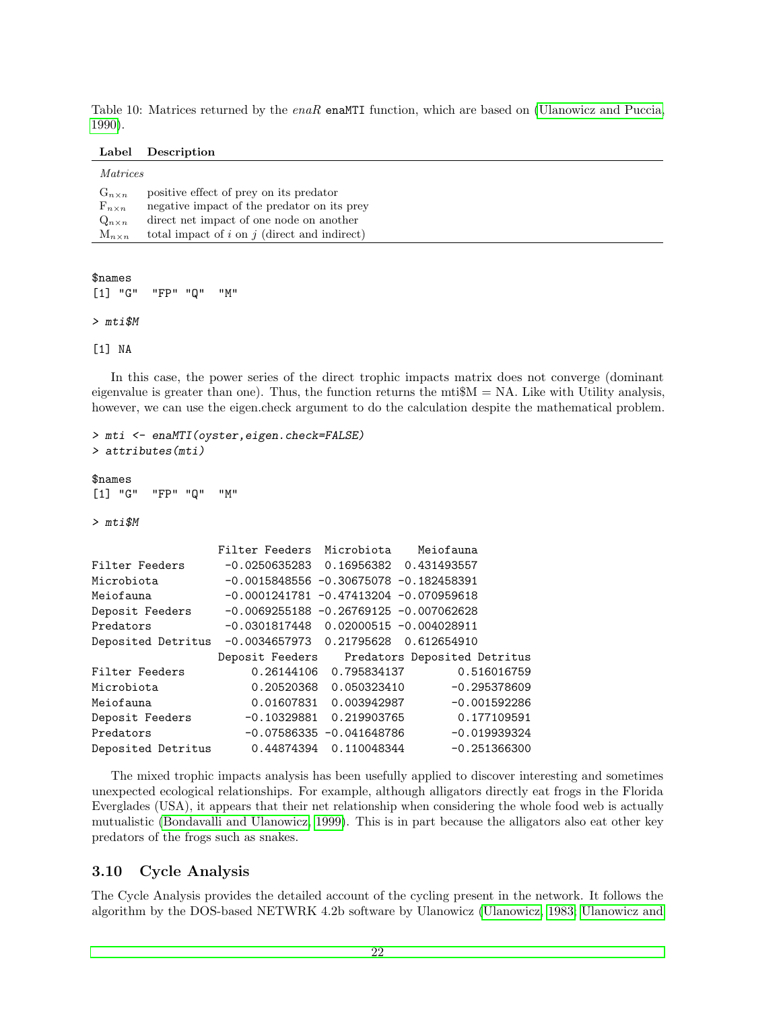<span id="page-21-0"></span>Table 10: Matrices returned by the  $enaR$  enaMTI function, which are based on [\(Ulanowicz and Puccia,](#page-44-2) [1990\)](#page-44-2).

| Label | Description |
|-------|-------------|
|-------|-------------|

| positive effect of prey on its predator<br>$G_{n \times n}$          | <i>Matrices</i>  |                                             |
|----------------------------------------------------------------------|------------------|---------------------------------------------|
|                                                                      |                  |                                             |
|                                                                      | $F_{n \times n}$ | negative impact of the predator on its prev |
| direct net impact of one node on another<br>$Q_{n \times n}$         |                  |                                             |
| total impact of $i$ on $j$ (direct and indirect)<br>$M_{n \times n}$ |                  |                                             |

\$names

```
[1] "G" "FP" "Q" "M"
```
> mti\$M

[1] NA

In this case, the power series of the direct trophic impacts matrix does not converge (dominant eigenvalue is greater than one). Thus, the function returns the mti $M = NA$ . Like with Utility analysis, however, we can use the eigen.check argument to do the calculation despite the mathematical problem.

```
> mti <- enaMTI(oyster,eigen.check=FALSE)
> attributes(mti)
```
\$names

```
[1] "G" "FP" "Q" "M"
```
> mti\$M

|                    | Filter Feeders Microbiota                  |                            | Meiofauna                                    |
|--------------------|--------------------------------------------|----------------------------|----------------------------------------------|
| Filter Feeders     | $-0.0250635283$ $0.16956382$ 0.431493557   |                            |                                              |
| Microbiota         | $-0.0015848556 - 0.30675078 - 0.182458391$ |                            |                                              |
| Meiofauna          | $-0.0001241781 - 0.47413204 - 0.070959618$ |                            |                                              |
| Deposit Feeders    | $-0.0069255188 - 0.26769125 - 0.007062628$ |                            |                                              |
| Predators          | $-0.0301817448$ 0.02000515 $-0.004028911$  |                            |                                              |
| Deposited Detritus | $-0.0034657973$ 0.21795628 0.612654910     |                            |                                              |
|                    |                                            |                            | Deposit Feeders Predators Deposited Detritus |
| Filter Feeders     |                                            | 0.26144106   0.795834137   | 0.516016759                                  |
| Microbiota         |                                            | 0.20520368   0.050323410   | $-0.295378609$                               |
| Meiofauna          |                                            |                            | $-0.001592286$                               |
|                    |                                            |                            |                                              |
| Deposit Feeders    |                                            | $-0.10329881$ 0.219903765  | 0.177109591                                  |
| Predators          |                                            | $-0.07586335 -0.041648786$ | $-0.019939324$                               |

The mixed trophic impacts analysis has been usefully applied to discover interesting and sometimes unexpected ecological relationships. For example, although alligators directly eat frogs in the Florida Everglades (USA), it appears that their net relationship when considering the whole food web is actually mutualistic [\(Bondavalli and Ulanowicz, 1999\)](#page-38-2). This is in part because the alligators also eat other key predators of the frogs such as snakes.

### 3.10 Cycle Analysis

The Cycle Analysis provides the detailed account of the cycling present in the network. It follows the algorithm by the DOS-based NETWRK 4.2b software by Ulanowicz [\(Ulanowicz, 1983;](#page-43-16) [Ulanowicz and](#page-43-4)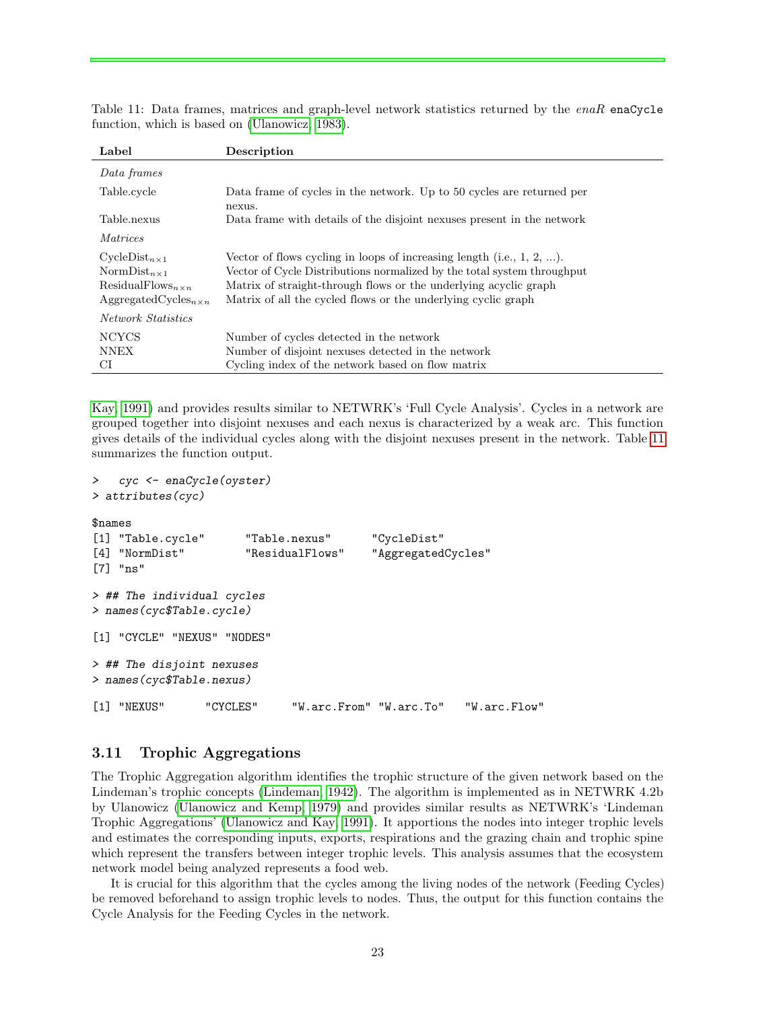<span id="page-22-0"></span>Table 11: Data frames, matrices and graph-level network statistics returned by the enaR enaCycle function, which is based on [\(Ulanowicz, 1983\)](#page-43-16).

| Label                                                                                                                | Description                                                                                                                                                                                                                                                                              |
|----------------------------------------------------------------------------------------------------------------------|------------------------------------------------------------------------------------------------------------------------------------------------------------------------------------------------------------------------------------------------------------------------------------------|
| Data frames                                                                                                          |                                                                                                                                                                                                                                                                                          |
| Table.cycle                                                                                                          | Data frame of cycles in the network. Up to 50 cycles are returned per<br>nexus.                                                                                                                                                                                                          |
| Table.nexus                                                                                                          | Data frame with details of the disjoint nexuses present in the network                                                                                                                                                                                                                   |
| <i>Matrices</i>                                                                                                      |                                                                                                                                                                                                                                                                                          |
| $CyclicDist_{n\times 1}$<br>Norm $Dist_{n\times 1}$<br>$ResidualFlows_{n\times n}$<br>$AggregatedCycles_{n\times n}$ | Vector of flows cycling in loops of increasing length (i.e., $1, 2, $ ).<br>Vector of Cycle Distributions normalized by the total system throughput<br>Matrix of straight-through flows or the underlying acyclic graph<br>Matrix of all the cycled flows or the underlying cyclic graph |
| <i>Network Statistics</i>                                                                                            |                                                                                                                                                                                                                                                                                          |
| <b>NCYCS</b>                                                                                                         | Number of cycles detected in the network                                                                                                                                                                                                                                                 |
| <b>NNEX</b>                                                                                                          | Number of disjoint nexuses detected in the network                                                                                                                                                                                                                                       |
| СI                                                                                                                   | Cycling index of the network based on flow matrix                                                                                                                                                                                                                                        |

[Kay, 1991\)](#page-43-4) and provides results similar to NETWRK's 'Full Cycle Analysis'. Cycles in a network are grouped together into disjoint nexuses and each nexus is characterized by a weak arc. This function gives details of the individual cycles along with the disjoint nexuses present in the network. Table [11](#page-22-0) summarizes the function output.

```
> cyc <- enaCycle(oyster)
> attributes(cyc)
$names
[1] "Table.cycle" "Table.nexus" "CycleDist"
[4] "NormDist" "ResidualFlows" "AggregatedCycles"
[7] "ns"
> ## The individual cycles
> names(cyc$Table.cycle)
[1] "CYCLE" "NEXUS" "NODES"
> ## The disjoint nexuses
> names(cyc$Table.nexus)
[1] "NEXUS" "CYCLES" "W.arc.From" "W.arc.To" "W.arc.Flow"
```
### 3.11 Trophic Aggregations

The Trophic Aggregation algorithm identifies the trophic structure of the given network based on the Lindeman's trophic concepts [\(Lindeman, 1942\)](#page-41-18). The algorithm is implemented as in NETWRK 4.2b by Ulanowicz [\(Ulanowicz and Kemp, 1979\)](#page-44-12) and provides similar results as NETWRK's 'Lindeman Trophic Aggregations' [\(Ulanowicz and Kay, 1991\)](#page-43-4). It apportions the nodes into integer trophic levels and estimates the corresponding inputs, exports, respirations and the grazing chain and trophic spine which represent the transfers between integer trophic levels. This analysis assumes that the ecosystem network model being analyzed represents a food web.

It is crucial for this algorithm that the cycles among the living nodes of the network (Feeding Cycles) be removed beforehand to assign trophic levels to nodes. Thus, the output for this function contains the Cycle Analysis for the Feeding Cycles in the network.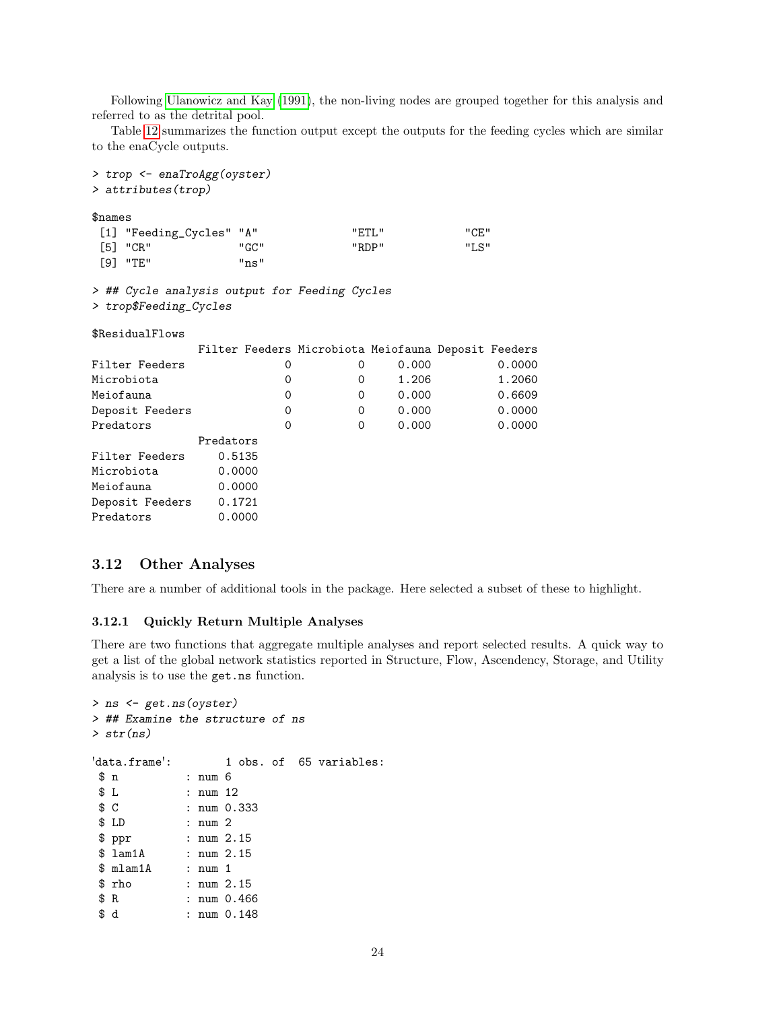Following [Ulanowicz and Kay](#page-43-4) [\(1991\)](#page-43-4), the non-living nodes are grouped together for this analysis and referred to as the detrital pool.

Table [12](#page-24-0) summarizes the function output except the outputs for the feeding cycles which are similar to the enaCycle outputs.

| > trop <- enaTroAgg(oyster)<br>$>$ attributes (trop)                    |                                                     |          |                |               |        |
|-------------------------------------------------------------------------|-----------------------------------------------------|----------|----------------|---------------|--------|
| \$names<br>[1] "Feeding_Cycles" "A"<br>$[5]$ "CR"<br>$[9]$ "TE"         | "GC"<br>"ns"                                        |          | "ETL"<br>"RDP" | "CF."<br>"LS" |        |
| > ## Cycle analysis output for Feeding Cycles<br>> trop\$Feeding_Cycles |                                                     |          |                |               |        |
| \$ResidualFlows                                                         |                                                     |          |                |               |        |
|                                                                         | Filter Feeders Microbiota Meiofauna Deposit Feeders |          |                |               |        |
| Filter Feeders                                                          | 0                                                   | 0        | 0.000          |               | 0.0000 |
| Microbiota                                                              | 0                                                   | 0        | 1.206          |               | 1.2060 |
| Meiofauna                                                               | $\Omega$                                            | $\Omega$ | 0.000          |               | 0.6609 |
| Deposit Feeders                                                         | 0                                                   | $\Omega$ | 0.000          |               | 0.0000 |
| Predators                                                               | $\Omega$                                            | $\Omega$ | 0.000          |               | 0.0000 |
|                                                                         | Predators                                           |          |                |               |        |
| Filter Feeders                                                          | 0.5135                                              |          |                |               |        |
| Microbiota                                                              | 0.0000                                              |          |                |               |        |
| Meiofauna                                                               | 0.0000                                              |          |                |               |        |
| Deposit Feeders 0.1721                                                  |                                                     |          |                |               |        |
| Predators                                                               | 0.0000                                              |          |                |               |        |
|                                                                         |                                                     |          |                |               |        |

### 3.12 Other Analyses

There are a number of additional tools in the package. Here selected a subset of these to highlight.

#### 3.12.1 Quickly Return Multiple Analyses

There are two functions that aggregate multiple analyses and report selected results. A quick way to get a list of the global network statistics reported in Structure, Flow, Ascendency, Storage, and Utility analysis is to use the get.ns function.

```
> ns <- get.ns(oyster)
> ## Examine the structure of ns
> str(ns)
'data.frame': 1 obs. of 65 variables:
\begin{array}{lll}\n\text{\$ n$} & \text{\$ i num 6} \\
\text{\$ L$} & \text{\$ i num 1}\n\end{array}$ L : num 12<br>$ C : num 0.:
               : num 0.333$ LD : num 2
 $ ppr : num 2.15
 $ lam1A : num 2.15
 $ mlam1A : num 1
 $ rho : num 2.15
 $ R : num 0.466
 $ d : num 0.148
```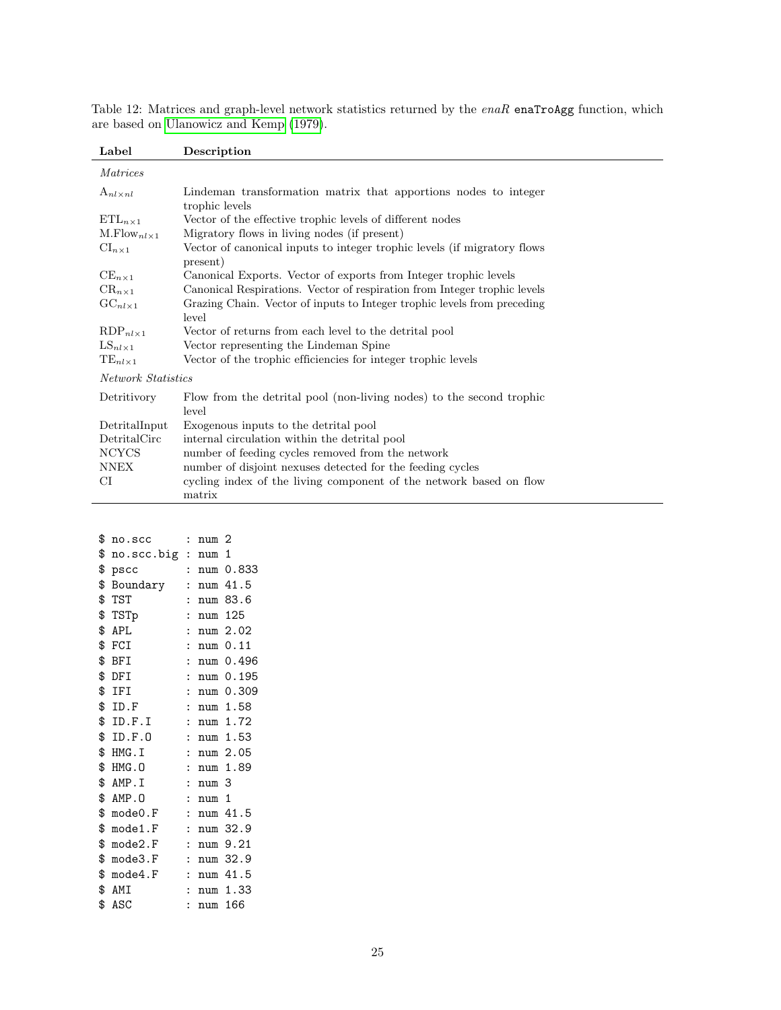| Label                     | Description                                                                          |
|---------------------------|--------------------------------------------------------------------------------------|
| <i>Matrices</i>           |                                                                                      |
| $A_{nl \times nl}$        | Lindeman transformation matrix that apportions nodes to integer<br>trophic levels    |
| $\text{ETL}_{n\times 1}$  | Vector of the effective trophic levels of different nodes                            |
| $M.Flow_{nl\times 1}$     | Migratory flows in living nodes (if present)                                         |
| $\mathrm{CI}_{n\times 1}$ | Vector of canonical inputs to integer trophic levels (if migratory flows<br>present) |
| $CE_{n\times 1}$          | Canonical Exports. Vector of exports from Integer trophic levels                     |
| $CR_{n\times 1}$          | Canonical Respirations. Vector of respiration from Integer trophic levels            |
| $GC_{nl\times 1}$         | Grazing Chain. Vector of inputs to Integer trophic levels from preceding<br>level    |
| $RDP_{nl\times 1}$        | Vector of returns from each level to the detrital pool                               |
| $LS_{nl\times 1}$         | Vector representing the Lindeman Spine                                               |
| $TE_{nl\times 1}$         | Vector of the trophic efficiencies for integer trophic levels                        |
| Network Statistics        |                                                                                      |
| Detritivory               | Flow from the detrital pool (non-living nodes) to the second trophic<br>level        |
| DetritalInput             | Exogenous inputs to the detrital pool                                                |
| DetritalCirc              | internal circulation within the detrital pool                                        |
| <b>NCYCS</b>              | number of feeding cycles removed from the network                                    |
| <b>NNEX</b>               | number of disjoint nexuses detected for the feeding cycles                           |
| CI                        | cycling index of the living component of the network based on flow                   |
|                           | matrix                                                                               |

<span id="page-24-0"></span>Table 12: Matrices and graph-level network statistics returned by the enaR enaTroAgg function, which are based on [Ulanowicz and Kemp](#page-44-12) [\(1979\)](#page-44-12).

| \$<br>no.scc       | $\mathbf{r}$         | num <sub>2</sub> |              |
|--------------------|----------------------|------------------|--------------|
| \$<br>no.scc.big : |                      | num 1            |              |
| \$<br>pscc         |                      |                  | num 0.833    |
| \$<br>Boundary     |                      |                  | num 41.5     |
| \$TST              | $\ddot{\cdot}$       |                  | num 83.6     |
| \$TSTp             | $\ddot{\cdot}$       | num              | 125          |
| \$ APL             | $\ddot{\cdot}$       |                  | num 2.02     |
| $$$ FCI            | $\ddot{\cdot}$       |                  | num 0.11     |
| \$ BFI             | $\ddot{\cdot}$       |                  | num 0.496    |
| \$ DFI             | $\ddot{\cdot}$       | num              | 0.195        |
| \$ IFI             | $\ddot{\cdot}$       | num              | 0.309        |
| $$$ ID.F           | $\ddot{\cdot}$       |                  | num 1.58     |
| \$ ID.F.I          | $\ddot{\cdot}$       | num              | 1.72         |
| \$ ID.F.O          | $\ddot{\cdot}$       |                  | num 1.53     |
| \$ HMG.I           | $\ddot{\cdot}$       |                  | num 2.05     |
| \$ HMG.0           | $\ddot{\cdot}$       |                  | num 1.89     |
| \$ AMP.I           | $\ddot{\cdot}$       | num 3            |              |
| \$ AMP.O           | $\ddot{\cdot}$       | num              | $\mathbf{1}$ |
| \$ mode 0.F        | $\ddot{\cdot}$       |                  | num 41.5     |
| \$<br>mode1.F      | $\ddot{\cdot}$       | num              | 32.9         |
| \$<br>mode2.F      | $\ddot{\cdot}$       | num              | 9.21         |
| \$<br>mode3.F      | $\ddot{\cdot}$       | num              | 32.9         |
| $$$ mode4.F        | $\ddot{\cdot}$       | num              | 41.5         |
| \$ AMI             | $\ddot{\cdot}$       | num              | 1.33         |
| \$<br>ASC          | $\ddot{\phantom{0}}$ | num              | 166          |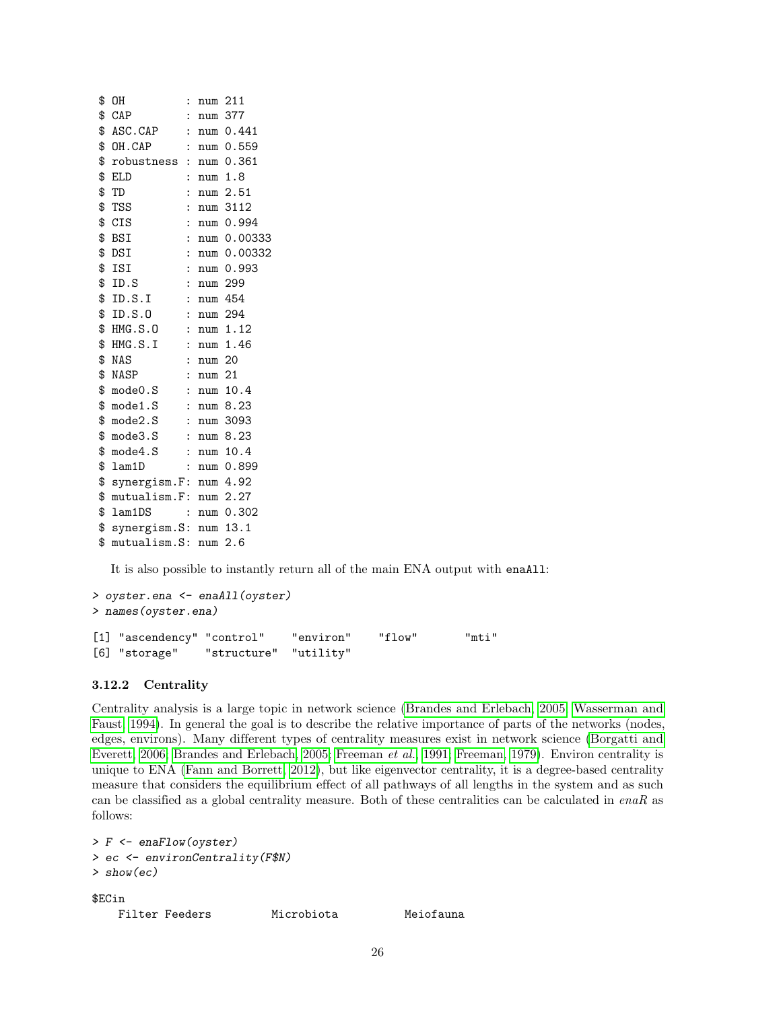| \$<br>OΗ                    | $\ddot{\phantom{0}}$ | num 211   |                     |
|-----------------------------|----------------------|-----------|---------------------|
| $$$ CAP                     |                      | : num 377 |                     |
| \$ ASC.CAP                  |                      |           | : num 0.441         |
| \$ OH.CAP                   |                      |           | : num 0.559         |
| \$ robustness : num 0.361   |                      |           |                     |
| \$ ELD                      |                      |           | $: \text{num } 1.8$ |
| \$<br>TD                    |                      |           | : $num\ 2.51$       |
| \$<br>TSS                   |                      |           | : num 3112          |
| \$<br>CIS                   |                      |           | : num 0.994         |
| \$ BSI                      |                      |           | : num 0.00333       |
| \$ DSI                      |                      |           | : num 0.00332       |
| \$ ISI                      |                      |           | : $num 0.993$       |
| \$ID.S                      |                      | : num 299 |                     |
| \$ID.S.I                    |                      | : num 454 |                     |
| \$ ID.S.O                   |                      | : num 294 |                     |
| \$ HMG.S.O                  |                      |           | : num 1.12          |
| $$HMG.S.I$ : num 1.46       |                      |           |                     |
| \$ NAS                      |                      | : num 20  |                     |
| \$ NASP                     |                      | : num 21  |                     |
| $$$ mode $0.S$              |                      |           | : num 10.4          |
| \$mode1.S : num 8.23        |                      |           |                     |
| $$$ mode $2.S$              |                      |           | : num 3093          |
| $$$ mode $3.S$              |                      |           | : num 8.23          |
| \$<br>mode4.S               |                      |           | : num 10.4          |
| \$<br>lam1D                 |                      |           | : num 0.899         |
| \$<br>synergism.F: num 4.92 |                      |           |                     |
| \$ mutualism.F: num 2.27    |                      |           |                     |
| \$<br>$l$ am $1\mathrm{DS}$ |                      |           | : num 0.302         |
| \$ synergism.S: num 13.1    |                      |           |                     |
| \$<br>mutualism.S: num 2.6  |                      |           |                     |

It is also possible to instantly return all of the main ENA output with enaAll:

```
> oyster.ena <- enaAll(oyster)
> names(oyster.ena)
[1] "ascendency" "control"   "environ"   "flow"     "mti"<br>[6] "storage"   "structure"   "utility"
[6] "storage" "structure"
```
### 3.12.2 Centrality

Centrality analysis is a large topic in network science [\(Brandes and Erlebach, 2005;](#page-39-17) [Wasserman and](#page-44-0) [Faust, 1994\)](#page-44-0). In general the goal is to describe the relative importance of parts of the networks (nodes, edges, environs). Many different types of centrality measures exist in network science [\(Borgatti and](#page-38-18) [Everett, 2006;](#page-38-18) [Brandes and Erlebach, 2005;](#page-39-17) [Freeman](#page-40-18) et al., [1991;](#page-40-18) [Freeman, 1979\)](#page-40-19). Environ centrality is unique to ENA [\(Fann and Borrett, 2012\)](#page-40-20), but like eigenvector centrality, it is a degree-based centrality measure that considers the equilibrium effect of all pathways of all lengths in the system and as such can be classified as a global centrality measure. Both of these centralities can be calculated in  $enaR$  as follows:

```
> F <- enaFlow(oyster)
> ec <- environCentrality(F$N)
> show(ec)
$ECin
   Filter Feeders Microbiota Meiofauna
```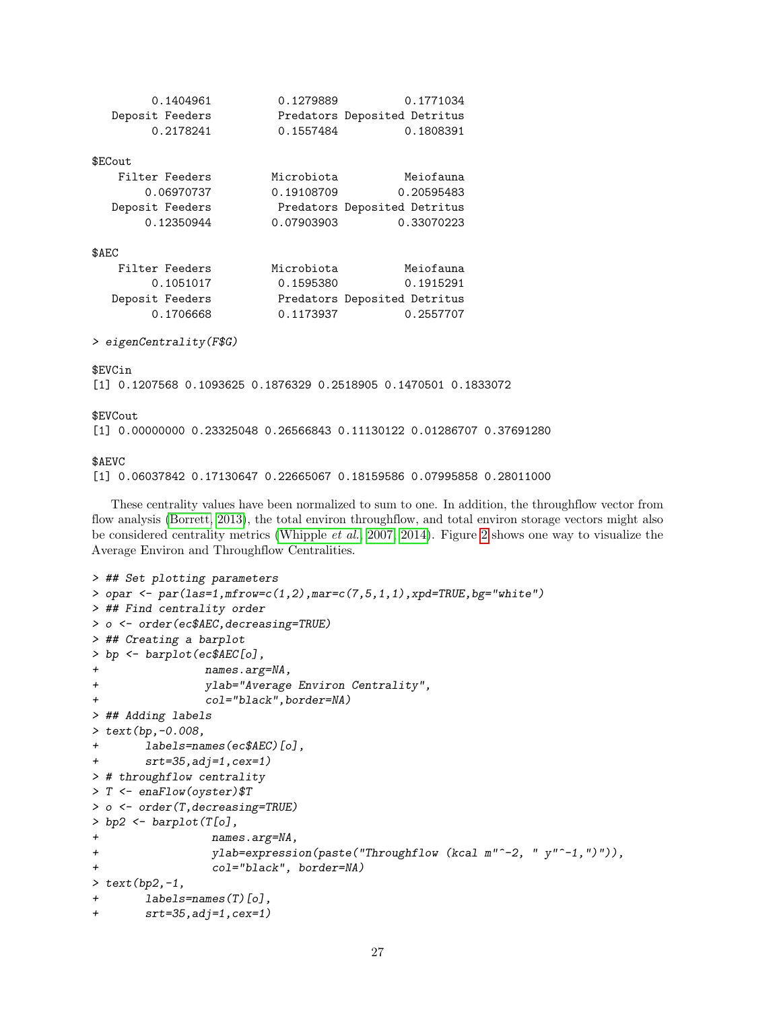| 0.1404961       | 0.1279889  | 0.1771034                    |
|-----------------|------------|------------------------------|
| Deposit Feeders |            | Predators Deposited Detritus |
| 0.2178241       | 0.1557484  | 0.1808391                    |
| \$ECout         |            |                              |
|                 |            |                              |
| Filter Feeders  | Microbiota | Meiofauna                    |
| 0.06970737      | 0.19108709 | 0.20595483                   |
| Deposit Feeders |            | Predators Deposited Detritus |
| 0.12350944      | 0.07903903 | 0.33070223                   |
|                 |            |                              |
| \$AEC           |            |                              |
| Filter Feeders  | Microbiota | Meiofauna                    |
| 0.1051017       | 0.1595380  | 0.1915291                    |
| Deposit Feeders |            | Predators Deposited Detritus |

> eigenCentrality(F\$G)

#### \$EVCin

[1] 0.1207568 0.1093625 0.1876329 0.2518905 0.1470501 0.1833072

0.1706668 0.1173937 0.2557707

#### \$EVCout

[1] 0.00000000 0.23325048 0.26566843 0.11130122 0.01286707 0.37691280

#### \$AEVC

[1] 0.06037842 0.17130647 0.22665067 0.18159586 0.07995858 0.28011000

These centrality values have been normalized to sum to one. In addition, the throughflow vector from flow analysis [\(Borrett, 2013\)](#page-38-7), the total environ throughflow, and total environ storage vectors might also be considered centrality metrics [\(Whipple](#page-44-11) et al., [2007,](#page-44-11) [2014\)](#page-44-10). Figure [2](#page-27-1) shows one way to visualize the Average Environ and Throughflow Centralities.

```
> ## Set plotting parameters
> opar \leq par(las=1,mfrow=c(1,2),mar=c(7,5,1,1),xpd=TRUE,bg="white")
> ## Find centrality order
> o <- order(ec$AEC,decreasing=TRUE)
> ## Creating a barplot
> bp <- barplot(ec$AEC[o],
+ names.arg=NA,
+ ylab="Average Environ Centrality",
+ col="black",border=NA)
> ## Adding labels
> text(bp,-0.008,
+ labels=names(ec$AEC)[o],
+ srt=35,adj=1,cex=1)
> # throughflow centrality
> T <- enaFlow(oyster)$T
> o <- order(T,decreasing=TRUE)
> bp2 \leftarrow barplot(T[o],+ names.arg=NA,
+ ylab=expression(paste("Throughflow (kcal m"^-2, " y"^-1,")")),
+ col="black", border=NA)
> text(bp2,-1,
+ labels=names(T)[o],
+ srt=35,adj=1,cex=1)
```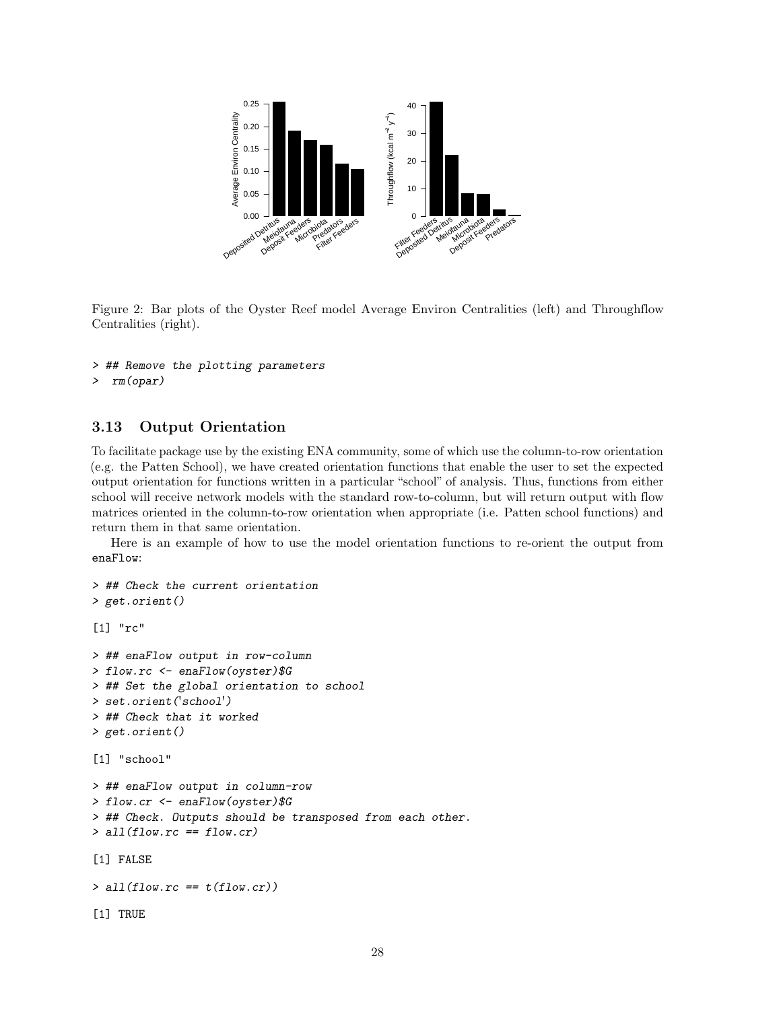

<span id="page-27-1"></span>Figure 2: Bar plots of the Oyster Reef model Average Environ Centralities (left) and Throughflow Centralities (right).

- > ## Remove the plotting parameters
- > rm(opar)

### <span id="page-27-0"></span>3.13 Output Orientation

To facilitate package use by the existing ENA community, some of which use the column-to-row orientation (e.g. the Patten School), we have created orientation functions that enable the user to set the expected output orientation for functions written in a particular "school" of analysis. Thus, functions from either school will receive network models with the standard row-to-column, but will return output with flow matrices oriented in the column-to-row orientation when appropriate (i.e. Patten school functions) and return them in that same orientation.

Here is an example of how to use the model orientation functions to re-orient the output from enaFlow:

```
> ## Check the current orientation
> get.orient()
[1] "rc"
> ## enaFlow output in row-column
> flow.rc <- enaFlow(oyster)$G
> ## Set the global orientation to school
> set.orient('school')
> ## Check that it worked
> get.orient()
[1] "school"
> ## enaFlow output in column-row
> flow.cr <- enaFlow(oyster)$G
> ## Check. Outputs should be transposed from each other.
> all(flow.rc == flow.cr)
[1] FALSE
> all(flow.rc == t(flow.cr))
[1] TRUE
```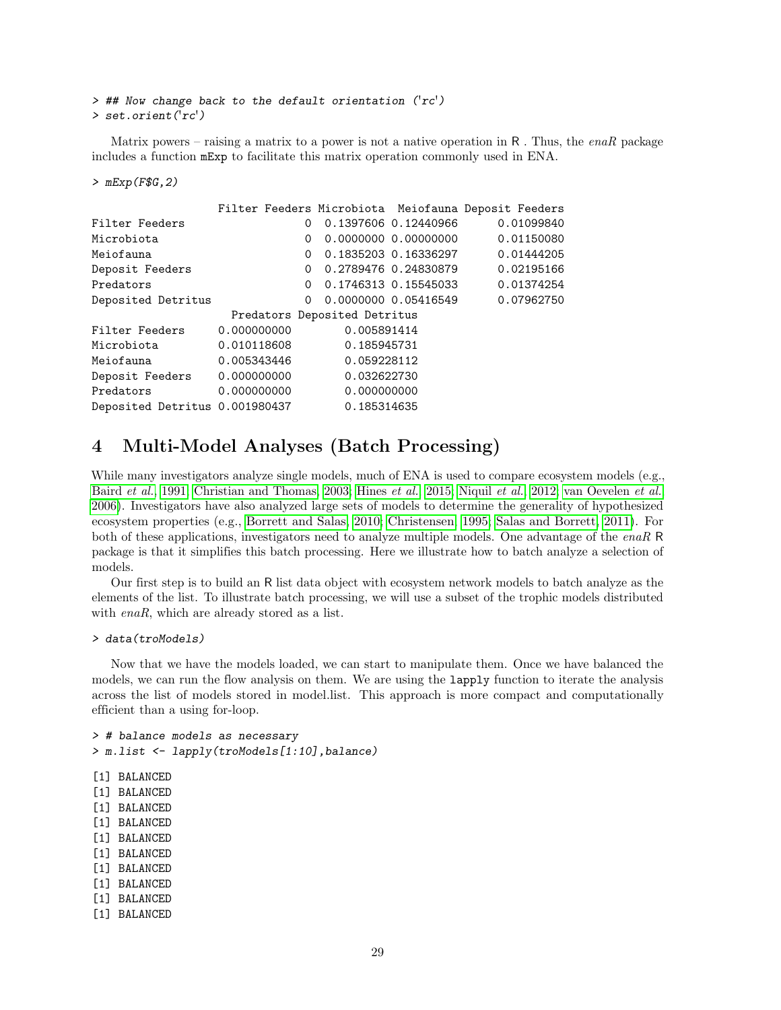> ## Now change back to the default orientation ('rc') > set.orient('rc')

Matrix powers – raising a matrix to a power is not a native operation in R. Thus, the enaR package includes a function mExp to facilitate this matrix operation commonly used in ENA.

#### > mExp(F\$G,2)

|                                |             |   |                              |                      | Filter Feeders Microbiota Meiofauna Deposit Feeders |
|--------------------------------|-------------|---|------------------------------|----------------------|-----------------------------------------------------|
| Filter Feeders                 |             | 0 |                              | 0.1397606 0.12440966 | 0.01099840                                          |
| Microbiota                     |             | 0 |                              |                      | 0.01150080                                          |
| Meiofauna                      |             | 0 |                              | 0.1835203 0.16336297 | 0.01444205                                          |
| Deposit Feeders                |             | 0 |                              | 0.2789476 0.24830879 | 0.02195166                                          |
| Predators                      |             | 0 |                              | 0.1746313 0.15545033 | 0.01374254                                          |
| Deposited Detritus             |             | 0 |                              | 0.0000000 0.05416549 | 0.07962750                                          |
|                                |             |   | Predators Deposited Detritus |                      |                                                     |
| Filter Feeders                 | 0.000000000 |   | 0.005891414                  |                      |                                                     |
| Microbiota                     | 0.010118608 |   | 0.185945731                  |                      |                                                     |
| Meiofauna                      | 0.005343446 |   | 0.059228112                  |                      |                                                     |
| Deposit Feeders                | 0.000000000 |   | 0.032622730                  |                      |                                                     |
| Predators                      | 0.000000000 |   | 0.000000000                  |                      |                                                     |
| Deposited Detritus 0.001980437 |             |   | 0.185314635                  |                      |                                                     |

## 4 Multi-Model Analyses (Batch Processing)

While many investigators analyze single models, much of ENA is used to compare ecosystem models (e.g., [Baird](#page-38-9) et al., [1991;](#page-38-9) [Christian and Thomas, 2003;](#page-40-2) [Hines](#page-41-4) et al., [2015;](#page-41-4) [Niquil](#page-42-18) et al., [2012;](#page-42-18) [van Oevelen](#page-44-13) et al., [2006\)](#page-44-13). Investigators have also analyzed large sets of models to determine the generality of hypothesized ecosystem properties (e.g., [Borrett and Salas, 2010;](#page-39-11) [Christensen, 1995;](#page-39-7) [Salas and Borrett, 2011\)](#page-42-4). For both of these applications, investigators need to analyze multiple models. One advantage of the enaR R package is that it simplifies this batch processing. Here we illustrate how to batch analyze a selection of models.

Our first step is to build an R list data object with ecosystem network models to batch analyze as the elements of the list. To illustrate batch processing, we will use a subset of the trophic models distributed with *enaR*, which are already stored as a list.

```
> data(troModels)
```
Now that we have the models loaded, we can start to manipulate them. Once we have balanced the models, we can run the flow analysis on them. We are using the lapply function to iterate the analysis across the list of models stored in model.list. This approach is more compact and computationally efficient than a using for-loop.

```
> # balance models as necessary
> m.list <- lapply(troModels[1:10],balance)
[1] BALANCED
[1] BALANCED
[1] BALANCED
[1] BALANCED
[1] BALANCED
[1] BALANCED
[1] BALANCED
[1] BALANCED
[1] BALANCED
[1] BALANCED
```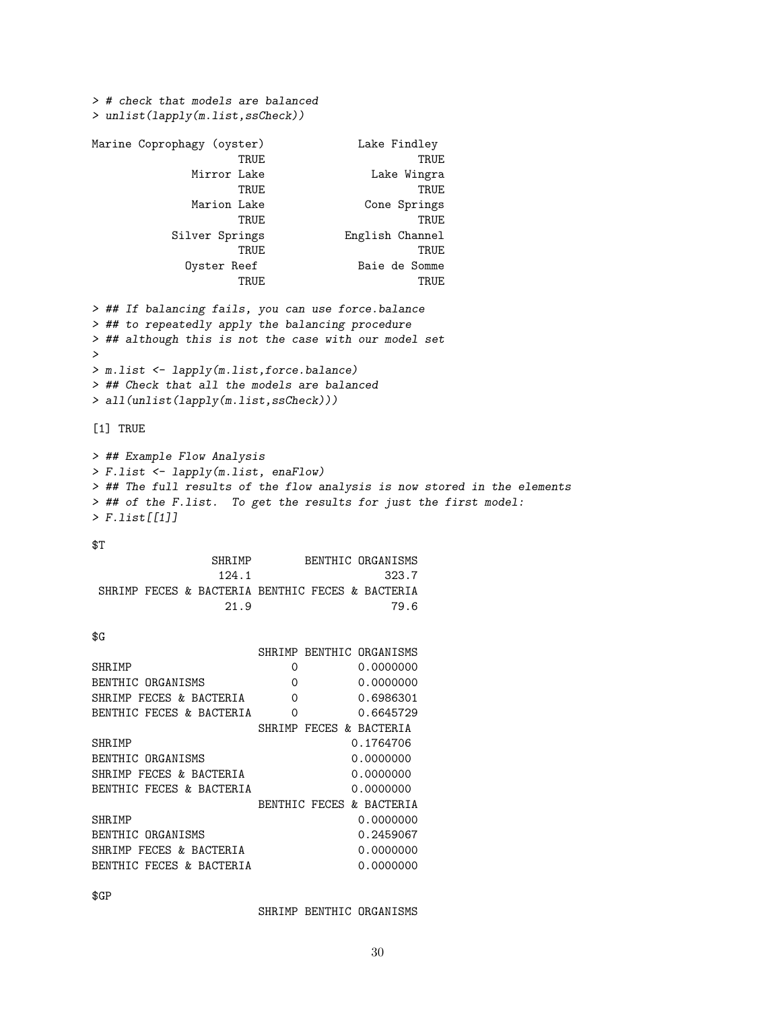> # check that models are balanced > unlist(lapply(m.list,ssCheck)) Marine Coprophagy (oyster) Lake Findley TRUE TRUE TRUE Mirror Lake **Lake Wingra** TRUE TRUE Marion Lake Cone Springs TRUE TRUE Silver Springs English Channel TRUE TRUE Oyster Reef Baie de Somme TRUE TRUE > ## If balancing fails, you can use force.balance > ## to repeatedly apply the balancing procedure > ## although this is not the case with our model set > > m.list <- lapply(m.list,force.balance) > ## Check that all the models are balanced > all(unlist(lapply(m.list,ssCheck))) [1] TRUE > ## Example Flow Analysis > F.list <- lapply(m.list, enaFlow) > ## The full results of the flow analysis is now stored in the elements > ## of the F.list. To get the results for just the first model: > F.list[[1]] \$T

SHRIMP BENTHIC ORGANISMS 124.1 323.7 SHRIMP FECES & BACTERIA BENTHIC FECES & BACTERIA 21.9 79.6

\$G

|                          |          |               | SHRIMP BENTHIC ORGANISMS |
|--------------------------|----------|---------------|--------------------------|
| SHRIMP                   | 0        |               | 0.0000000                |
| BENTHIC ORGANISMS        | 0        |               | 0.0000000                |
| SHRIMP FECES & BACTERIA  | $\Omega$ |               | 0.6986301                |
| BENTHIC FECES & BACTERIA | 0        |               | 0.6645729                |
|                          | SHR.TMP  |               | FECES & BACTERIA         |
| SHR.TMP                  |          |               | 0.1764706                |
| BENTHIC ORGANISMS        |          |               | 0.0000000                |
| SHRIMP FECES & BACTERIA  |          |               | 0.0000000                |
| BENTHIC FECES & BACTERIA |          |               | 0.0000000                |
|                          |          | BENTHIC FECES | & BACTERIA               |
| SHR.TMP                  |          |               | 0.0000000                |
| BENTHIC ORGANISMS        |          |               | 0.2459067                |
| SHRIMP FECES & BACTERIA  |          |               | 0.0000000                |
| BENTHIC FECES & BACTERIA |          |               | 0.0000000                |

\$GP

SHRIMP BENTHIC ORGANISMS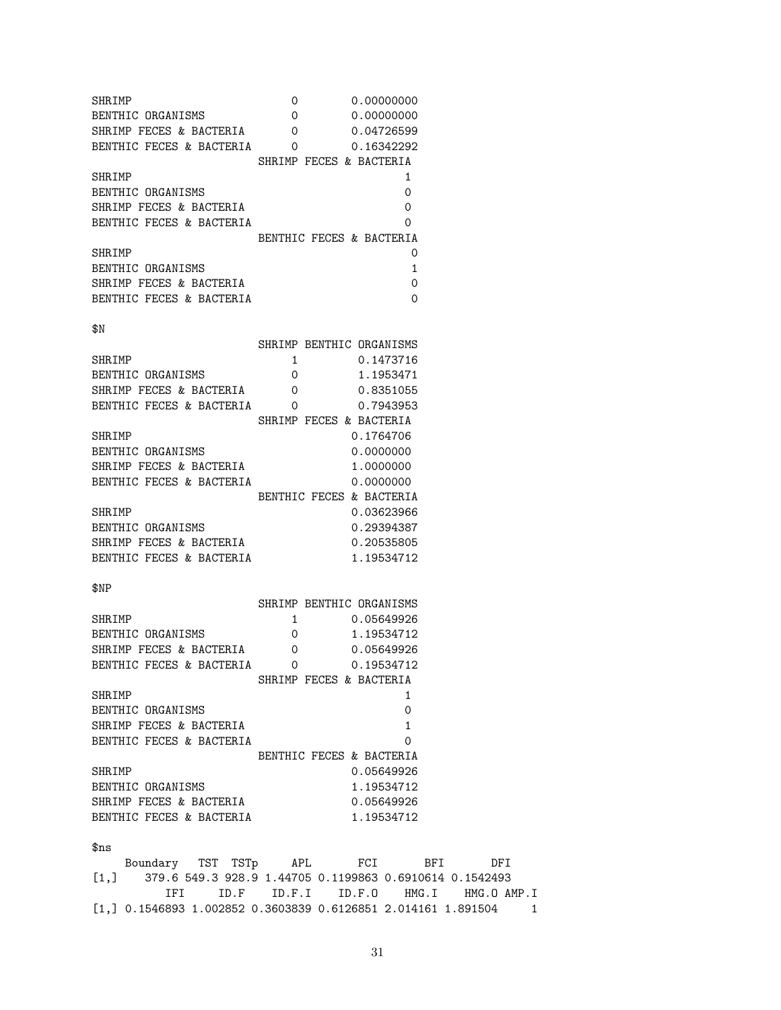SHRIMP 0 0.00000000 BENTHIC ORGANISMS 0 0.00000000 SHRIMP FECES & BACTERIA 0 0.04726599<br>BENTHIC FECES & BACTERIA 0 0.16342292 BENTHIC FECES & BACTERIA 0 SHRIMP FECES & BACTERIA SHRIMP 1 BENTHIC ORGANISMS 0 SHRIMP FECES & BACTERIA 0 BENTHIC FECES & BACTERIA 0 BENTHIC FECES & BACTERIA SHRIMP 0 BENTHIC ORGANISMS 1 SHRIMP FECES & BACTERIA 0 BENTHIC FECES & BACTERIA 0  $$N$ SHRIMP BENTHIC ORGANISMS SHRIMP 1 0.1473716 BENTHIC ORGANISMS 0 1.1953471 SHRIMP FECES & BACTERIA 0 0.8351055 BENTHIC FECES & BACTERIA 0 0.7943953 SHRIMP FECES & BACTERIA SHRIMP 0.1764706 BENTHIC ORGANISMS 0.0000000 SHRIMP FECES & BACTERIA 1.0000000 BENTHIC FECES & BACTERIA 0.0000000 BENTHIC FECES & BACTERIA SHRIMP 0.03623966 BENTHIC ORGANISMS 0.29394387 SHRIMP FECES & BACTERIA 0.20535805 BENTHIC FECES & BACTERIA 1.19534712 \$NP SHRIMP BENTHIC ORGANISMS SHRIMP 1 0.05649926<br>BENTHIC ORGANISMS 0 1.19534712 BENTHIC ORGANISMS 0 SHRIMP FECES & BACTERIA 0 0.05649926 BENTHIC FECES & BACTERIA 0 0.19534712 SHRIMP FECES & BACTERIA SHRIMP 1 BENTHIC ORGANISMS 0 SHRIMP FECES & BACTERIA 1 BENTHIC FECES & BACTERIA 0 BENTHIC FECES & BACTERIA SHRIMP 0.05649926 BENTHIC ORGANISMS 1.19534712 SHRIMP FECES & BACTERIA 0.05649926 BENTHIC FECES & BACTERIA 1.19534712 \$ns Boundary TST TSTp APL FCI BFI DFI [1,] 379.6 549.3 928.9 1.44705 0.1199863 0.6910614 0.1542493 IFI ID.F ID.F.I ID.F.O HMG.I HMG.O AMP.I [1,] 0.1546893 1.002852 0.3603839 0.6126851 2.014161 1.891504 1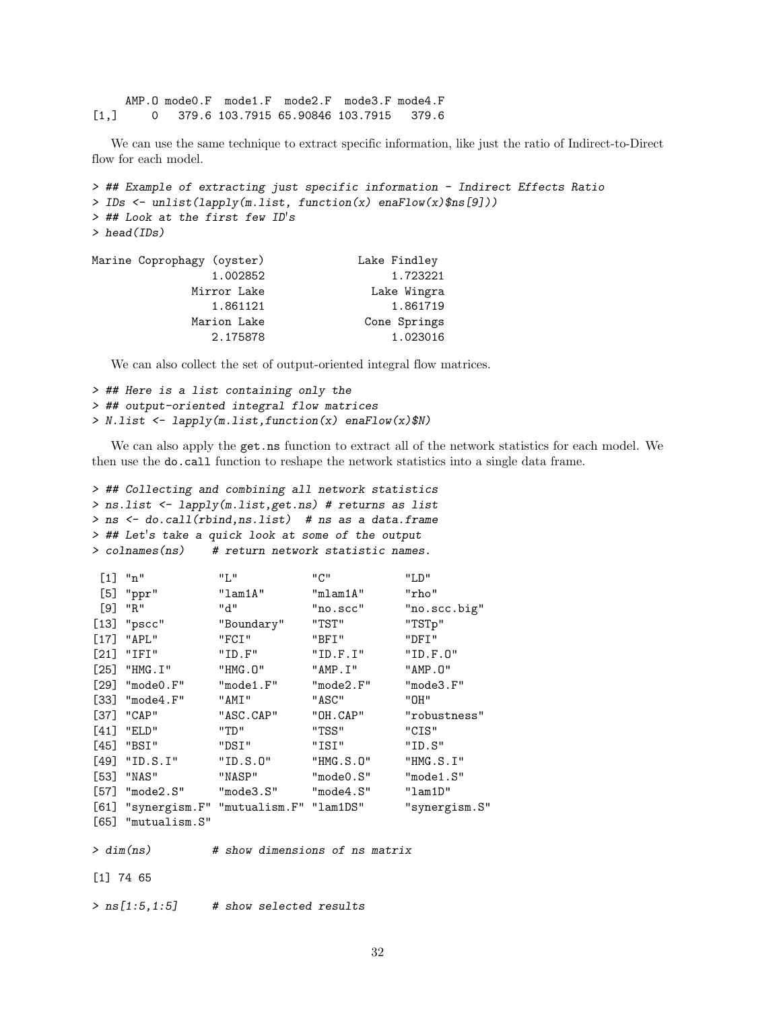AMP.O mode0.F mode1.F mode2.F mode3.F mode4.F [1,] 0 379.6 103.7915 65.90846 103.7915 379.6

We can use the same technique to extract specific information, like just the ratio of Indirect-to-Direct flow for each model.

```
> ## Example of extracting just specific information - Indirect Effects Ratio
> IDs <- unlist(lapply(m.list, function(x) enaFlow(x)$ns[9]))
> ## Look at the first few ID's
> head(IDs)
Marine Coprophagy (oyster) Lake Findley
              1.002852 1.723221
            Mirror Lake Lake Wingra
              1.861121 1.861719
```
We can also collect the set of output-oriented integral flow matrices.

Marion Lake Cone Springs 2.175878 1.023016

```
> ## Here is a list containing only the
> ## output-oriented integral flow matrices
> N.list <- lapply(m.list,function(x) enaFlow(x)$N)
```
We can also apply the get.ns function to extract all of the network statistics for each model. We then use the do.call function to reshape the network statistics into a single data frame.

```
> ## Collecting and combining all network statistics
> ns.list <- lapply(m.list,get.ns) # returns as list
> ns <- do.call(rbind,ns.list) # ns as a data.frame
> ## Let's take a quick look at some of the output
> colnames(ns) # return network statistic names.
```

| $[1]$ "n"                                 | "L"        | "C"                            | "LD"          |
|-------------------------------------------|------------|--------------------------------|---------------|
| $[5]$ "ppr"                               | "lam1A"    | "mlam1A"                       | "rho"         |
| $[9]$ "R"                                 | "d"        | "no.scc"                       | "no.scc.big"  |
| $[13]$ "pscc"                             | "Boundary" | "TST"                          | "TSTp"        |
| $[17]$ "APL"                              | "FCI"      | "BFI"                          | "DFI"         |
| $[21]$ "IFI"                              | "ID.F"     | "ID.F.I"                       | "ID.F.0"      |
| $[25]$ "HMG.I"                            | "HMG.O"    | "AMP.I"                        | "AMP. O"      |
| $[29]$ "mode $0.F$ "                      | "mode1.F"  | "mode2.F"                      | "mode3.F"     |
| $[33]$ "mode4.F"                          | "AMI"      | "ASC"                          | "OH"          |
| $[37]$ "CAP"                              | "ASC.CAP"  | "OH.CAP"                       | "robustness"  |
| $[41]$ "ELD"                              | "TD"       | "TSS"                          | "CIS"         |
| [45] "BSI"                                | "DSI"      | "ISI"                          | "ID.S"        |
| $[49]$ "ID.S.I"                           | "ID.S.O"   | "HMG.S.O"                      | "HMG.S.I"     |
| $[53]$ "NAS"                              | "NASP"     | "mode0.S"                      | "mode1.S"     |
| $[57]$ "mode $2.S$ " "mode $3.S$ "        |            | "mode4.S"                      | "lam1D"       |
| [61] "synergism.F" "mutualism.F" "lam1DS" |            |                                | "synergism.S" |
| $[65]$ "mutualism. $S$ "                  |            |                                |               |
| > dim(ns)                                 |            | # show dimensions of ns matrix |               |
| $[1]$ 74 65                               |            |                                |               |

 $>$  ns[1:5,1:5] # show selected results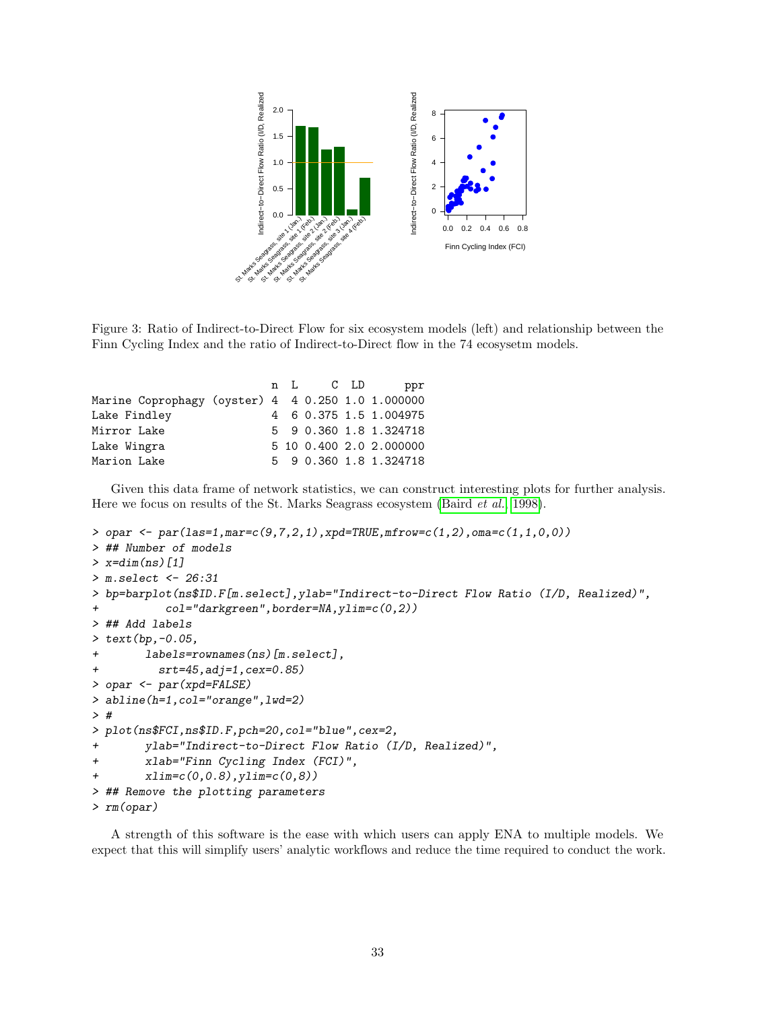

Figure 3: Ratio of Indirect-to-Direct Flow for six ecosystem models (left) and relationship between the Finn Cycling Index and the ratio of Indirect-to-Direct flow in the 74 ecosysetm models.

|                                                   |  |  | n L C LD ppr            |
|---------------------------------------------------|--|--|-------------------------|
| Marine Coprophagy (oyster) 4 4 0.250 1.0 1.000000 |  |  |                         |
| Lake Findley                                      |  |  | 4 6 0.375 1.5 1.004975  |
| Mirror Lake                                       |  |  | 5 9 0.360 1.8 1.324718  |
| Lake Wingra                                       |  |  | 5 10 0.400 2.0 2.000000 |
| Marion Lake                                       |  |  | 5 9 0.360 1.8 1.324718  |
|                                                   |  |  |                         |

Given this data frame of network statistics, we can construct interesting plots for further analysis. Here we focus on results of the St. Marks Seagrass ecosystem [\(Baird](#page-38-13) et al., [1998\)](#page-38-13).

```
> opar <- par(las=1,mar=c(9,7,2,1),xpd=TRUE,mfrow=c(1,2),oma=c(1,1,0,0))
> ## Number of models
> x=dim(ns)[1]> m.select <- 26:31
> bp=barplot(ns$ID.F[m.select],ylab="Indirect-to-Direct Flow Ratio (I/D, Realized)",
+ col="darkgreen",border=NA,ylim=c(0,2))
> ## Add labels
> text(bp,-0.05,
+ labels=rownames(ns)[m.select],
+ srt=45,adj=1,cex=0.85)
> opar <- par(xpd=FALSE)
> abline(h=1,col="orange",lwd=2)
> #
> plot(ns$FCI,ns$ID.F,pch=20,col="blue",cex=2,
+ ylab="Indirect-to-Direct Flow Ratio (I/D, Realized)",
+ xlab="Finn Cycling Index (FCI)",
+ xlim=c(0,0.8),ylim=c(0,8))
> ## Remove the plotting parameters
> rm(opar)
```
A strength of this software is the ease with which users can apply ENA to multiple models. We expect that this will simplify users' analytic workflows and reduce the time required to conduct the work.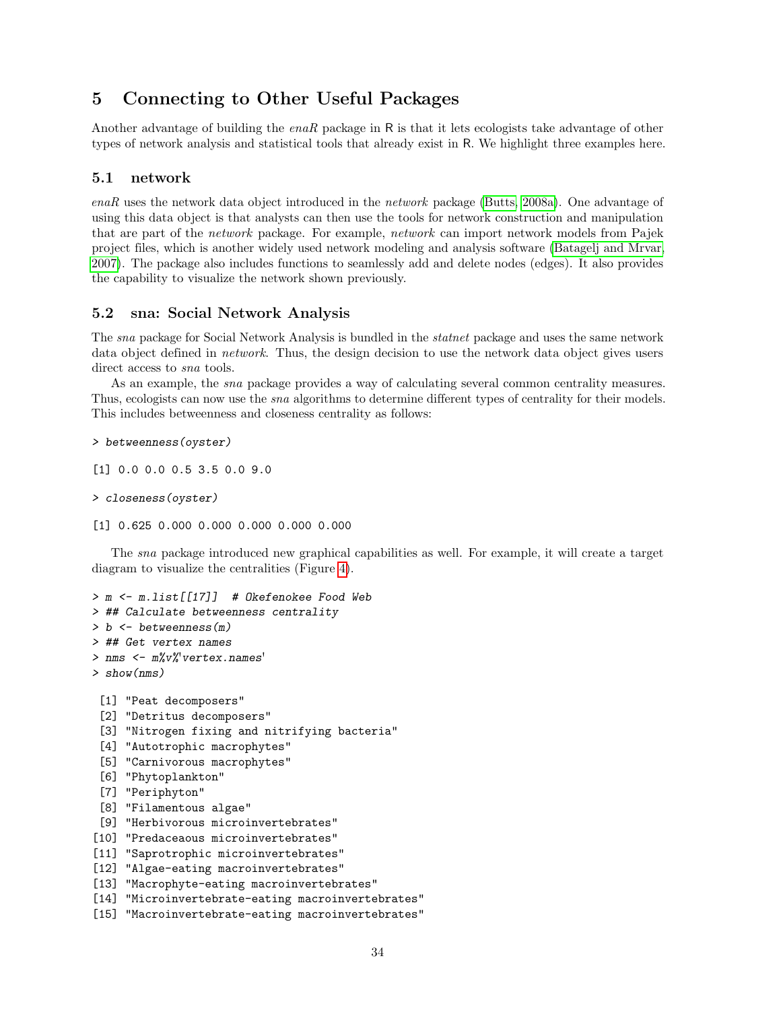## 5 Connecting to Other Useful Packages

Another advantage of building the enaR package in R is that it lets ecologists take advantage of other types of network analysis and statistical tools that already exist in R. We highlight three examples here.

### 5.1 network

enaR uses the network data object introduced in the network package [\(Butts, 2008a\)](#page-39-4). One advantage of using this data object is that analysts can then use the tools for network construction and manipulation that are part of the network package. For example, network can import network models from Pajek project files, which is another widely used network modeling and analysis software [\(Batagelj and Mrvar,](#page-38-19) [2007\)](#page-38-19). The package also includes functions to seamlessly add and delete nodes (edges). It also provides the capability to visualize the network shown previously.

### 5.2 sna: Social Network Analysis

The sna package for Social Network Analysis is bundled in the statnet package and uses the same network data object defined in *network*. Thus, the design decision to use the network data object gives users direct access to *sna* tools.

As an example, the *sna* package provides a way of calculating several common centrality measures. Thus, ecologists can now use the *sna* algorithms to determine different types of centrality for their models. This includes betweenness and closeness centrality as follows:

```
> betweenness(oyster)
```
[1] 0.0 0.0 0.5 3.5 0.0 9.0

```
> closeness(oyster)
```
[1] 0.625 0.000 0.000 0.000 0.000 0.000

The sna package introduced new graphical capabilities as well. For example, it will create a target diagram to visualize the centralities (Figure [4\)](#page-35-0).

> m <- m.list[[17]] # Okefenokee Food Web > ## Calculate betweenness centrality > b <- betweenness(m) > ## Get vertex names > nms <- m%v%'vertex.names' > show(nms)

- [1] "Peat decomposers"
- [2] "Detritus decomposers"
- [3] "Nitrogen fixing and nitrifying bacteria"
- [4] "Autotrophic macrophytes"
- [5] "Carnivorous macrophytes"
- [6] "Phytoplankton"
- [7] "Periphyton"
- [8] "Filamentous algae"
- [9] "Herbivorous microinvertebrates"
- [10] "Predaceaous microinvertebrates"
- [11] "Saprotrophic microinvertebrates"
- [12] "Algae-eating macroinvertebrates"
- [13] "Macrophyte-eating macroinvertebrates"
- [14] "Microinvertebrate-eating macroinvertebrates"
- [15] "Macroinvertebrate-eating macroinvertebrates"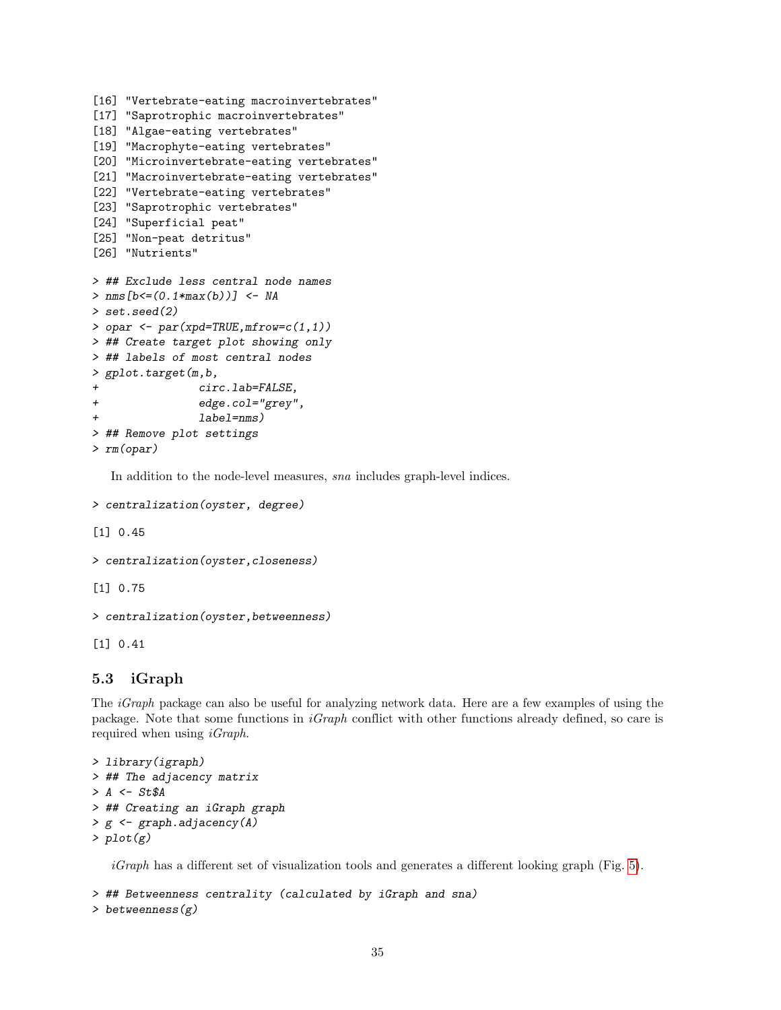```
[16] "Vertebrate-eating macroinvertebrates"
[17] "Saprotrophic macroinvertebrates"
[18] "Algae-eating vertebrates"
[19] "Macrophyte-eating vertebrates"
[20] "Microinvertebrate-eating vertebrates"
[21] "Macroinvertebrate-eating vertebrates"
[22] "Vertebrate-eating vertebrates"
[23] "Saprotrophic vertebrates"
[24] "Superficial peat"
[25] "Non-peat detritus"
[26] "Nutrients"
> ## Exclude less central node names
> nms[b \leq (0.1*max(b))] <- NA
> set.seed(2)
> opar <- par(xpd=TRUE,mfrow=c(1,1))
> ## Create target plot showing only
> ## labels of most central nodes
> gplot.target(m,b,
                circ.lab=FALSE,
+ edge.col="grey",
                label=nms)
> ## Remove plot settings
> rm(opar)
```
In addition to the node-level measures, sna includes graph-level indices.

```
> centralization(oyster, degree)
```
[1] 0.45

```
> centralization(oyster,closeness)
```
[1] 0.75

```
> centralization(oyster,betweenness)
```
[1] 0.41

### 5.3 iGraph

The *iGraph* package can also be useful for analyzing network data. Here are a few examples of using the package. Note that some functions in iGraph conflict with other functions already defined, so care is required when using *iGraph*.

```
> library(igraph)
> ## The adjacency matrix
> A \leq St$A> ## Creating an iGraph graph
> g \leftarrow graph.addiacency(A)> plot(g)
```
 $iGraph$  has a different set of visualization tools and generates a different looking graph (Fig. [5\)](#page-36-0).

```
> ## Betweenness centrality (calculated by iGraph and sna)
> betweenness(g)
```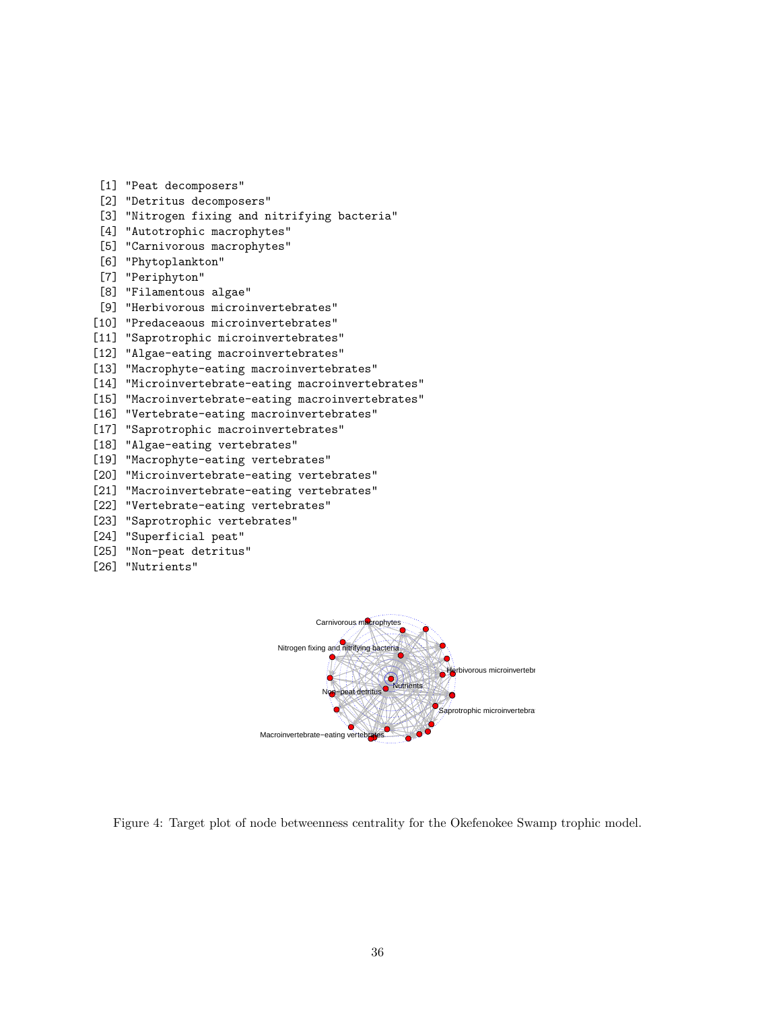- [1] "Peat decomposers"
- [2] "Detritus decomposers"
- [3] "Nitrogen fixing and nitrifying bacteria"
- [4] "Autotrophic macrophytes"
- [5] "Carnivorous macrophytes"
- [6] "Phytoplankton"
- [7] "Periphyton"
- [8] "Filamentous algae"
- [9] "Herbivorous microinvertebrates"
- [10] "Predaceaous microinvertebrates"
- [11] "Saprotrophic microinvertebrates"
- [12] "Algae-eating macroinvertebrates"
- [13] "Macrophyte-eating macroinvertebrates"
- [14] "Microinvertebrate-eating macroinvertebrates"
- [15] "Macroinvertebrate-eating macroinvertebrates"
- [16] "Vertebrate-eating macroinvertebrates"
- [17] "Saprotrophic macroinvertebrates"
- [18] "Algae-eating vertebrates"
- [19] "Macrophyte-eating vertebrates"
- [20] "Microinvertebrate-eating vertebrates"
- [21] "Macroinvertebrate-eating vertebrates"
- [22] "Vertebrate-eating vertebrates"
- [23] "Saprotrophic vertebrates"
- [24] "Superficial peat"
- [25] "Non-peat detritus"
- [26] "Nutrients"



<span id="page-35-0"></span>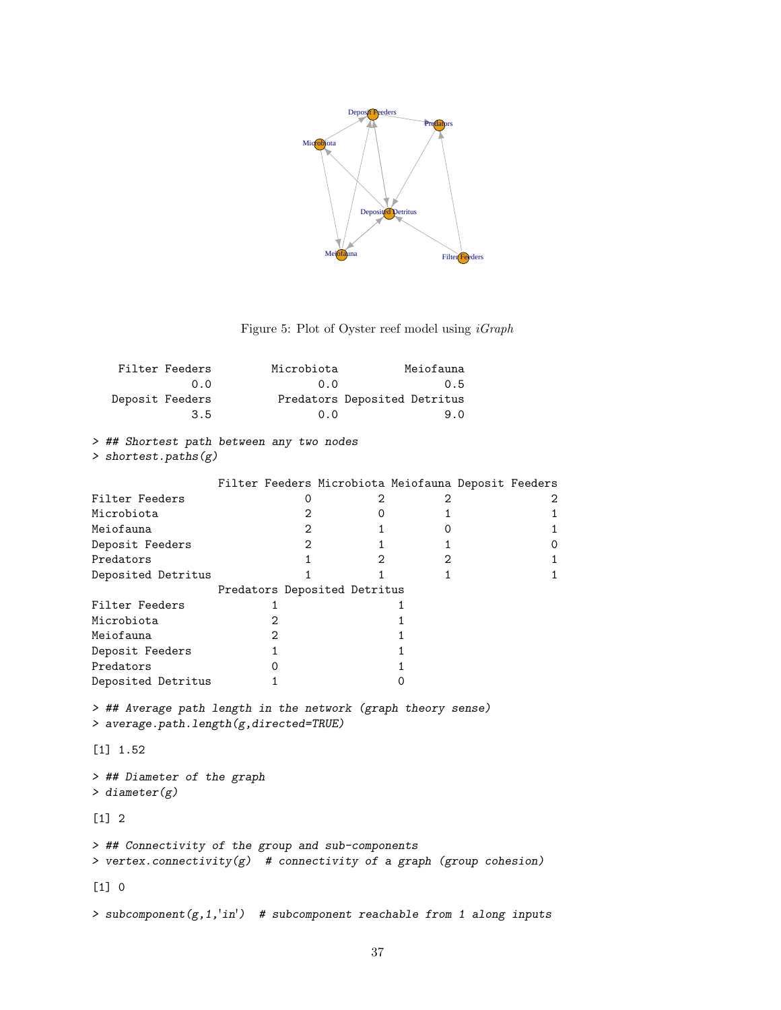

<span id="page-36-0"></span>Figure 5: Plot of Oyster reef model using  $iGraph$ 

| Filter Feeders  | Microbiota | Meiofauna                    |
|-----------------|------------|------------------------------|
| 0.0             | 0.0        | 0.5                          |
| Deposit Feeders |            | Predators Deposited Detritus |
| 3.5             | 0.0        | 9 O                          |

> ## Shortest path between any two nodes

> shortest.paths(g)

|                                                                                                                             |  |              | Filter Feeders Microbiota Meiofauna Deposit Feeders |              |  |              |
|-----------------------------------------------------------------------------------------------------------------------------|--|--------------|-----------------------------------------------------|--------------|--|--------------|
| Filter Feeders                                                                                                              |  | 0            | 2                                                   | 2            |  | 2            |
| Microbiota                                                                                                                  |  | 2            | 0                                                   | $\mathbf{1}$ |  | 1            |
| Meiofauna                                                                                                                   |  | 2            | 1                                                   | 0            |  | $\mathbf{1}$ |
| Deposit Feeders                                                                                                             |  | 2            | 1                                                   | $\mathbf{1}$ |  | 0            |
| Predators                                                                                                                   |  | 1            | 2                                                   | $\mathbf{2}$ |  | 1            |
| Deposited Detritus                                                                                                          |  |              | 1                                                   | 1            |  | $\mathbf{1}$ |
|                                                                                                                             |  |              | Predators Deposited Detritus                        |              |  |              |
| Filter Feeders                                                                                                              |  | 1            |                                                     |              |  |              |
| Microbiota                                                                                                                  |  | 2            |                                                     | 1            |  |              |
| Meiofauna                                                                                                                   |  | 2            |                                                     | 1            |  |              |
| Deposit Feeders                                                                                                             |  | $\mathbf{1}$ |                                                     | 1            |  |              |
| Predators                                                                                                                   |  | 0            |                                                     |              |  |              |
| Deposited Detritus                                                                                                          |  | 1            |                                                     | 0            |  |              |
| > ## Average path length in the network (graph theory sense)<br>> average.path.length(g,directed=TRUE)                      |  |              |                                                     |              |  |              |
| $\lceil 1 \rceil$ 1.52                                                                                                      |  |              |                                                     |              |  |              |
| > ## Diameter of the graph<br>$>$ diameter(g)                                                                               |  |              |                                                     |              |  |              |
| $[1] 2$                                                                                                                     |  |              |                                                     |              |  |              |
| > ## Connectivity of the group and sub-components<br>> vertex.connectivity(g) $\#$ connectivity of a graph (group cohesion) |  |              |                                                     |              |  |              |

[1] 0

 $>$  subcomponent(g,1,'in') # subcomponent reachable from 1 along inputs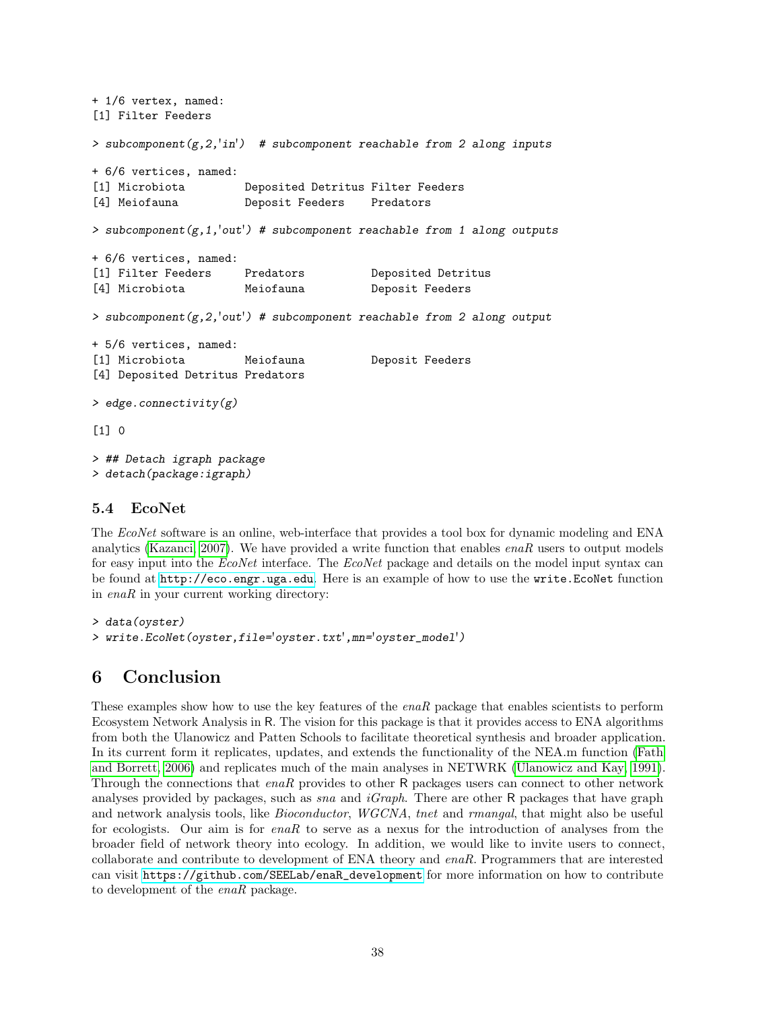```
+ 1/6 vertex, named:
[1] Filter Feeders
> subcomponent(g, 2, 'in') # subcomponent reachable from 2 along inputs
+ 6/6 vertices, named:
[1] Microbiota Deposited Detritus Filter Feeders
[4] Meiofauna Deposit Feeders Predators
> subcomponent(g,1,'out') # subcomponent reachable from 1 along outputs
+ 6/6 vertices, named:
[1] Filter Feeders Predators Deposited Detritus
[4] Microbiota Meiofauna Deposit Feeders
> subcomponent(g, 2, 'out') # subcomponent reachable from 2 along output
+ 5/6 vertices, named:
[1] Microbiota Meiofauna Deposit Feeders
[4] Deposited Detritus Predators
> edge.connectivity(g)
[1] 0
> ## Detach igraph package
> detach(package:igraph)
```
### 5.4 EcoNet

The EcoNet software is an online, web-interface that provides a tool box for dynamic modeling and ENA analytics [\(Kazanci, 2007\)](#page-41-6). We have provided a write function that enables  $enaR$  users to output models for easy input into the EcoNet interface. The EcoNet package and details on the model input syntax can be found at <http://eco.engr.uga.edu>. Here is an example of how to use the write.EcoNet function in enaR in your current working directory:

```
> data(oyster)
> write.EcoNet(oyster,file='oyster.txt',mn='oyster_model')
```
## 6 Conclusion

These examples show how to use the key features of the *enaR* package that enables scientists to perform Ecosystem Network Analysis in R. The vision for this package is that it provides access to ENA algorithms from both the Ulanowicz and Patten Schools to facilitate theoretical synthesis and broader application. In its current form it replicates, updates, and extends the functionality of the NEA.m function [\(Fath](#page-40-3) [and Borrett, 2006\)](#page-40-3) and replicates much of the main analyses in NETWRK [\(Ulanowicz and Kay, 1991\)](#page-43-4). Through the connections that enaR provides to other R packages users can connect to other network analyses provided by packages, such as *sna* and  $iGraph$ . There are other R packages that have graph and network analysis tools, like *Bioconductor*, WGCNA, tnet and rmangal, that might also be useful for ecologists. Our aim is for  $enaR$  to serve as a nexus for the introduction of analyses from the broader field of network theory into ecology. In addition, we would like to invite users to connect, collaborate and contribute to development of ENA theory and enaR. Programmers that are interested can visit [https://github.com/SEELab/enaR\\_development](https://github.com/SEELab/enaR_development) for more information on how to contribute to development of the enaR package.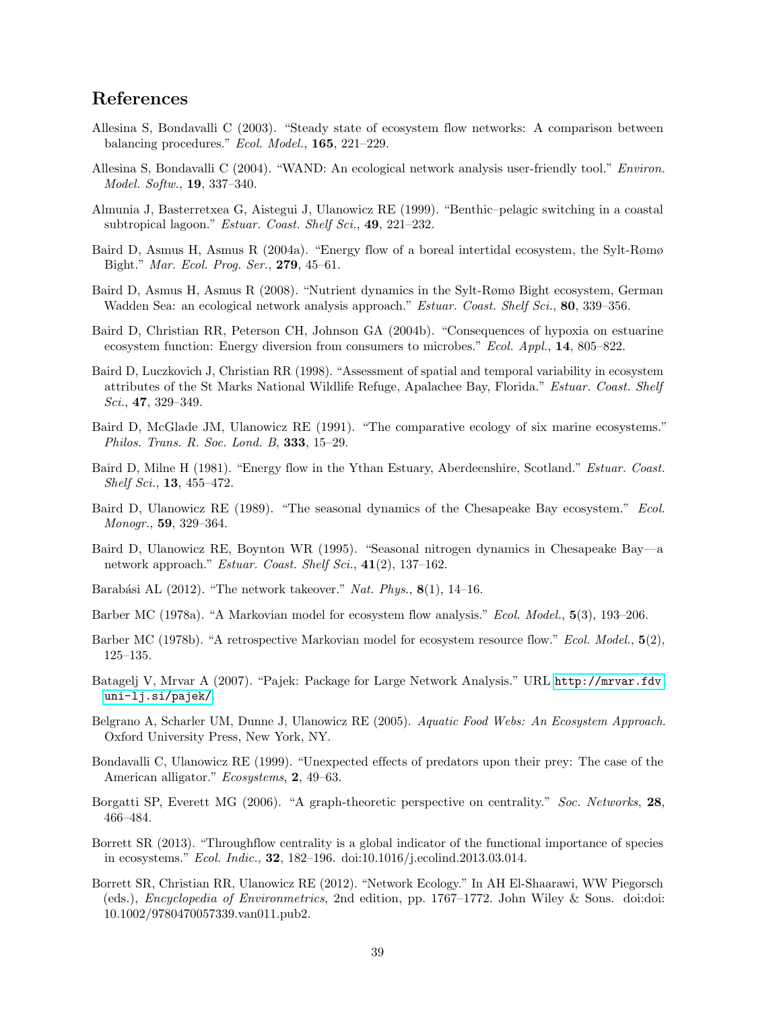## References

- <span id="page-38-15"></span>Allesina S, Bondavalli C (2003). "Steady state of ecosystem flow networks: A comparison between balancing procedures." Ecol. Model., 165, 221–229.
- <span id="page-38-6"></span>Allesina S, Bondavalli C (2004). "WAND: An ecological network analysis user-friendly tool." Environ. Model. Softw., 19, 337–340.
- <span id="page-38-10"></span>Almunia J, Basterretxea G, Aistegui J, Ulanowicz RE (1999). "Benthic–pelagic switching in a coastal subtropical lagoon." Estuar. Coast. Shelf Sci., 49, 221-232.
- <span id="page-38-4"></span>Baird D, Asmus H, Asmus R (2004a). "Energy flow of a boreal intertidal ecosystem, the Sylt-Rømø Bight." Mar. Ecol. Prog. Ser., 279, 45–61.
- <span id="page-38-5"></span>Baird D, Asmus H, Asmus R (2008). "Nutrient dynamics in the Sylt-Rømø Bight ecosystem, German Wadden Sea: an ecological network analysis approach." *Estuar. Coast. Shelf Sci.*, 80, 339–356.
- <span id="page-38-11"></span>Baird D, Christian RR, Peterson CH, Johnson GA (2004b). "Consequences of hypoxia on estuarine ecosystem function: Energy diversion from consumers to microbes." *Ecol. Appl.*, **14**, 805–822.
- <span id="page-38-13"></span>Baird D, Luczkovich J, Christian RR (1998). "Assessment of spatial and temporal variability in ecosystem attributes of the St Marks National Wildlife Refuge, Apalachee Bay, Florida." Estuar. Coast. Shelf Sci.,  $47, 329-349$ .
- <span id="page-38-9"></span>Baird D, McGlade JM, Ulanowicz RE (1991). "The comparative ecology of six marine ecosystems." Philos. Trans. R. Soc. Lond. B, 333, 15–29.
- <span id="page-38-8"></span>Baird D, Milne H (1981). "Energy flow in the Ythan Estuary, Aberdeenshire, Scotland." Estuar. Coast. Shelf Sci., 13, 455–472.
- <span id="page-38-12"></span>Baird D, Ulanowicz RE (1989). "The seasonal dynamics of the Chesapeake Bay ecosystem." Ecol. Monogr., 59, 329–364.
- <span id="page-38-14"></span>Baird D, Ulanowicz RE, Boynton WR (1995). "Seasonal nitrogen dynamics in Chesapeake Bay—a network approach." Estuar. Coast. Shelf Sci.,  $41(2)$ , 137–162.
- <span id="page-38-0"></span>Barabási AL (2012). "The network takeover." Nat. Phys.,  $8(1)$ , 14–16.
- <span id="page-38-16"></span>Barber MC (1978a). "A Markovian model for ecosystem flow analysis." Ecol. Model., 5(3), 193–206.
- <span id="page-38-17"></span>Barber MC (1978b). "A retrospective Markovian model for ecosystem resource flow." Ecol. Model.,  $5(2)$ , 125–135.
- <span id="page-38-19"></span>Batagelj V, Mrvar A (2007). "Pajek: Package for Large Network Analysis." URL [http://mrvar.fdv.](http://mrvar.fdv.uni-lj.si/pajek/) [uni-lj.si/pajek/](http://mrvar.fdv.uni-lj.si/pajek/).
- <span id="page-38-3"></span>Belgrano A, Scharler UM, Dunne J, Ulanowicz RE (2005). Aquatic Food Webs: An Ecosystem Approach. Oxford University Press, New York, NY.
- <span id="page-38-2"></span>Bondavalli C, Ulanowicz RE (1999). "Unexpected effects of predators upon their prey: The case of the American alligator." Ecosystems, 2, 49–63.
- <span id="page-38-18"></span>Borgatti SP, Everett MG (2006). "A graph-theoretic perspective on centrality." Soc. Networks, 28, 466–484.
- <span id="page-38-7"></span>Borrett SR (2013). "Throughflow centrality is a global indicator of the functional importance of species in ecosystems." Ecol. Indic., 32, 182–196. doi:10.1016/j.ecolind.2013.03.014.
- <span id="page-38-1"></span>Borrett SR, Christian RR, Ulanowicz RE (2012). "Network Ecology." In AH El-Shaarawi, WW Piegorsch (eds.), Encyclopedia of Environmetrics, 2nd edition, pp. 1767–1772. John Wiley & Sons. doi:doi: 10.1002/9780470057339.van011.pub2.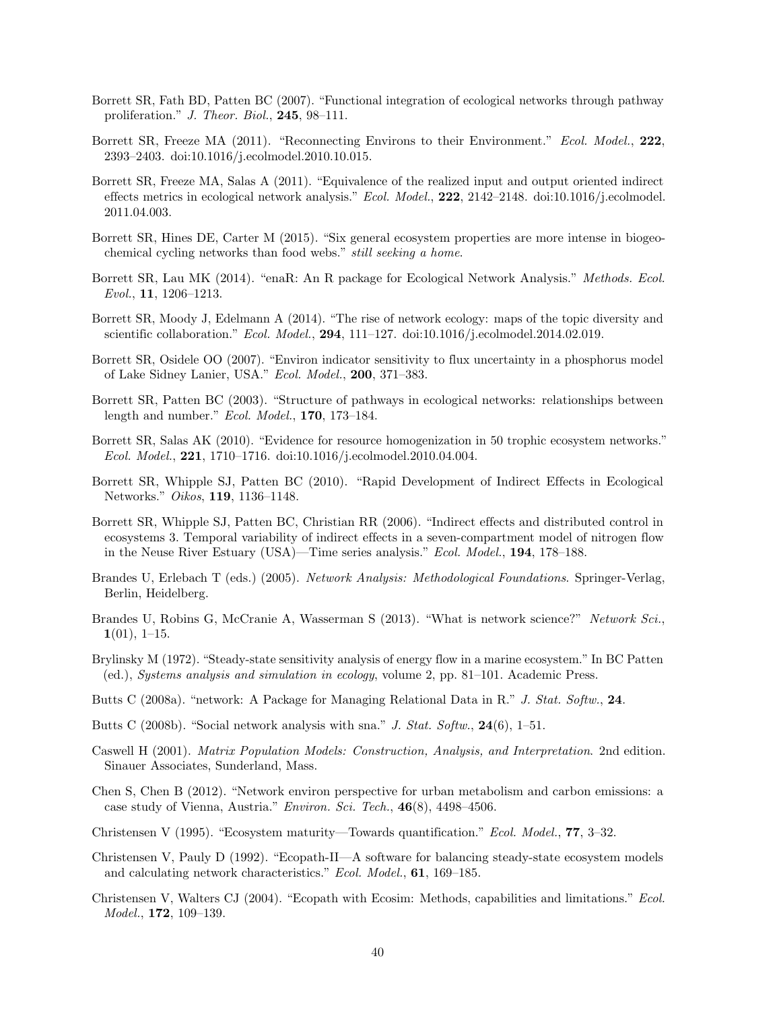- <span id="page-39-15"></span>Borrett SR, Fath BD, Patten BC (2007). "Functional integration of ecological networks through pathway proliferation." J. Theor. Biol., 245, 98–111.
- <span id="page-39-18"></span>Borrett SR, Freeze MA (2011). "Reconnecting Environs to their Environment." Ecol. Model., 222, 2393–2403. doi:10.1016/j.ecolmodel.2010.10.015.
- <span id="page-39-19"></span>Borrett SR, Freeze MA, Salas A (2011). "Equivalence of the realized input and output oriented indirect effects metrics in ecological network analysis." Ecol. Model.,  $222$ ,  $2142-2148$ . doi:10.1016/j.ecolmodel. 2011.04.003.
- <span id="page-39-9"></span>Borrett SR, Hines DE, Carter M (2015). "Six general ecosystem properties are more intense in biogeochemical cycling networks than food webs." still seeking a home.
- <span id="page-39-6"></span>Borrett SR, Lau MK (2014). "enaR: An R package for Ecological Network Analysis." Methods. Ecol. Evol., 11, 1206–1213.
- <span id="page-39-0"></span>Borrett SR, Moody J, Edelmann A (2014). "The rise of network ecology: maps of the topic diversity and scientific collaboration." *Ecol. Model.*, **294**, 111-127. doi:10.1016/j.ecolmodel.2014.02.019.
- <span id="page-39-13"></span>Borrett SR, Osidele OO (2007). "Environ indicator sensitivity to flux uncertainty in a phosphorus model of Lake Sidney Lanier, USA." Ecol. Model., 200, 371–383.
- <span id="page-39-14"></span>Borrett SR, Patten BC (2003). "Structure of pathways in ecological networks: relationships between length and number." Ecol. Model., 170, 173–184.
- <span id="page-39-11"></span>Borrett SR, Salas AK (2010). "Evidence for resource homogenization in 50 trophic ecosystem networks." Ecol. Model., 221, 1710–1716. doi:10.1016/j.ecolmodel.2010.04.004.
- <span id="page-39-10"></span>Borrett SR, Whipple SJ, Patten BC (2010). "Rapid Development of Indirect Effects in Ecological Networks." Oikos, 119, 1136–1148.
- <span id="page-39-20"></span>Borrett SR, Whipple SJ, Patten BC, Christian RR (2006). "Indirect effects and distributed control in ecosystems 3. Temporal variability of indirect effects in a seven-compartment model of nitrogen flow in the Neuse River Estuary (USA)—Time series analysis." Ecol. Model., 194, 178–188.
- <span id="page-39-17"></span>Brandes U, Erlebach T (eds.) (2005). Network Analysis: Methodological Foundations. Springer-Verlag, Berlin, Heidelberg.
- <span id="page-39-1"></span>Brandes U, Robins G, McCranie A, Wasserman S (2013). "What is network science?" Network Sci.,  $1(01)$ , 1–15.
- <span id="page-39-12"></span>Brylinsky M (1972). "Steady-state sensitivity analysis of energy flow in a marine ecosystem." In BC Patten (ed.), Systems analysis and simulation in ecology, volume 2, pp. 81–101. Academic Press.
- <span id="page-39-4"></span>Butts C (2008a). "network: A Package for Managing Relational Data in R." J. Stat. Softw., 24.
- <span id="page-39-5"></span>Butts C (2008b). "Social network analysis with sna." J. Stat. Softw.,  $24(6)$ , 1–51.
- <span id="page-39-16"></span>Caswell H (2001). Matrix Population Models: Construction, Analysis, and Interpretation. 2nd edition. Sinauer Associates, Sunderland, Mass.
- <span id="page-39-2"></span>Chen S, Chen B (2012). "Network environ perspective for urban metabolism and carbon emissions: a case study of Vienna, Austria." Environ. Sci. Tech., 46(8), 4498–4506.
- <span id="page-39-7"></span>Christensen V (1995). "Ecosystem maturity—Towards quantification." Ecol. Model., 77, 3–32.
- <span id="page-39-8"></span>Christensen V, Pauly D (1992). "Ecopath-II—A software for balancing steady-state ecosystem models and calculating network characteristics." Ecol. Model., 61, 169–185.
- <span id="page-39-3"></span>Christensen V, Walters CJ (2004). "Ecopath with Ecosim: Methods, capabilities and limitations." Ecol. Model., 172, 109–139.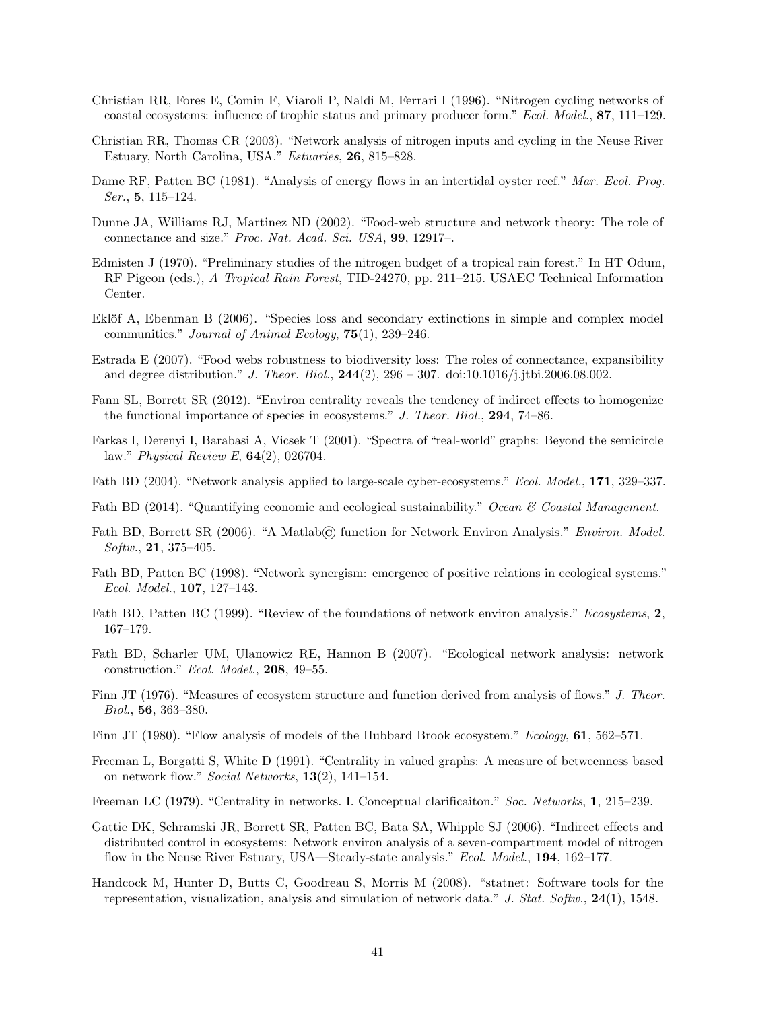- <span id="page-40-7"></span>Christian RR, Fores E, Comin F, Viaroli P, Naldi M, Ferrari I (1996). "Nitrogen cycling networks of coastal ecosystems: influence of trophic status and primary producer form." Ecol. Model., 87, 111–129.
- <span id="page-40-2"></span>Christian RR, Thomas CR (2003). "Network analysis of nitrogen inputs and cycling in the Neuse River Estuary, North Carolina, USA." Estuaries, 26, 815–828.
- <span id="page-40-8"></span>Dame RF, Patten BC (1981). "Analysis of energy flows in an intertidal oyster reef." Mar. Ecol. Prog. Ser., 5, 115–124.
- <span id="page-40-12"></span>Dunne JA, Williams RJ, Martinez ND (2002). "Food-web structure and network theory: The role of connectance and size." Proc. Nat. Acad. Sci. USA, 99, 12917–.
- <span id="page-40-10"></span>Edmisten J (1970). "Preliminary studies of the nitrogen budget of a tropical rain forest." In HT Odum, RF Pigeon (eds.), A Tropical Rain Forest, TID-24270, pp. 211–215. USAEC Technical Information Center.
- <span id="page-40-13"></span>Eklöf A, Ebenman B (2006). "Species loss and secondary extinctions in simple and complex model communities." Journal of Animal Ecology, 75(1), 239–246.
- <span id="page-40-14"></span>Estrada E (2007). "Food webs robustness to biodiversity loss: The roles of connectance, expansibility and degree distribution." J. Theor. Biol.,  $244(2)$ ,  $296 - 307$ . doi:10.1016/j.jtbi.2006.08.002.
- <span id="page-40-20"></span>Fann SL, Borrett SR (2012). "Environ centrality reveals the tendency of indirect effects to homogenize the functional importance of species in ecosystems." J. Theor. Biol., 294, 74–86.
- <span id="page-40-11"></span>Farkas I, Derenyi I, Barabasi A, Vicsek T (2001). "Spectra of "real-world" graphs: Beyond the semicircle law." Physical Review E, 64(2), 026704.
- <span id="page-40-6"></span>Fath BD (2004). "Network analysis applied to large-scale cyber-ecosystems." Ecol. Model., 171, 329–337.
- <span id="page-40-17"></span>Fath BD (2014). "Quantifying economic and ecological sustainability." Ocean & Coastal Management.
- <span id="page-40-3"></span>Fath BD, Borrett SR (2006). "A Matlab© function for Network Environ Analysis." Environ. Model.  $Softw., 21, 375-405.$
- <span id="page-40-1"></span>Fath BD, Patten BC (1998). "Network synergism: emergence of positive relations in ecological systems." Ecol. Model., 107, 127–143.
- <span id="page-40-0"></span>Fath BD, Patten BC (1999). "Review of the foundations of network environ analysis." Ecosystems, 2, 167–179.
- <span id="page-40-5"></span>Fath BD, Scharler UM, Ulanowicz RE, Hannon B (2007). "Ecological network analysis: network construction." Ecol. Model., 208, 49–55.
- <span id="page-40-16"></span>Finn JT (1976). "Measures of ecosystem structure and function derived from analysis of flows." J. Theor. Biol., 56, 363–380.
- <span id="page-40-9"></span>Finn JT (1980). "Flow analysis of models of the Hubbard Brook ecosystem." Ecology, 61, 562–571.
- <span id="page-40-18"></span>Freeman L, Borgatti S, White D (1991). "Centrality in valued graphs: A measure of betweenness based on network flow." Social Networks,  $13(2)$ , 141–154.
- <span id="page-40-19"></span>Freeman LC (1979). "Centrality in networks. I. Conceptual clarificaiton." Soc. Networks, 1, 215–239.
- <span id="page-40-15"></span>Gattie DK, Schramski JR, Borrett SR, Patten BC, Bata SA, Whipple SJ (2006). "Indirect effects and distributed control in ecosystems: Network environ analysis of a seven-compartment model of nitrogen flow in the Neuse River Estuary, USA—Steady-state analysis." Ecol. Model., 194, 162–177.
- <span id="page-40-4"></span>Handcock M, Hunter D, Butts C, Goodreau S, Morris M (2008). "statnet: Software tools for the representation, visualization, analysis and simulation of network data." J. Stat. Softw.,  $24(1)$ , 1548.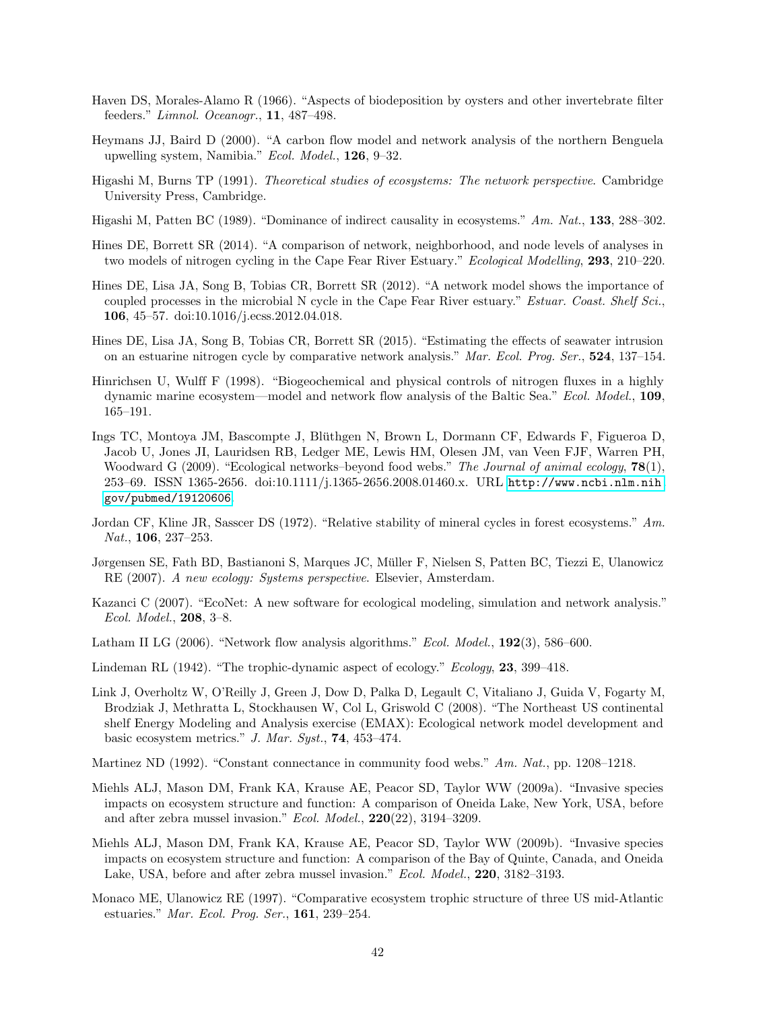- <span id="page-41-7"></span>Haven DS, Morales-Alamo R (1966). "Aspects of biodeposition by oysters and other invertebrate filter feeders." Limnol. Oceanogr., 11, 487–498.
- <span id="page-41-8"></span>Heymans JJ, Baird D (2000). "A carbon flow model and network analysis of the northern Benguela upwelling system, Namibia." Ecol. Model., 126, 9–32.
- <span id="page-41-2"></span>Higashi M, Burns TP (1991). Theoretical studies of ecosystems: The network perspective. Cambridge University Press, Cambridge.
- <span id="page-41-1"></span>Higashi M, Patten BC (1989). "Dominance of indirect causality in ecosystems." Am. Nat., 133, 288–302.
- <span id="page-41-17"></span>Hines DE, Borrett SR (2014). "A comparison of network, neighborhood, and node levels of analyses in two models of nitrogen cycling in the Cape Fear River Estuary." Ecological Modelling, 293, 210–220.
- <span id="page-41-14"></span>Hines DE, Lisa JA, Song B, Tobias CR, Borrett SR (2012). "A network model shows the importance of coupled processes in the microbial N cycle in the Cape Fear River estuary." *Estuar. Coast. Shelf Sci.*, 106, 45–57. doi:10.1016/j.ecss.2012.04.018.
- <span id="page-41-4"></span>Hines DE, Lisa JA, Song B, Tobias CR, Borrett SR (2015). "Estimating the effects of seawater intrusion on an estuarine nitrogen cycle by comparative network analysis." Mar. Ecol. Prog. Ser., 524, 137–154.
- <span id="page-41-15"></span>Hinrichsen U, Wulff F (1998). "Biogeochemical and physical controls of nitrogen fluxes in a highly dynamic marine ecosystem—model and network flow analysis of the Baltic Sea." Ecol. Model., 109, 165–191.
- <span id="page-41-0"></span>Ings TC, Montoya JM, Bascompte J, Bluthgen N, Brown L, Dormann CF, Edwards F, Figueroa D, ¨ Jacob U, Jones JI, Lauridsen RB, Ledger ME, Lewis HM, Olesen JM, van Veen FJF, Warren PH, Woodward G (2009). "Ecological networks-beyond food webs." The Journal of animal ecology, **78**(1), 253–69. ISSN 1365-2656. doi:10.1111/j.1365-2656.2008.01460.x. URL [http://www.ncbi.nlm.nih.](http://www.ncbi.nlm.nih.gov/pubmed/19120606) [gov/pubmed/19120606](http://www.ncbi.nlm.nih.gov/pubmed/19120606).
- <span id="page-41-13"></span>Jordan CF, Kline JR, Sasscer DS (1972). "Relative stability of mineral cycles in forest ecosystems." Am. Nat., **106**, 237-253.
- <span id="page-41-3"></span>Jørgensen SE, Fath BD, Bastianoni S, Marques JC, Muller F, Nielsen S, Patten BC, Tiezzi E, Ulanowicz ¨ RE (2007). A new ecology: Systems perspective. Elsevier, Amsterdam.
- <span id="page-41-6"></span>Kazanci C (2007). "EcoNet: A new software for ecological modeling, simulation and network analysis." Ecol. Model., 208, 3–8.
- <span id="page-41-5"></span>Latham II LG (2006). "Network flow analysis algorithms." Ecol. Model., 192(3), 586–600.
- <span id="page-41-18"></span>Lindeman RL (1942). "The trophic-dynamic aspect of ecology." Ecology, 23, 399–418.
- <span id="page-41-9"></span>Link J, Overholtz W, O'Reilly J, Green J, Dow D, Palka D, Legault C, Vitaliano J, Guida V, Fogarty M, Brodziak J, Methratta L, Stockhausen W, Col L, Griswold C (2008). "The Northeast US continental shelf Energy Modeling and Analysis exercise (EMAX): Ecological network model development and basic ecosystem metrics." J. Mar. Syst., 74, 453–474.
- <span id="page-41-16"></span>Martinez ND (1992). "Constant connectance in community food webs." Am. Nat., pp. 1208–1218.
- <span id="page-41-11"></span>Miehls ALJ, Mason DM, Frank KA, Krause AE, Peacor SD, Taylor WW (2009a). "Invasive species impacts on ecosystem structure and function: A comparison of Oneida Lake, New York, USA, before and after zebra mussel invasion." Ecol. Model., 220(22), 3194–3209.
- <span id="page-41-12"></span>Miehls ALJ, Mason DM, Frank KA, Krause AE, Peacor SD, Taylor WW (2009b). "Invasive species impacts on ecosystem structure and function: A comparison of the Bay of Quinte, Canada, and Oneida Lake, USA, before and after zebra mussel invasion." Ecol. Model., 220, 3182–3193.
- <span id="page-41-10"></span>Monaco ME, Ulanowicz RE (1997). "Comparative ecosystem trophic structure of three US mid-Atlantic estuaries." Mar. Ecol. Prog. Ser., 161, 239–254.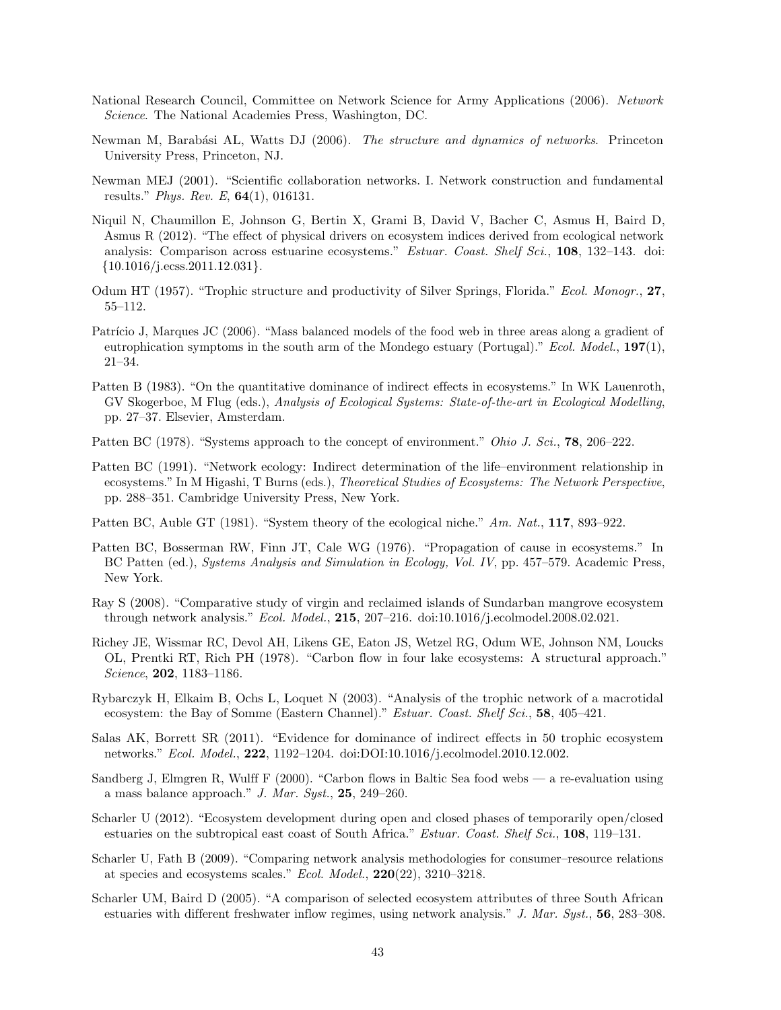- <span id="page-42-2"></span>National Research Council, Committee on Network Science for Army Applications (2006). Network Science. The National Academies Press, Washington, DC.
- <span id="page-42-0"></span>Newman M, Barabási AL, Watts DJ (2006). The structure and dynamics of networks. Princeton University Press, Princeton, NJ.
- <span id="page-42-1"></span>Newman MEJ (2001). "Scientific collaboration networks. I. Network construction and fundamental results." Phys. Rev. E,  $64(1)$ , 016131.
- <span id="page-42-18"></span>Niquil N, Chaumillon E, Johnson G, Bertin X, Grami B, David V, Bacher C, Asmus H, Baird D, Asmus R (2012). "The effect of physical drivers on ecosystem indices derived from ecological network analysis: Comparison across estuarine ecosystems." *Estuar. Coast. Shelf Sci.*, 108, 132–143. doi:  $\{10.1016/j.ecess.2011.12.031\}.$
- <span id="page-42-10"></span>Odum HT (1957). "Trophic structure and productivity of Silver Springs, Florida." Ecol. Monogr., 27, 55–112.
- <span id="page-42-15"></span>Patrício J, Marques JC (2006). "Mass balanced models of the food web in three areas along a gradient of eutrophication symptoms in the south arm of the Mondego estuary (Portugal)." Ecol. Model.,  $197(1)$ , 21–34.
- <span id="page-42-3"></span>Patten B (1983). "On the quantitative dominance of indirect effects in ecosystems." In WK Lauenroth, GV Skogerboe, M Flug (eds.), Analysis of Ecological Systems: State-of-the-art in Ecological Modelling, pp. 27–37. Elsevier, Amsterdam.
- <span id="page-42-7"></span>Patten BC (1978). "Systems approach to the concept of environment." Ohio J. Sci., **78**, 206–222.
- <span id="page-42-5"></span>Patten BC (1991). "Network ecology: Indirect determination of the life–environment relationship in ecosystems." In M Higashi, T Burns (eds.), Theoretical Studies of Ecosystems: The Network Perspective, pp. 288–351. Cambridge University Press, New York.
- <span id="page-42-17"></span>Patten BC, Auble GT (1981). "System theory of the ecological niche." Am. Nat., 117, 893–922.
- <span id="page-42-8"></span>Patten BC, Bosserman RW, Finn JT, Cale WG (1976). "Propagation of cause in ecosystems." In BC Patten (ed.), Systems Analysis and Simulation in Ecology, Vol. IV, pp. 457–579. Academic Press, New York.
- <span id="page-42-13"></span>Ray S (2008). "Comparative study of virgin and reclaimed islands of Sundarban mangrove ecosystem through network analysis." Ecol. Model., 215, 207–216. doi:10.1016/j.ecolmodel.2008.02.021.
- <span id="page-42-9"></span>Richey JE, Wissmar RC, Devol AH, Likens GE, Eaton JS, Wetzel RG, Odum WE, Johnson NM, Loucks OL, Prentki RT, Rich PH (1978). "Carbon flow in four lake ecosystems: A structural approach." Science, 202, 1183–1186.
- <span id="page-42-11"></span>Rybarczyk H, Elkaim B, Ochs L, Loquet N (2003). "Analysis of the trophic network of a macrotidal ecosystem: the Bay of Somme (Eastern Channel)." Estuar. Coast. Shelf Sci., 58, 405–421.
- <span id="page-42-4"></span>Salas AK, Borrett SR (2011). "Evidence for dominance of indirect effects in 50 trophic ecosystem networks." Ecol. Model., 222, 1192–1204. doi:DOI:10.1016/j.ecolmodel.2010.12.002.
- <span id="page-42-12"></span>Sandberg J, Elmgren R, Wulff F (2000). "Carbon flows in Baltic Sea food webs — a re-evaluation using a mass balance approach." J. Mar. Syst.,  $25$ ,  $249-260$ .
- <span id="page-42-16"></span>Scharler U (2012). "Ecosystem development during open and closed phases of temporarily open/closed estuaries on the subtropical east coast of South Africa." Estuar. Coast. Shelf Sci., 108, 119–131.
- <span id="page-42-6"></span>Scharler U, Fath B (2009). "Comparing network analysis methodologies for consumer–resource relations at species and ecosystems scales." Ecol. Model., 220(22), 3210–3218.
- <span id="page-42-14"></span>Scharler UM, Baird D (2005). "A comparison of selected ecosystem attributes of three South African estuaries with different freshwater inflow regimes, using network analysis." J. Mar. Syst., 56, 283–308.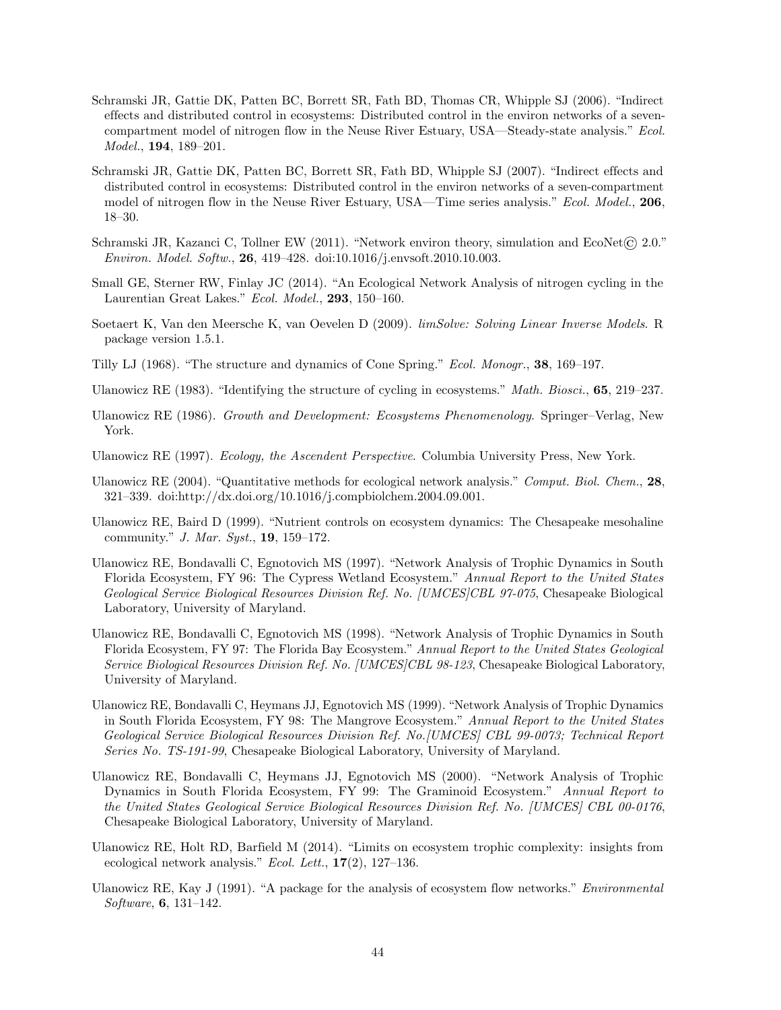- <span id="page-43-14"></span>Schramski JR, Gattie DK, Patten BC, Borrett SR, Fath BD, Thomas CR, Whipple SJ (2006). "Indirect effects and distributed control in ecosystems: Distributed control in the environ networks of a sevencompartment model of nitrogen flow in the Neuse River Estuary, USA—Steady-state analysis." Ecol. Model., 194, 189–201.
- <span id="page-43-15"></span>Schramski JR, Gattie DK, Patten BC, Borrett SR, Fath BD, Whipple SJ (2007). "Indirect effects and distributed control in ecosystems: Distributed control in the environ networks of a seven-compartment model of nitrogen flow in the Neuse River Estuary, USA—Time series analysis." Ecol. Model., 206, 18–30.
- <span id="page-43-12"></span>Schramski JR, Kazanci C, Tollner EW (2011). "Network environ theory, simulation and EcoNet© 2.0." Environ. Model. Softw., 26, 419–428. doi:10.1016/j.envsoft.2010.10.003.
- <span id="page-43-1"></span>Small GE, Sterner RW, Finlay JC (2014). "An Ecological Network Analysis of nitrogen cycling in the Laurentian Great Lakes." Ecol. Model., 293, 150–160.
- <span id="page-43-5"></span>Soetaert K, Van den Meersche K, van Oevelen D (2009). limSolve: Solving Linear Inverse Models. R package version 1.5.1.
- <span id="page-43-6"></span>Tilly LJ (1968). "The structure and dynamics of Cone Spring." Ecol. Monogr., 38, 169–197.
- <span id="page-43-16"></span>Ulanowicz RE (1983). "Identifying the structure of cycling in ecosystems." Math. Biosci., 65, 219–237.
- <span id="page-43-0"></span>Ulanowicz RE (1986). Growth and Development: Ecosystems Phenomenology. Springer–Verlag, New York.
- <span id="page-43-2"></span>Ulanowicz RE (1997). Ecology, the Ascendent Perspective. Columbia University Press, New York.
- <span id="page-43-3"></span>Ulanowicz RE (2004). "Quantitative methods for ecological network analysis." Comput. Biol. Chem., 28, 321–339. doi:http://dx.doi.org/10.1016/j.compbiolchem.2004.09.001.
- <span id="page-43-11"></span>Ulanowicz RE, Baird D (1999). "Nutrient controls on ecosystem dynamics: The Chesapeake mesohaline community." J. Mar. Syst., 19, 159–172.
- <span id="page-43-8"></span>Ulanowicz RE, Bondavalli C, Egnotovich MS (1997). "Network Analysis of Trophic Dynamics in South Florida Ecosystem, FY 96: The Cypress Wetland Ecosystem." Annual Report to the United States Geological Service Biological Resources Division Ref. No. [UMCES]CBL 97-075, Chesapeake Biological Laboratory, University of Maryland.
- <span id="page-43-10"></span>Ulanowicz RE, Bondavalli C, Egnotovich MS (1998). "Network Analysis of Trophic Dynamics in South Florida Ecosystem, FY 97: The Florida Bay Ecosystem." Annual Report to the United States Geological Service Biological Resources Division Ref. No. [UMCES]CBL 98-123, Chesapeake Biological Laboratory, University of Maryland.
- <span id="page-43-9"></span>Ulanowicz RE, Bondavalli C, Heymans JJ, Egnotovich MS (1999). "Network Analysis of Trophic Dynamics in South Florida Ecosystem, FY 98: The Mangrove Ecosystem." Annual Report to the United States Geological Service Biological Resources Division Ref. No.[UMCES] CBL 99-0073; Technical Report Series No. TS-191-99, Chesapeake Biological Laboratory, University of Maryland.
- <span id="page-43-7"></span>Ulanowicz RE, Bondavalli C, Heymans JJ, Egnotovich MS (2000). "Network Analysis of Trophic Dynamics in South Florida Ecosystem, FY 99: The Graminoid Ecosystem." Annual Report to the United States Geological Service Biological Resources Division Ref. No. [UMCES] CBL 00-0176, Chesapeake Biological Laboratory, University of Maryland.
- <span id="page-43-13"></span>Ulanowicz RE, Holt RD, Barfield M (2014). "Limits on ecosystem trophic complexity: insights from ecological network analysis." Ecol. Lett.,  $17(2)$ ,  $127-136$ .
- <span id="page-43-4"></span>Ulanowicz RE, Kay J (1991). "A package for the analysis of ecosystem flow networks." *Environmental* Software, 6, 131–142.